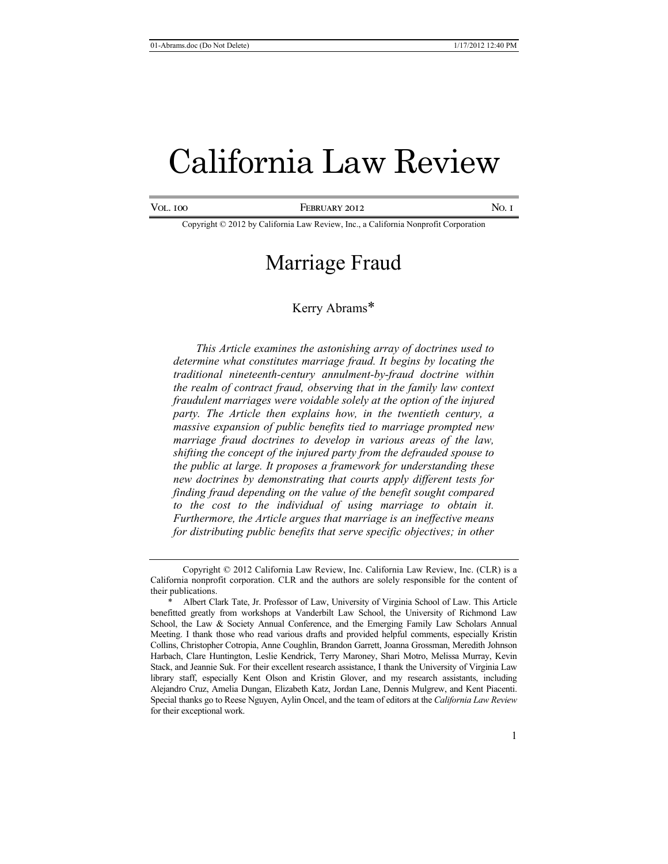# California Law Review

Vol. 100 **FEBRUARY 2012** No. 1

Copyright © 2012 by California Law Review, Inc., a California Nonprofit Corporation

# Marriage Fraud

# Kerry Abrams\*

*This Article examines the astonishing array of doctrines used to determine what constitutes marriage fraud. It begins by locating the traditional nineteenth-century annulment-by-fraud doctrine within the realm of contract fraud, observing that in the family law context fraudulent marriages were voidable solely at the option of the injured party. The Article then explains how, in the twentieth century, a massive expansion of public benefits tied to marriage prompted new marriage fraud doctrines to develop in various areas of the law, shifting the concept of the injured party from the defrauded spouse to the public at large. It proposes a framework for understanding these new doctrines by demonstrating that courts apply different tests for finding fraud depending on the value of the benefit sought compared to the cost to the individual of using marriage to obtain it. Furthermore, the Article argues that marriage is an ineffective means for distributing public benefits that serve specific objectives; in other* 

Copyright © 2012 California Law Review, Inc. California Law Review, Inc. (CLR) is a California nonprofit corporation. CLR and the authors are solely responsible for the content of their publications.

Albert Clark Tate, Jr. Professor of Law, University of Virginia School of Law. This Article benefitted greatly from workshops at Vanderbilt Law School, the University of Richmond Law School, the Law & Society Annual Conference, and the Emerging Family Law Scholars Annual Meeting. I thank those who read various drafts and provided helpful comments, especially Kristin Collins, Christopher Cotropia, Anne Coughlin, Brandon Garrett, Joanna Grossman, Meredith Johnson Harbach, Clare Huntington, Leslie Kendrick, Terry Maroney, Shari Motro, Melissa Murray, Kevin Stack, and Jeannie Suk. For their excellent research assistance, I thank the University of Virginia Law library staff, especially Kent Olson and Kristin Glover, and my research assistants, including Alejandro Cruz, Amelia Dungan, Elizabeth Katz, Jordan Lane, Dennis Mulgrew, and Kent Piacenti. Special thanks go to Reese Nguyen, Aylin Oncel, and the team of editors at the *California Law Review* for their exceptional work.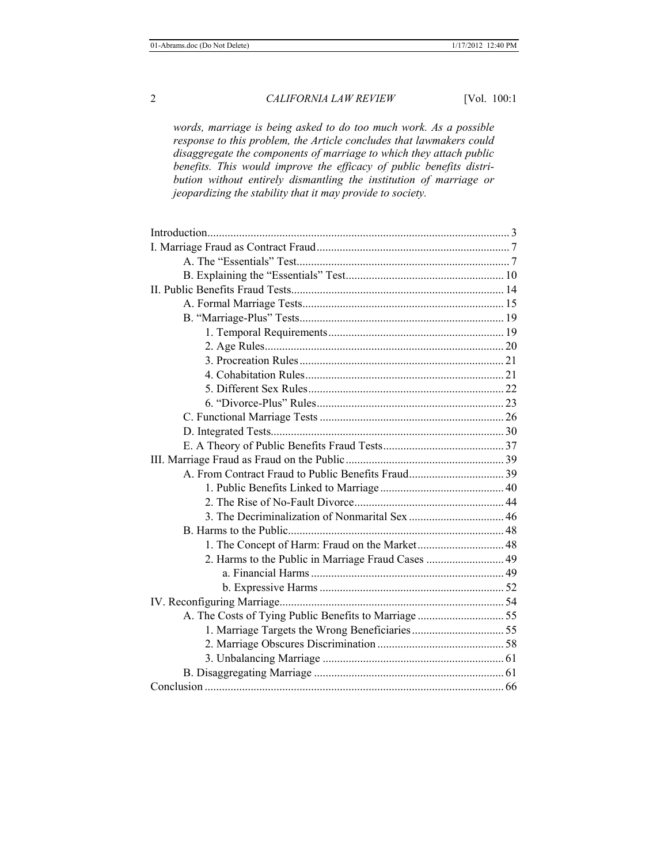*words, marriage is being asked to do too much work. As a possible response to this problem, the Article concludes that lawmakers could disaggregate the components of marriage to which they attach public benefits. This would improve the efficacy of public benefits distribution without entirely dismantling the institution of marriage or jeopardizing the stability that it may provide to society.* 

| 2. Harms to the Public in Marriage Fraud Cases  49 |  |
|----------------------------------------------------|--|
|                                                    |  |
|                                                    |  |
|                                                    |  |
|                                                    |  |
|                                                    |  |
|                                                    |  |
|                                                    |  |
|                                                    |  |
|                                                    |  |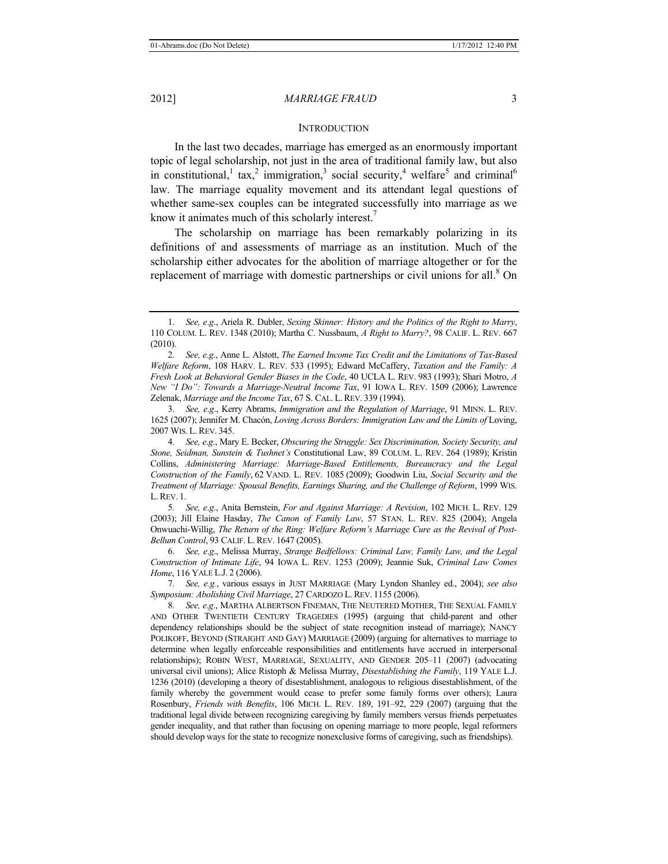#### 2012] *MARRIAGE FRAUD* 3

#### **INTRODUCTION**

In the last two decades, marriage has emerged as an enormously important topic of legal scholarship, not just in the area of traditional family law, but also in constitutional,<sup>1</sup> tax,<sup>2</sup> immigration,<sup>3</sup> social security,<sup>4</sup> welfare<sup>5</sup> and criminal<sup>6</sup> law. The marriage equality movement and its attendant legal questions of whether same-sex couples can be integrated successfully into marriage as we know it animates much of this scholarly interest.<sup>7</sup>

The scholarship on marriage has been remarkably polarizing in its definitions of and assessments of marriage as an institution. Much of the scholarship either advocates for the abolition of marriage altogether or for the replacement of marriage with domestic partnerships or civil unions for all. $8$  On

3*. See, e*.*g*., Kerry Abrams, *Immigration and the Regulation of Marriage*, 91 MINN. L. REV. 1625 (2007); Jennifer M. Chacón, *Loving Across Borders: Immigration Law and the Limits of* Loving, 2007 WIS. L.REV. 345.

4*. See, e*.*g*., Mary E. Becker, *Obscuring the Struggle: Sex Discrimination, Society Security, and Stone, Seidman, Sunstein & Tushnet's* Constitutional Law, 89 COLUM. L. REV. 264 (1989); Kristin Collins, *Administering Marriage: Marriage-Based Entitlements, Bureaucracy and the Legal Construction of the Family*, 62 VAND. L. REV. 1085 (2009); Goodwin Liu, *Social Security and the Treatment of Marriage: Spousal Benefits, Earnings Sharing, and the Challenge of Reform*, 1999 WIS. L.REV. 1.

5*. See, e*.*g*., Anita Bernstein, *For and Against Marriage: A Revision*, 102 MICH. L. REV. 129 (2003); Jill Elaine Hasday, *The Canon of Family Law*, 57 STAN. L. REV. 825 (2004); Angela Onwuachi-Willig, *The Return of the Ring: Welfare Reform's Marriage Cure as the Revival of Post-Bellum Control*, 93 CALIF. L. REV. 1647 (2005).

6*. See, e*.*g*., Melissa Murray, *Strange Bedfellows: Criminal Law, Family Law, and the Legal Construction of Intimate Life*, 94 IOWA L. REV. 1253 (2009); Jeannie Suk, *Criminal Law Comes Home*, 116 YALE L.J. 2 (2006).

7*. See, e.g.*, various essays in JUST MARRIAGE (Mary Lyndon Shanley ed., 2004); *see also Symposium: Abolishing Civil Marriage*, 27 CARDOZO L.REV. 1155 (2006).

8*. See, e*.*g*., MARTHA ALBERTSON FINEMAN, THE NEUTERED MOTHER, THE SEXUAL FAMILY AND OTHER TWENTIETH CENTURY TRAGEDIES (1995) (arguing that child-parent and other dependency relationships should be the subject of state recognition instead of marriage); NANCY POLIKOFF, BEYOND (STRAIGHT AND GAY) MARRIAGE (2009) (arguing for alternatives to marriage to determine when legally enforceable responsibilities and entitlements have accrued in interpersonal relationships); ROBIN WEST, MARRIAGE, SEXUALITY, AND GENDER 205–11 (2007) (advocating universal civil unions); Alice Ristoph & Melissa Murray, *Disestablishing the Family*, 119 YALE L.J. 1236 (2010) (developing a theory of disestablishment, analogous to religious disestablishment, of the family whereby the government would cease to prefer some family forms over others); Laura Rosenbury, *Friends with Benefits*, 106 MICH. L. REV. 189, 191–92, 229 (2007) (arguing that the traditional legal divide between recognizing caregiving by family members versus friends perpetuates gender inequality, and that rather than focusing on opening marriage to more people, legal reformers should develop ways for the state to recognize nonexclusive forms of caregiving, such as friendships).

<sup>1</sup>*. See, e*.*g*., Ariela R. Dubler, *Sexing Skinner: History and the Politics of the Right to Marry*, 110 COLUM. L. REV. 1348 (2010); Martha C. Nussbaum, *A Right to Marry?*, 98 CALIF. L. REV. 667 (2010).

<sup>2</sup>*. See, e*.*g*., Anne L. Alstott, *The Earned Income Tax Credit and the Limitations of Tax-Based Welfare Reform*, 108 HARV. L. REV. 533 (1995); Edward McCaffery, *Taxation and the Family: A Fresh Look at Behavioral Gender Biases in the Code*, 40 UCLA L. REV. 983 (1993); Shari Motro, *A New "I Do": Towards a Marriage-Neutral Income Tax*, 91 IOWA L. REV. 1509 (2006); Lawrence Zelenak, *Marriage and the Income Tax*, 67 S. CAL. L. REV. 339 (1994).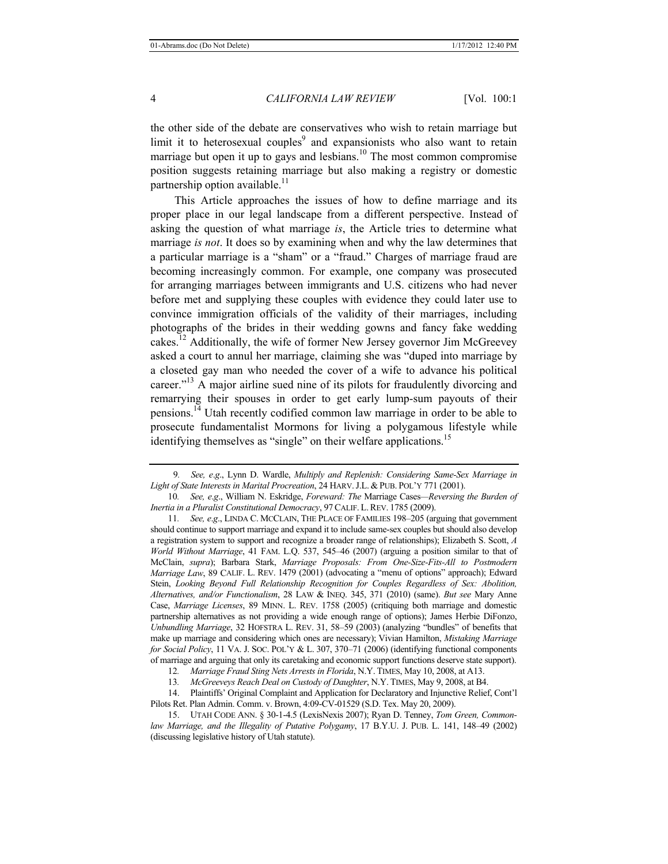the other side of the debate are conservatives who wish to retain marriage but limit it to heterosexual couples<sup>9</sup> and expansionists who also want to retain marriage but open it up to gays and lesbians.<sup>10</sup> The most common compromise position suggests retaining marriage but also making a registry or domestic partnership option available.<sup>11</sup>

This Article approaches the issues of how to define marriage and its proper place in our legal landscape from a different perspective. Instead of asking the question of what marriage *is*, the Article tries to determine what marriage *is not*. It does so by examining when and why the law determines that a particular marriage is a "sham" or a "fraud." Charges of marriage fraud are becoming increasingly common. For example, one company was prosecuted for arranging marriages between immigrants and U.S. citizens who had never before met and supplying these couples with evidence they could later use to convince immigration officials of the validity of their marriages, including photographs of the brides in their wedding gowns and fancy fake wedding cakes.<sup>12</sup> Additionally, the wife of former New Jersey governor Jim McGreevey asked a court to annul her marriage, claiming she was "duped into marriage by a closeted gay man who needed the cover of a wife to advance his political career."<sup>13</sup> A major airline sued nine of its pilots for fraudulently divorcing and remarrying their spouses in order to get early lump-sum payouts of their pensions.14 Utah recently codified common law marriage in order to be able to prosecute fundamentalist Mormons for living a polygamous lifestyle while identifying themselves as "single" on their welfare applications.<sup>15</sup>

13*. McGreeveys Reach Deal on Custody of Daughter*, N.Y. TIMES, May 9, 2008, at B4.

14. Plaintiffs' Original Complaint and Application for Declaratory and Injunctive Relief, Cont'l Pilots Ret. Plan Admin. Comm. v. Brown, 4:09-CV-01529 (S.D. Tex. May 20, 2009).

9*. See, e*.*g*., Lynn D. Wardle, *Multiply and Replenish: Considering Same-Sex Marriage in Light of State Interests in Marital Procreation*, 24 HARV.J.L. & PUB. POL'Y 771 (2001).

<sup>10</sup>*. See, e*.*g*., William N. Eskridge, *Foreward: The* Marriage Cases*—Reversing the Burden of Inertia in a Pluralist Constitutional Democracy*, 97 CALIF. L.REV. 1785 (2009).

<sup>11</sup>*. See, e*.*g*., LINDA C. MCCLAIN, THE PLACE OF FAMILIES 198–205 (arguing that government should continue to support marriage and expand it to include same-sex couples but should also develop a registration system to support and recognize a broader range of relationships); Elizabeth S. Scott, *A World Without Marriage*, 41 FAM. L.Q. 537, 545–46 (2007) (arguing a position similar to that of McClain, *supra*); Barbara Stark, *Marriage Proposals: From One-Size-Fits-All to Postmodern Marriage Law*, 89 CALIF. L. REV. 1479 (2001) (advocating a "menu of options" approach); Edward Stein, *Looking Beyond Full Relationship Recognition for Couples Regardless of Sex: Abolition, Alternatives, and/or Functionalism*, 28 LAW & INEQ. 345, 371 (2010) (same). *But see* Mary Anne Case, *Marriage Licenses*, 89 MINN. L. REV. 1758 (2005) (critiquing both marriage and domestic partnership alternatives as not providing a wide enough range of options); James Herbie DiFonzo, *Unbundling Marriage*, 32 HOFSTRA L. REV. 31, 58–59 (2003) (analyzing "bundles" of benefits that make up marriage and considering which ones are necessary); Vivian Hamilton, *Mistaking Marriage for Social Policy*, 11 VA. J. SOC. POL'Y & L. 307, 370–71 (2006) (identifying functional components of marriage and arguing that only its caretaking and economic support functions deserve state support).

<sup>12</sup>*. Marriage Fraud Sting Nets Arrests in Florida*, N.Y. TIMES, May 10, 2008, at A13.

<sup>15.</sup> UTAH CODE ANN. § 30-1-4.5 (LexisNexis 2007); Ryan D. Tenney, *Tom Green, Commonlaw Marriage, and the Illegality of Putative Polygamy*, 17 B.Y.U. J. PUB. L. 141, 148–49 (2002) (discussing legislative history of Utah statute).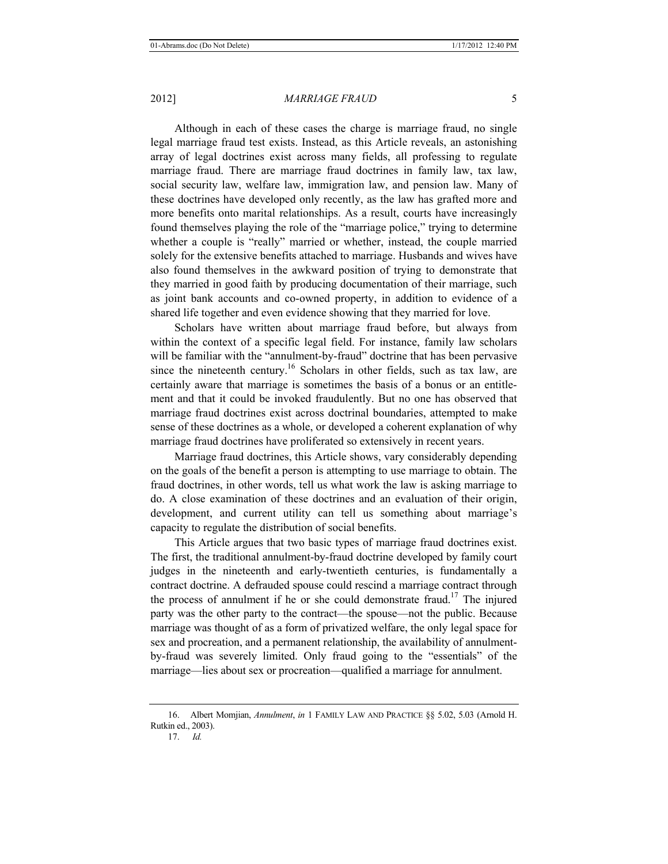Although in each of these cases the charge is marriage fraud, no single legal marriage fraud test exists. Instead, as this Article reveals, an astonishing array of legal doctrines exist across many fields, all professing to regulate marriage fraud. There are marriage fraud doctrines in family law, tax law, social security law, welfare law, immigration law, and pension law. Many of these doctrines have developed only recently, as the law has grafted more and more benefits onto marital relationships. As a result, courts have increasingly found themselves playing the role of the "marriage police," trying to determine whether a couple is "really" married or whether, instead, the couple married solely for the extensive benefits attached to marriage. Husbands and wives have also found themselves in the awkward position of trying to demonstrate that they married in good faith by producing documentation of their marriage, such as joint bank accounts and co-owned property, in addition to evidence of a shared life together and even evidence showing that they married for love.

Scholars have written about marriage fraud before, but always from within the context of a specific legal field. For instance, family law scholars will be familiar with the "annulment-by-fraud" doctrine that has been pervasive since the nineteenth century.<sup>16</sup> Scholars in other fields, such as tax law, are certainly aware that marriage is sometimes the basis of a bonus or an entitlement and that it could be invoked fraudulently. But no one has observed that marriage fraud doctrines exist across doctrinal boundaries, attempted to make sense of these doctrines as a whole, or developed a coherent explanation of why marriage fraud doctrines have proliferated so extensively in recent years.

Marriage fraud doctrines, this Article shows, vary considerably depending on the goals of the benefit a person is attempting to use marriage to obtain. The fraud doctrines, in other words, tell us what work the law is asking marriage to do. A close examination of these doctrines and an evaluation of their origin, development, and current utility can tell us something about marriage's capacity to regulate the distribution of social benefits.

This Article argues that two basic types of marriage fraud doctrines exist. The first, the traditional annulment-by-fraud doctrine developed by family court judges in the nineteenth and early-twentieth centuries, is fundamentally a contract doctrine. A defrauded spouse could rescind a marriage contract through the process of annulment if he or she could demonstrate fraud.<sup>17</sup> The injured party was the other party to the contract—the spouse—not the public. Because marriage was thought of as a form of privatized welfare, the only legal space for sex and procreation, and a permanent relationship, the availability of annulmentby-fraud was severely limited. Only fraud going to the "essentials" of the marriage—lies about sex or procreation—qualified a marriage for annulment.

<sup>16.</sup> Albert Momjian, *Annulment*, *in* 1 FAMILY LAW AND PRACTICE §§ 5.02, 5.03 (Arnold H. Rutkin ed., 2003).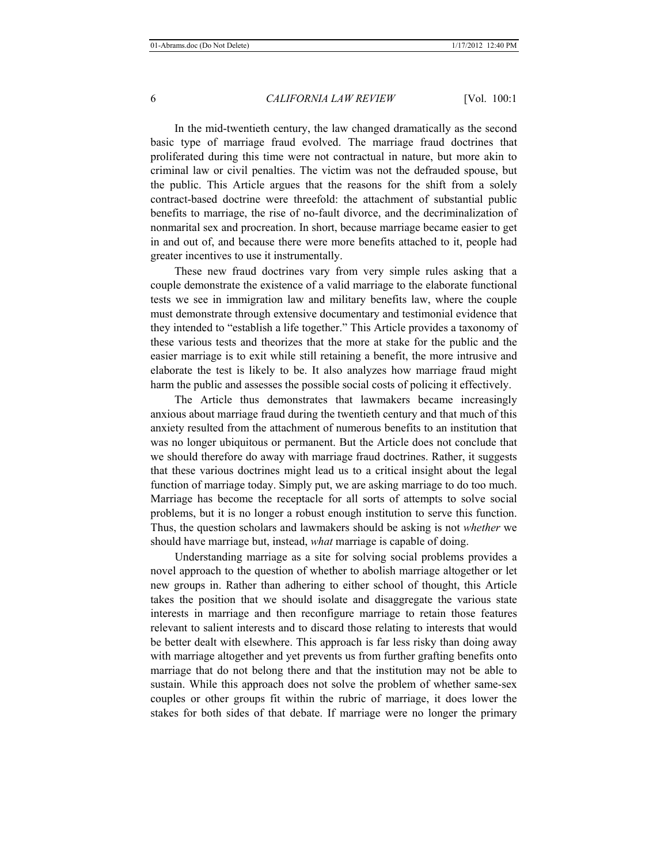In the mid-twentieth century, the law changed dramatically as the second basic type of marriage fraud evolved. The marriage fraud doctrines that proliferated during this time were not contractual in nature, but more akin to criminal law or civil penalties. The victim was not the defrauded spouse, but the public. This Article argues that the reasons for the shift from a solely contract-based doctrine were threefold: the attachment of substantial public benefits to marriage, the rise of no-fault divorce, and the decriminalization of nonmarital sex and procreation. In short, because marriage became easier to get in and out of, and because there were more benefits attached to it, people had greater incentives to use it instrumentally.

These new fraud doctrines vary from very simple rules asking that a couple demonstrate the existence of a valid marriage to the elaborate functional tests we see in immigration law and military benefits law, where the couple must demonstrate through extensive documentary and testimonial evidence that they intended to "establish a life together." This Article provides a taxonomy of these various tests and theorizes that the more at stake for the public and the easier marriage is to exit while still retaining a benefit, the more intrusive and elaborate the test is likely to be. It also analyzes how marriage fraud might harm the public and assesses the possible social costs of policing it effectively.

The Article thus demonstrates that lawmakers became increasingly anxious about marriage fraud during the twentieth century and that much of this anxiety resulted from the attachment of numerous benefits to an institution that was no longer ubiquitous or permanent. But the Article does not conclude that we should therefore do away with marriage fraud doctrines. Rather, it suggests that these various doctrines might lead us to a critical insight about the legal function of marriage today. Simply put, we are asking marriage to do too much. Marriage has become the receptacle for all sorts of attempts to solve social problems, but it is no longer a robust enough institution to serve this function. Thus, the question scholars and lawmakers should be asking is not *whether* we should have marriage but, instead, *what* marriage is capable of doing.

Understanding marriage as a site for solving social problems provides a novel approach to the question of whether to abolish marriage altogether or let new groups in. Rather than adhering to either school of thought, this Article takes the position that we should isolate and disaggregate the various state interests in marriage and then reconfigure marriage to retain those features relevant to salient interests and to discard those relating to interests that would be better dealt with elsewhere. This approach is far less risky than doing away with marriage altogether and yet prevents us from further grafting benefits onto marriage that do not belong there and that the institution may not be able to sustain. While this approach does not solve the problem of whether same-sex couples or other groups fit within the rubric of marriage, it does lower the stakes for both sides of that debate. If marriage were no longer the primary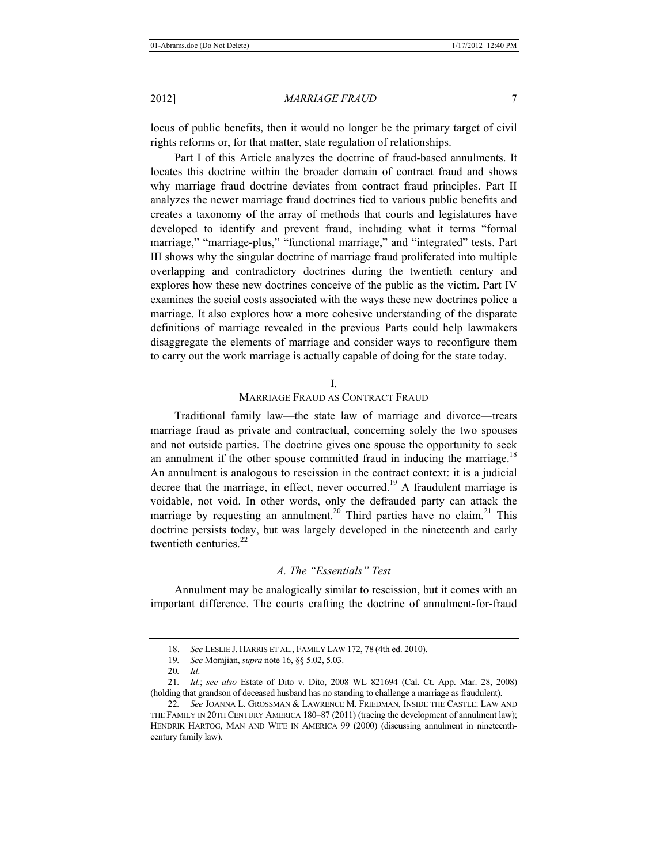locus of public benefits, then it would no longer be the primary target of civil rights reforms or, for that matter, state regulation of relationships.

Part I of this Article analyzes the doctrine of fraud-based annulments. It locates this doctrine within the broader domain of contract fraud and shows why marriage fraud doctrine deviates from contract fraud principles. Part II analyzes the newer marriage fraud doctrines tied to various public benefits and creates a taxonomy of the array of methods that courts and legislatures have developed to identify and prevent fraud, including what it terms "formal marriage," "marriage-plus," "functional marriage," and "integrated" tests. Part III shows why the singular doctrine of marriage fraud proliferated into multiple overlapping and contradictory doctrines during the twentieth century and explores how these new doctrines conceive of the public as the victim. Part IV examines the social costs associated with the ways these new doctrines police a marriage. It also explores how a more cohesive understanding of the disparate definitions of marriage revealed in the previous Parts could help lawmakers disaggregate the elements of marriage and consider ways to reconfigure them to carry out the work marriage is actually capable of doing for the state today.

# I.

# MARRIAGE FRAUD AS CONTRACT FRAUD

Traditional family law—the state law of marriage and divorce—treats marriage fraud as private and contractual, concerning solely the two spouses and not outside parties. The doctrine gives one spouse the opportunity to seek an annulment if the other spouse committed fraud in inducing the marriage.<sup>18</sup> An annulment is analogous to rescission in the contract context: it is a judicial decree that the marriage, in effect, never occurred.<sup>19</sup> A fraudulent marriage is voidable, not void. In other words, only the defrauded party can attack the marriage by requesting an annulment.<sup>20</sup> Third parties have no claim.<sup>21</sup> This doctrine persists today, but was largely developed in the nineteenth and early twentieth centuries  $^{22}$ 

# *A. The "Essentials" Test*

Annulment may be analogically similar to rescission, but it comes with an important difference. The courts crafting the doctrine of annulment-for-fraud

<sup>18.</sup> *See* LESLIE J. HARRIS ET AL., FAMILY LAW 172, 78 (4th ed. 2010).

<sup>19</sup>*. See* Momjian, *supra* note 16, §§ 5.02, 5.03.

<sup>20</sup>*. Id*.

<sup>21</sup>*. Id*.; *see also* Estate of Dito v. Dito, 2008 WL 821694 (Cal. Ct. App. Mar. 28, 2008) (holding that grandson of deceased husband has no standing to challenge a marriage as fraudulent).

<sup>22</sup>*. See* JOANNA L. GROSSMAN & LAWRENCE M. FRIEDMAN, INSIDE THE CASTLE: LAW AND THE FAMILY IN 20TH CENTURY AMERICA 180-87 (2011) (tracing the development of annulment law); HENDRIK HARTOG, MAN AND WIFE IN AMERICA 99 (2000) (discussing annulment in nineteenthcentury family law).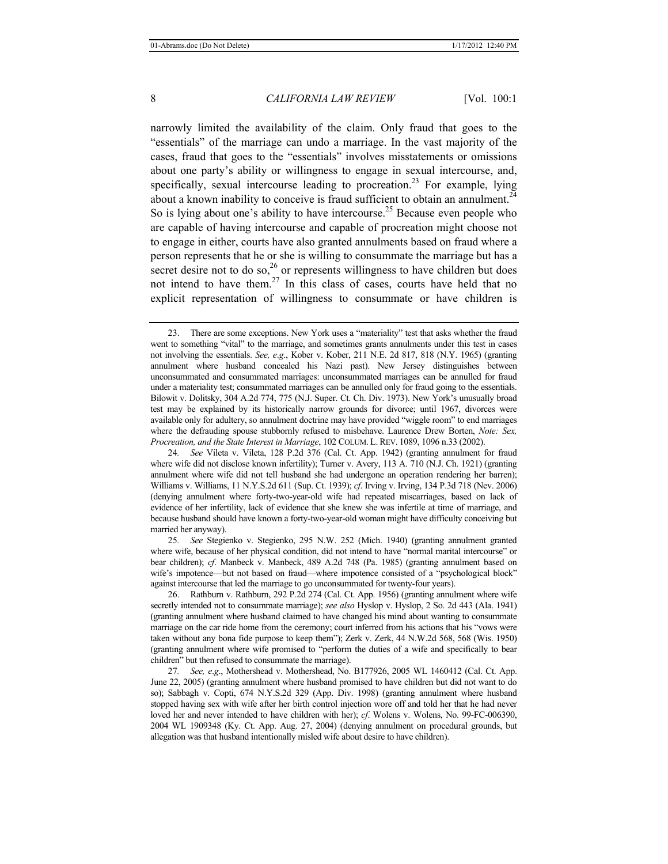narrowly limited the availability of the claim. Only fraud that goes to the "essentials" of the marriage can undo a marriage. In the vast majority of the cases, fraud that goes to the "essentials" involves misstatements or omissions about one party's ability or willingness to engage in sexual intercourse, and, specifically, sexual intercourse leading to procreation.<sup>23</sup> For example, lying about a known inability to conceive is fraud sufficient to obtain an annulment.<sup>24</sup> So is lying about one's ability to have intercourse.<sup>25</sup> Because even people who are capable of having intercourse and capable of procreation might choose not to engage in either, courts have also granted annulments based on fraud where a person represents that he or she is willing to consummate the marriage but has a secret desire not to do so,  $26$  or represents willingness to have children but does not intend to have them.<sup>27</sup> In this class of cases, courts have held that no explicit representation of willingness to consummate or have children is

<sup>23.</sup> There are some exceptions. New York uses a "materiality" test that asks whether the fraud went to something "vital" to the marriage, and sometimes grants annulments under this test in cases not involving the essentials. *See, e*.*g*., Kober v. Kober, 211 N.E. 2d 817, 818 (N.Y. 1965) (granting annulment where husband concealed his Nazi past). New Jersey distinguishes between unconsummated and consummated marriages: unconsummated marriages can be annulled for fraud under a materiality test; consummated marriages can be annulled only for fraud going to the essentials. Bilowit v. Dolitsky, 304 A.2d 774, 775 (N.J. Super. Ct. Ch. Div. 1973). New York's unusually broad test may be explained by its historically narrow grounds for divorce; until 1967, divorces were available only for adultery, so annulment doctrine may have provided "wiggle room" to end marriages where the defrauding spouse stubbornly refused to misbehave. Laurence Drew Borten, *Note: Sex, Procreation, and the State Interest in Marriage*, 102 COLUM. L. REV. 1089, 1096 n.33 (2002).

<sup>24</sup>*. See* Vileta v. Vileta, 128 P.2d 376 (Cal. Ct. App. 1942) (granting annulment for fraud where wife did not disclose known infertility); Turner v. Avery, 113 A. 710 (N.J. Ch. 1921) (granting annulment where wife did not tell husband she had undergone an operation rendering her barren); Williams v. Williams, 11 N.Y.S.2d 611 (Sup. Ct. 1939); *cf*. Irving v. Irving, 134 P.3d 718 (Nev. 2006) (denying annulment where forty-two-year-old wife had repeated miscarriages, based on lack of evidence of her infertility, lack of evidence that she knew she was infertile at time of marriage, and because husband should have known a forty-two-year-old woman might have difficulty conceiving but married her anyway).

<sup>25</sup>*. See* Stegienko v. Stegienko, 295 N.W. 252 (Mich. 1940) (granting annulment granted where wife, because of her physical condition, did not intend to have "normal marital intercourse" or bear children); *cf*. Manbeck v. Manbeck, 489 A.2d 748 (Pa. 1985) (granting annulment based on wife's impotence—but not based on fraud—where impotence consisted of a "psychological block" against intercourse that led the marriage to go unconsummated for twenty-four years).

<sup>26.</sup> Rathburn v. Rathburn, 292 P.2d 274 (Cal. Ct. App. 1956) (granting annulment where wife secretly intended not to consummate marriage); *see also* Hyslop v. Hyslop, 2 So. 2d 443 (Ala. 1941) (granting annulment where husband claimed to have changed his mind about wanting to consummate marriage on the car ride home from the ceremony; court inferred from his actions that his "vows were taken without any bona fide purpose to keep them"); Zerk v. Zerk, 44 N.W.2d 568, 568 (Wis. 1950) (granting annulment where wife promised to "perform the duties of a wife and specifically to bear children" but then refused to consummate the marriage).

<sup>27</sup>*. See, e*.*g*., Mothershead v. Mothershead, No. B177926, 2005 WL 1460412 (Cal. Ct. App. June 22, 2005) (granting annulment where husband promised to have children but did not want to do so); Sabbagh v. Copti, 674 N.Y.S.2d 329 (App. Div. 1998) (granting annulment where husband stopped having sex with wife after her birth control injection wore off and told her that he had never loved her and never intended to have children with her); *cf*. Wolens v. Wolens, No. 99-FC-006390, 2004 WL 1909348 (Ky. Ct. App. Aug. 27, 2004) (denying annulment on procedural grounds, but allegation was that husband intentionally misled wife about desire to have children).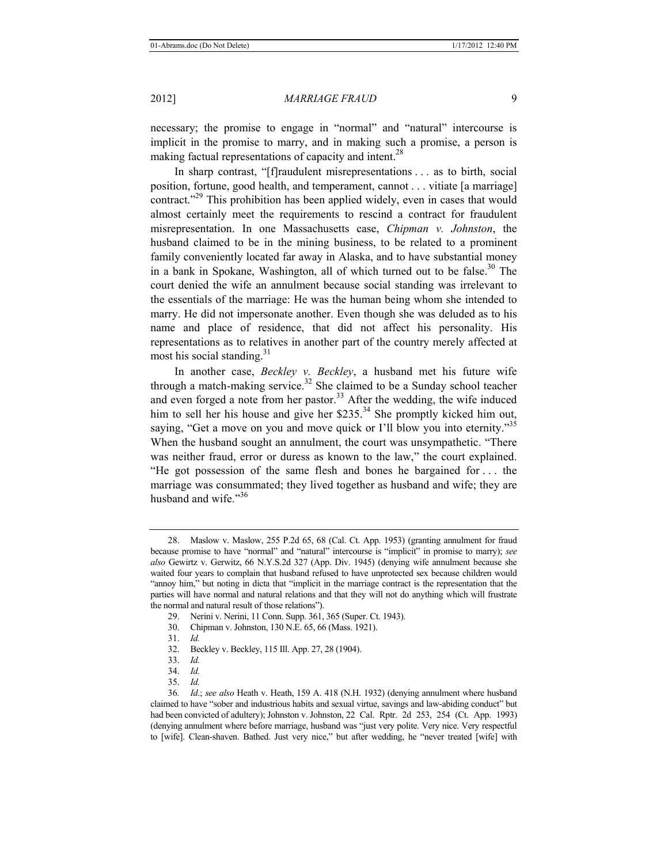necessary; the promise to engage in "normal" and "natural" intercourse is implicit in the promise to marry, and in making such a promise, a person is making factual representations of capacity and intent.<sup>28</sup>

In sharp contrast, "[f]raudulent misrepresentations . . . as to birth, social position, fortune, good health, and temperament, cannot . . . vitiate [a marriage] contract."<sup>29</sup> This prohibition has been applied widely, even in cases that would almost certainly meet the requirements to rescind a contract for fraudulent misrepresentation. In one Massachusetts case, *Chipman v. Johnston*, the husband claimed to be in the mining business, to be related to a prominent family conveniently located far away in Alaska, and to have substantial money in a bank in Spokane, Washington, all of which turned out to be false.<sup>30</sup> The court denied the wife an annulment because social standing was irrelevant to the essentials of the marriage: He was the human being whom she intended to marry. He did not impersonate another. Even though she was deluded as to his name and place of residence, that did not affect his personality. His representations as to relatives in another part of the country merely affected at most his social standing. $31$ 

In another case, *Beckley v. Beckley*, a husband met his future wife through a match-making service.<sup>32</sup> She claimed to be a Sunday school teacher and even forged a note from her pastor.<sup>33</sup> After the wedding, the wife induced him to sell her his house and give her \$235.<sup>34</sup> She promptly kicked him out, saying, "Get a move on you and move quick or I'll blow you into eternity."<sup>35</sup> When the husband sought an annulment, the court was unsympathetic. "There was neither fraud, error or duress as known to the law," the court explained. "He got possession of the same flesh and bones he bargained for . . . the marriage was consummated; they lived together as husband and wife; they are husband and wife. $^{356}$ 

- 29. Nerini v. Nerini, 11 Conn. Supp. 361, 365 (Super. Ct. 1943).
- 30. Chipman v. Johnston, 130 N.E. 65, 66 (Mass. 1921).
- 31. *Id.*
- 32. Beckley v. Beckley, 115 Ill. App. 27, 28 (1904).
- 33. *Id.*
- 34. *Id.*
- 35. *Id.*

<sup>28.</sup> Maslow v. Maslow, 255 P.2d 65, 68 (Cal. Ct. App. 1953) (granting annulment for fraud because promise to have "normal" and "natural" intercourse is "implicit" in promise to marry); *see also* Gewirtz v. Gerwitz, 66 N.Y.S.2d 327 (App. Div. 1945) (denying wife annulment because she waited four years to complain that husband refused to have unprotected sex because children would "annoy him," but noting in dicta that "implicit in the marriage contract is the representation that the parties will have normal and natural relations and that they will not do anything which will frustrate the normal and natural result of those relations").

<sup>36</sup>*. Id*.; *see also* Heath v. Heath, 159 A. 418 (N.H. 1932) (denying annulment where husband claimed to have "sober and industrious habits and sexual virtue, savings and law-abiding conduct" but had been convicted of adultery); Johnston v. Johnston, 22 Cal. Rptr. 2d 253, 254 (Ct. App. 1993) (denying annulment where before marriage, husband was "just very polite. Very nice. Very respectful to [wife]. Clean-shaven. Bathed. Just very nice," but after wedding, he "never treated [wife] with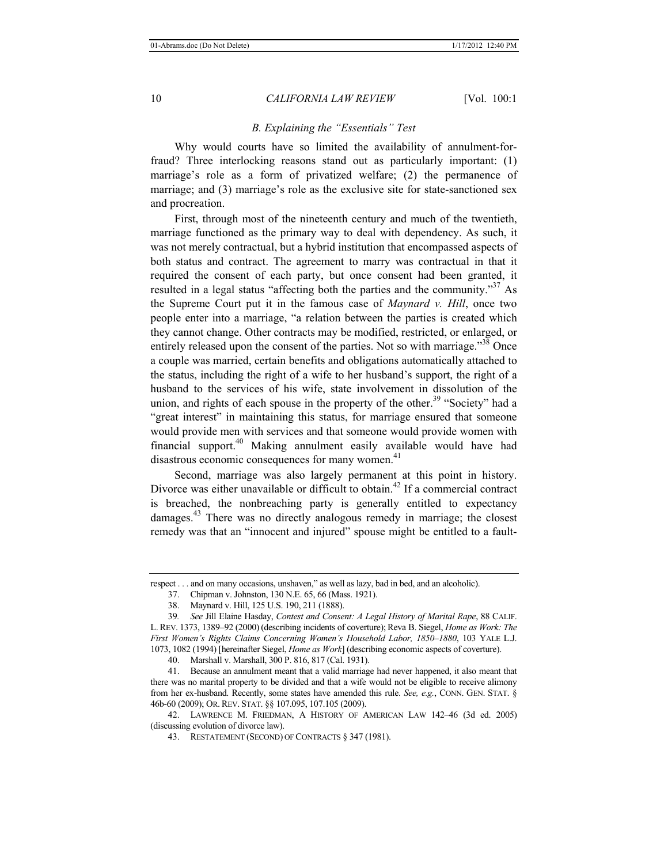# *B. Explaining the "Essentials" Test*

Why would courts have so limited the availability of annulment-forfraud? Three interlocking reasons stand out as particularly important: (1) marriage's role as a form of privatized welfare; (2) the permanence of marriage; and (3) marriage's role as the exclusive site for state-sanctioned sex and procreation.

First, through most of the nineteenth century and much of the twentieth, marriage functioned as the primary way to deal with dependency. As such, it was not merely contractual, but a hybrid institution that encompassed aspects of both status and contract. The agreement to marry was contractual in that it required the consent of each party, but once consent had been granted, it resulted in a legal status "affecting both the parties and the community."<sup>37</sup> As the Supreme Court put it in the famous case of *Maynard v. Hill*, once two people enter into a marriage, "a relation between the parties is created which they cannot change. Other contracts may be modified, restricted, or enlarged, or entirely released upon the consent of the parties. Not so with marriage.<sup>338</sup> Once a couple was married, certain benefits and obligations automatically attached to the status, including the right of a wife to her husband's support, the right of a husband to the services of his wife, state involvement in dissolution of the union, and rights of each spouse in the property of the other.<sup>39</sup> "Society" had a "great interest" in maintaining this status, for marriage ensured that someone would provide men with services and that someone would provide women with financial support.40 Making annulment easily available would have had disastrous economic consequences for many women.<sup>41</sup>

Second, marriage was also largely permanent at this point in history. Divorce was either unavailable or difficult to obtain.<sup>42</sup> If a commercial contract is breached, the nonbreaching party is generally entitled to expectancy damages.<sup>43</sup> There was no directly analogous remedy in marriage; the closest remedy was that an "innocent and injured" spouse might be entitled to a fault-

respect . . . and on many occasions, unshaven," as well as lazy, bad in bed, and an alcoholic).

<sup>37.</sup> Chipman v. Johnston, 130 N.E. 65, 66 (Mass. 1921).

<sup>38.</sup> Maynard v. Hill, 125 U.S. 190, 211 (1888).

<sup>39</sup>*. See* Jill Elaine Hasday, *Contest and Consent: A Legal History of Marital Rape*, 88 CALIF. L. REV. 1373, 1389*–*92 (2000) (describing incidents of coverture); Reva B. Siegel, *Home as Work: The First Women's Rights Claims Concerning Women's Household Labor, 1850–1880*, 103 YALE L.J. 1073, 1082 (1994) [hereinafter Siegel, *Home as Work*] (describing economic aspects of coverture).

<sup>40.</sup> Marshall v. Marshall, 300 P. 816, 817 (Cal. 1931).

<sup>41.</sup> Because an annulment meant that a valid marriage had never happened, it also meant that there was no marital property to be divided and that a wife would not be eligible to receive alimony from her ex-husband. Recently, some states have amended this rule. *See, e.g.*, CONN. GEN. STAT. § 46b-60 (2009); OR.REV. STAT. §§ 107.095, 107.105 (2009).

<sup>42.</sup> LAWRENCE M. FRIEDMAN, A HISTORY OF AMERICAN LAW 142*–*46 (3d ed. 2005) (discussing evolution of divorce law).

<sup>43.</sup> RESTATEMENT (SECOND) OF CONTRACTS § 347 (1981).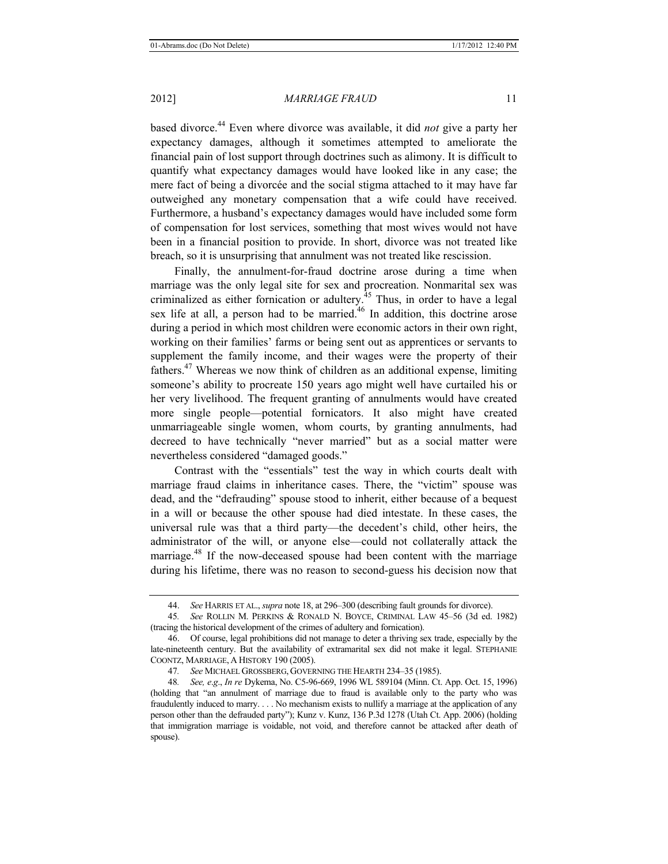based divorce.44 Even where divorce was available, it did *not* give a party her expectancy damages, although it sometimes attempted to ameliorate the financial pain of lost support through doctrines such as alimony. It is difficult to quantify what expectancy damages would have looked like in any case; the mere fact of being a divorcée and the social stigma attached to it may have far outweighed any monetary compensation that a wife could have received. Furthermore, a husband's expectancy damages would have included some form of compensation for lost services, something that most wives would not have been in a financial position to provide. In short, divorce was not treated like breach, so it is unsurprising that annulment was not treated like rescission.

Finally, the annulment-for-fraud doctrine arose during a time when marriage was the only legal site for sex and procreation. Nonmarital sex was criminalized as either fornication or adultery.<sup> $45$ </sup> Thus, in order to have a legal sex life at all, a person had to be married.<sup>46</sup> In addition, this doctrine arose during a period in which most children were economic actors in their own right, working on their families' farms or being sent out as apprentices or servants to supplement the family income, and their wages were the property of their fathers.47 Whereas we now think of children as an additional expense, limiting someone's ability to procreate 150 years ago might well have curtailed his or her very livelihood. The frequent granting of annulments would have created more single people—potential fornicators. It also might have created unmarriageable single women, whom courts, by granting annulments, had decreed to have technically "never married" but as a social matter were nevertheless considered "damaged goods."

Contrast with the "essentials" test the way in which courts dealt with marriage fraud claims in inheritance cases. There, the "victim" spouse was dead, and the "defrauding" spouse stood to inherit, either because of a bequest in a will or because the other spouse had died intestate. In these cases, the universal rule was that a third party—the decedent's child, other heirs, the administrator of the will, or anyone else—could not collaterally attack the marriage.<sup>48</sup> If the now-deceased spouse had been content with the marriage during his lifetime, there was no reason to second-guess his decision now that

<sup>44.</sup> *See* HARRIS ET AL., *supra* note 18, at 296–300 (describing fault grounds for divorce).

<sup>45</sup>*. See* ROLLIN M. PERKINS & RONALD N. BOYCE, CRIMINAL LAW 45–56 (3d ed. 1982) (tracing the historical development of the crimes of adultery and fornication).

<sup>46.</sup> Of course, legal prohibitions did not manage to deter a thriving sex trade, especially by the late-nineteenth century. But the availability of extramarital sex did not make it legal. STEPHANIE COONTZ, MARRIAGE, A HISTORY 190 (2005).

<sup>47</sup>*. See* MICHAEL GROSSBERG, GOVERNING THE HEARTH 234–35 (1985).

<sup>48</sup>*. See, e*.*g*., *In re* Dykema, No. C5-96-669, 1996 WL 589104 (Minn. Ct. App. Oct. 15, 1996) (holding that "an annulment of marriage due to fraud is available only to the party who was fraudulently induced to marry. . . . No mechanism exists to nullify a marriage at the application of any person other than the defrauded party"); Kunz v. Kunz, 136 P.3d 1278 (Utah Ct. App. 2006) (holding that immigration marriage is voidable, not void, and therefore cannot be attacked after death of spouse).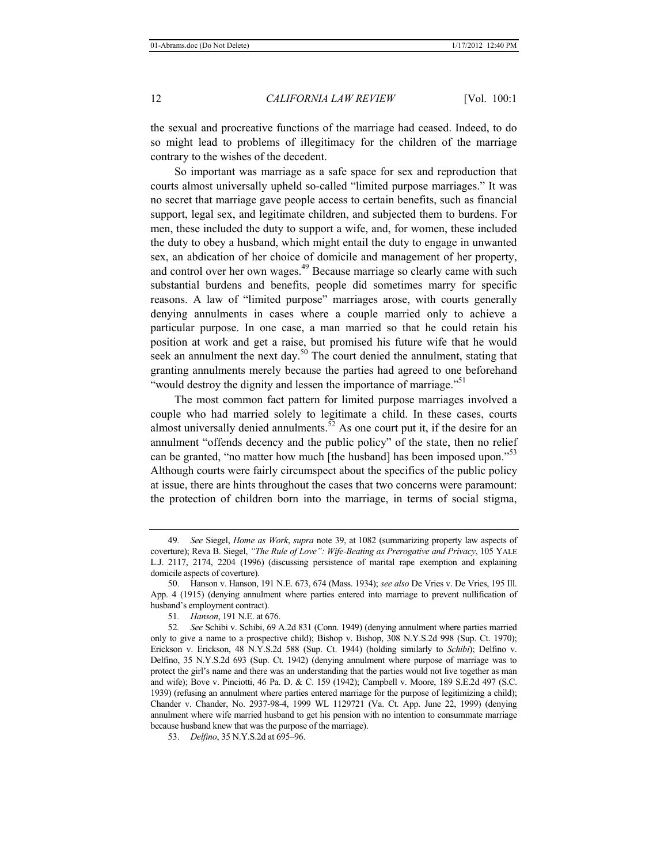the sexual and procreative functions of the marriage had ceased. Indeed, to do so might lead to problems of illegitimacy for the children of the marriage contrary to the wishes of the decedent.

So important was marriage as a safe space for sex and reproduction that courts almost universally upheld so-called "limited purpose marriages." It was no secret that marriage gave people access to certain benefits, such as financial support, legal sex, and legitimate children, and subjected them to burdens. For men, these included the duty to support a wife, and, for women, these included the duty to obey a husband, which might entail the duty to engage in unwanted sex, an abdication of her choice of domicile and management of her property, and control over her own wages.<sup>49</sup> Because marriage so clearly came with such substantial burdens and benefits, people did sometimes marry for specific reasons. A law of "limited purpose" marriages arose, with courts generally denying annulments in cases where a couple married only to achieve a particular purpose. In one case, a man married so that he could retain his position at work and get a raise, but promised his future wife that he would seek an annulment the next day.<sup>50</sup> The court denied the annulment, stating that granting annulments merely because the parties had agreed to one beforehand "would destroy the dignity and lessen the importance of marriage."<sup>51</sup>

The most common fact pattern for limited purpose marriages involved a couple who had married solely to legitimate a child. In these cases, courts almost universally denied annulments.<sup>52</sup> As one court put it, if the desire for an annulment "offends decency and the public policy" of the state, then no relief can be granted, "no matter how much [the husband] has been imposed upon."<sup>53</sup> Although courts were fairly circumspect about the specifics of the public policy at issue, there are hints throughout the cases that two concerns were paramount: the protection of children born into the marriage, in terms of social stigma,

<sup>49</sup>*. See* Siegel, *Home as Work*, *supra* note 39, at 1082 (summarizing property law aspects of coverture); Reva B. Siegel, *"The Rule of Love": Wife-Beating as Prerogative and Privacy*, 105 YALE L.J. 2117, 2174, 2204 (1996) (discussing persistence of marital rape exemption and explaining domicile aspects of coverture).

<sup>50.</sup> Hanson v. Hanson, 191 N.E. 673, 674 (Mass. 1934); *see also* De Vries v. De Vries, 195 Ill. App. 4 (1915) (denying annulment where parties entered into marriage to prevent nullification of husband's employment contract).

<sup>51</sup>*. Hanson*, 191 N.E. at 676.

<sup>52</sup>*. See* Schibi v. Schibi, 69 A.2d 831 (Conn. 1949) (denying annulment where parties married only to give a name to a prospective child); Bishop v. Bishop, 308 N.Y.S.2d 998 (Sup. Ct. 1970); Erickson v. Erickson, 48 N.Y.S.2d 588 (Sup. Ct. 1944) (holding similarly to *Schibi*); Delfino v. Delfino, 35 N.Y.S.2d 693 (Sup. Ct. 1942) (denying annulment where purpose of marriage was to protect the girl's name and there was an understanding that the parties would not live together as man and wife); Bove v. Pinciotti, 46 Pa. D. & C. 159 (1942); Campbell v. Moore, 189 S.E.2d 497 (S.C. 1939) (refusing an annulment where parties entered marriage for the purpose of legitimizing a child); Chander v. Chander, No. 2937-98-4, 1999 WL 1129721 (Va. Ct. App. June 22, 1999) (denying annulment where wife married husband to get his pension with no intention to consummate marriage because husband knew that was the purpose of the marriage).

<sup>53.</sup> *Delfino*, 35 N.Y.S.2d at 695–96.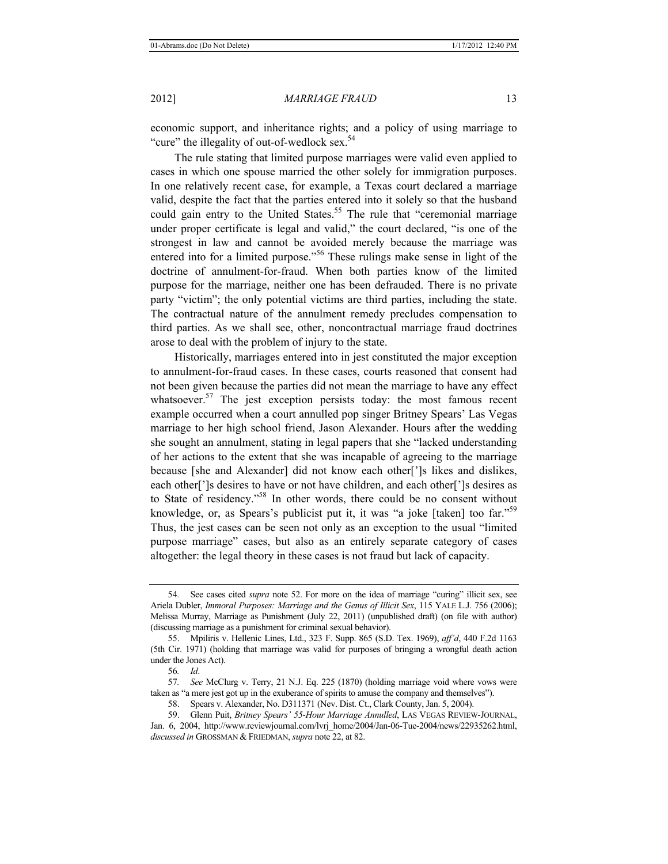economic support, and inheritance rights; and a policy of using marriage to "cure" the illegality of out-of-wedlock sex. $54$ 

The rule stating that limited purpose marriages were valid even applied to cases in which one spouse married the other solely for immigration purposes. In one relatively recent case, for example, a Texas court declared a marriage valid, despite the fact that the parties entered into it solely so that the husband could gain entry to the United States.<sup>55</sup> The rule that "ceremonial marriage" under proper certificate is legal and valid," the court declared, "is one of the strongest in law and cannot be avoided merely because the marriage was entered into for a limited purpose.<sup>556</sup> These rulings make sense in light of the doctrine of annulment-for-fraud. When both parties know of the limited purpose for the marriage, neither one has been defrauded. There is no private party "victim"; the only potential victims are third parties, including the state. The contractual nature of the annulment remedy precludes compensation to third parties. As we shall see, other, noncontractual marriage fraud doctrines arose to deal with the problem of injury to the state.

Historically, marriages entered into in jest constituted the major exception to annulment-for-fraud cases. In these cases, courts reasoned that consent had not been given because the parties did not mean the marriage to have any effect whatsoever.<sup>57</sup> The jest exception persists today: the most famous recent example occurred when a court annulled pop singer Britney Spears' Las Vegas marriage to her high school friend, Jason Alexander. Hours after the wedding she sought an annulment, stating in legal papers that she "lacked understanding of her actions to the extent that she was incapable of agreeing to the marriage because [she and Alexander] did not know each other[']s likes and dislikes, each other[']s desires to have or not have children, and each other[']s desires as to State of residency."58 In other words, there could be no consent without knowledge, or, as Spears's publicist put it, it was "a joke [taken] too far."<sup>59</sup> Thus, the jest cases can be seen not only as an exception to the usual "limited purpose marriage" cases, but also as an entirely separate category of cases altogether: the legal theory in these cases is not fraud but lack of capacity.

<sup>54</sup>*.* See cases cited *supra* note 52. For more on the idea of marriage "curing" illicit sex, see Ariela Dubler, *Immoral Purposes: Marriage and the Genus of Illicit Sex*, 115 YALE L.J. 756 (2006); Melissa Murray, Marriage as Punishment (July 22, 2011) (unpublished draft) (on file with author) (discussing marriage as a punishment for criminal sexual behavior).

<sup>55.</sup> Mpiliris v. Hellenic Lines, Ltd., 323 F. Supp. 865 (S.D. Tex. 1969), *aff'd*, 440 F.2d 1163 (5th Cir. 1971) (holding that marriage was valid for purposes of bringing a wrongful death action under the Jones Act).

<sup>56</sup>*. Id*.

<sup>57</sup>*. See* McClurg v. Terry, 21 N.J. Eq. 225 (1870) (holding marriage void where vows were taken as "a mere jest got up in the exuberance of spirits to amuse the company and themselves").

<sup>58.</sup> Spears v. Alexander, No. D311371 (Nev. Dist. Ct., Clark County, Jan. 5, 2004).

<sup>59.</sup> Glenn Puit, *Britney Spears' 55-Hour Marriage Annulled*, LAS VEGAS REVIEW-JOURNAL, Jan. 6, 2004, http://www.reviewjournal.com/lvrj\_home/2004/Jan-06-Tue-2004/news/22935262.html, *discussed in* GROSSMAN & FRIEDMAN, *supra* note 22, at 82.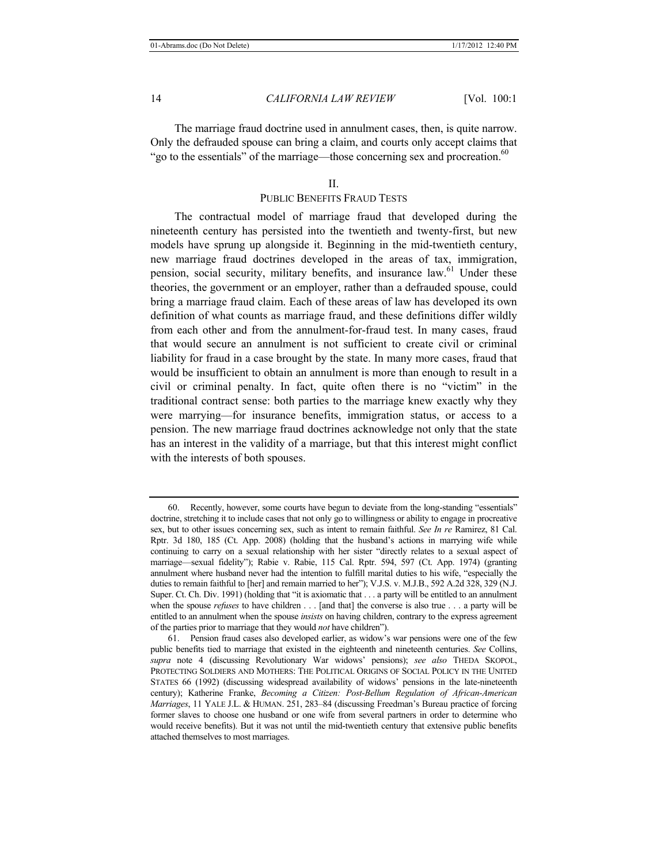The marriage fraud doctrine used in annulment cases, then, is quite narrow. Only the defrauded spouse can bring a claim, and courts only accept claims that "go to the essentials" of the marriage—those concerning sex and procreation.<sup>60</sup>

#### $II$ .

# PUBLIC BENEFITS FRAUD TESTS

The contractual model of marriage fraud that developed during the nineteenth century has persisted into the twentieth and twenty-first, but new models have sprung up alongside it. Beginning in the mid-twentieth century, new marriage fraud doctrines developed in the areas of tax, immigration, pension, social security, military benefits, and insurance law.<sup>61</sup> Under these theories, the government or an employer, rather than a defrauded spouse, could bring a marriage fraud claim. Each of these areas of law has developed its own definition of what counts as marriage fraud, and these definitions differ wildly from each other and from the annulment-for-fraud test. In many cases, fraud that would secure an annulment is not sufficient to create civil or criminal liability for fraud in a case brought by the state. In many more cases, fraud that would be insufficient to obtain an annulment is more than enough to result in a civil or criminal penalty. In fact, quite often there is no "victim" in the traditional contract sense: both parties to the marriage knew exactly why they were marrying—for insurance benefits, immigration status, or access to a pension. The new marriage fraud doctrines acknowledge not only that the state has an interest in the validity of a marriage, but that this interest might conflict with the interests of both spouses.

<sup>60.</sup> Recently, however, some courts have begun to deviate from the long-standing "essentials" doctrine, stretching it to include cases that not only go to willingness or ability to engage in procreative sex, but to other issues concerning sex, such as intent to remain faithful. *See In re* Ramirez, 81 Cal. Rptr. 3d 180, 185 (Ct. App. 2008) (holding that the husband's actions in marrying wife while continuing to carry on a sexual relationship with her sister "directly relates to a sexual aspect of marriage—sexual fidelity"); Rabie v. Rabie, 115 Cal. Rptr. 594, 597 (Ct. App. 1974) (granting annulment where husband never had the intention to fulfill marital duties to his wife, "especially the duties to remain faithful to [her] and remain married to her"); V.J.S. v. M.J.B., 592 A.2d 328, 329 (N.J. Super. Ct. Ch. Div. 1991) (holding that "it is axiomatic that . . . a party will be entitled to an annulment when the spouse *refuses* to have children . . . [and that] the converse is also true . . . a party will be entitled to an annulment when the spouse *insists* on having children, contrary to the express agreement of the parties prior to marriage that they would *not* have children").

<sup>61.</sup> Pension fraud cases also developed earlier, as widow's war pensions were one of the few public benefits tied to marriage that existed in the eighteenth and nineteenth centuries. *See* Collins, *supra* note 4 (discussing Revolutionary War widows' pensions); *see also* THEDA SKOPOL, PROTECTING SOLDIERS AND MOTHERS: THE POLITICAL ORIGINS OF SOCIAL POLICY IN THE UNITED STATES 66 (1992) (discussing widespread availability of widows' pensions in the late-nineteenth century); Katherine Franke, *Becoming a Citizen: Post-Bellum Regulation of African-American Marriages*, 11 YALE J.L. & HUMAN. 251, 283–84 (discussing Freedman's Bureau practice of forcing former slaves to choose one husband or one wife from several partners in order to determine who would receive benefits). But it was not until the mid-twentieth century that extensive public benefits attached themselves to most marriages.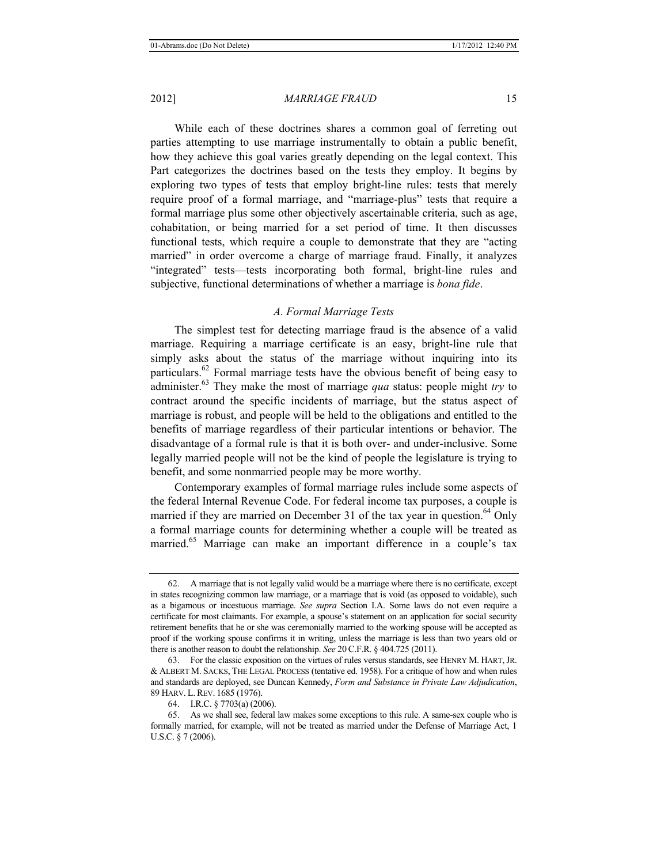While each of these doctrines shares a common goal of ferreting out parties attempting to use marriage instrumentally to obtain a public benefit, how they achieve this goal varies greatly depending on the legal context. This Part categorizes the doctrines based on the tests they employ. It begins by exploring two types of tests that employ bright-line rules: tests that merely require proof of a formal marriage, and "marriage-plus" tests that require a formal marriage plus some other objectively ascertainable criteria, such as age, cohabitation, or being married for a set period of time. It then discusses functional tests, which require a couple to demonstrate that they are "acting married" in order overcome a charge of marriage fraud. Finally, it analyzes "integrated" tests—tests incorporating both formal, bright-line rules and subjective, functional determinations of whether a marriage is *bona fide*.

# *A. Formal Marriage Tests*

The simplest test for detecting marriage fraud is the absence of a valid marriage. Requiring a marriage certificate is an easy, bright-line rule that simply asks about the status of the marriage without inquiring into its particulars.<sup>62</sup> Formal marriage tests have the obvious benefit of being easy to administer.63 They make the most of marriage *qua* status: people might *try* to contract around the specific incidents of marriage, but the status aspect of marriage is robust, and people will be held to the obligations and entitled to the benefits of marriage regardless of their particular intentions or behavior. The disadvantage of a formal rule is that it is both over- and under-inclusive. Some legally married people will not be the kind of people the legislature is trying to benefit, and some nonmarried people may be more worthy.

Contemporary examples of formal marriage rules include some aspects of the federal Internal Revenue Code. For federal income tax purposes, a couple is married if they are married on December 31 of the tax year in question.<sup>64</sup> Only a formal marriage counts for determining whether a couple will be treated as married.65 Marriage can make an important difference in a couple's tax

<sup>62.</sup> A marriage that is not legally valid would be a marriage where there is no certificate, except in states recognizing common law marriage, or a marriage that is void (as opposed to voidable), such as a bigamous or incestuous marriage. *See supra* Section I.A. Some laws do not even require a certificate for most claimants. For example, a spouse's statement on an application for social security retirement benefits that he or she was ceremonially married to the working spouse will be accepted as proof if the working spouse confirms it in writing, unless the marriage is less than two years old or there is another reason to doubt the relationship. *See* 20 C.F.R. § 404.725 (2011).

<sup>63.</sup> For the classic exposition on the virtues of rules versus standards, see HENRY M. HART,JR. & ALBERT M. SACKS, THE LEGAL PROCESS (tentative ed. 1958). For a critique of how and when rules and standards are deployed, see Duncan Kennedy, *Form and Substance in Private Law Adjudication*, 89 HARV. L.REV. 1685 (1976).

<sup>64.</sup> I.R.C. § 7703(a) (2006).

<sup>65.</sup> As we shall see, federal law makes some exceptions to this rule. A same-sex couple who is formally married, for example, will not be treated as married under the Defense of Marriage Act, 1 U.S.C. § 7 (2006).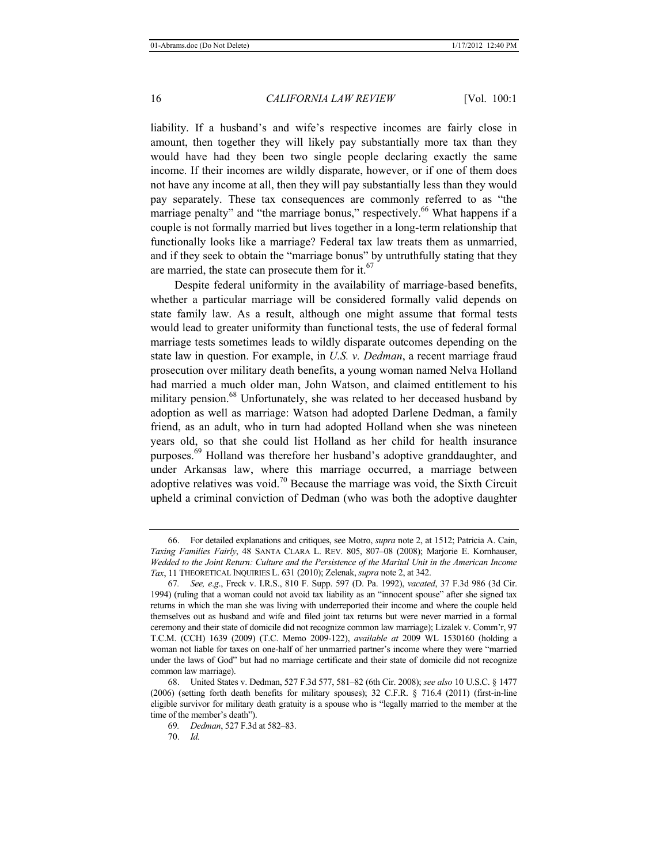liability. If a husband's and wife's respective incomes are fairly close in amount, then together they will likely pay substantially more tax than they would have had they been two single people declaring exactly the same income. If their incomes are wildly disparate, however, or if one of them does not have any income at all, then they will pay substantially less than they would pay separately. These tax consequences are commonly referred to as "the marriage penalty" and "the marriage bonus," respectively.<sup>66</sup> What happens if a couple is not formally married but lives together in a long-term relationship that functionally looks like a marriage? Federal tax law treats them as unmarried, and if they seek to obtain the "marriage bonus" by untruthfully stating that they are married, the state can prosecute them for it.<sup>67</sup>

Despite federal uniformity in the availability of marriage-based benefits, whether a particular marriage will be considered formally valid depends on state family law. As a result, although one might assume that formal tests would lead to greater uniformity than functional tests, the use of federal formal marriage tests sometimes leads to wildly disparate outcomes depending on the state law in question. For example, in *U.S. v. Dedman*, a recent marriage fraud prosecution over military death benefits, a young woman named Nelva Holland had married a much older man, John Watson, and claimed entitlement to his military pension.<sup>68</sup> Unfortunately, she was related to her deceased husband by adoption as well as marriage: Watson had adopted Darlene Dedman, a family friend, as an adult, who in turn had adopted Holland when she was nineteen years old, so that she could list Holland as her child for health insurance purposes.<sup>69</sup> Holland was therefore her husband's adoptive granddaughter, and under Arkansas law, where this marriage occurred, a marriage between adoptive relatives was void.<sup>70</sup> Because the marriage was void, the Sixth Circuit upheld a criminal conviction of Dedman (who was both the adoptive daughter

<sup>66.</sup> For detailed explanations and critiques, see Motro, *supra* note 2, at 1512; Patricia A. Cain, *Taxing Families Fairly*, 48 SANTA CLARA L. REV. 805, 807–08 (2008); Marjorie E. Kornhauser, *Wedded to the Joint Return: Culture and the Persistence of the Marital Unit in the American Income Tax*, 11 THEORETICAL INQUIRIES L. 631 (2010); Zelenak, *supra* note 2, at 342.

<sup>67</sup>*. See, e*.*g*., Freck v. I.R.S., 810 F. Supp. 597 (D. Pa. 1992), *vacated*, 37 F.3d 986 (3d Cir. 1994) (ruling that a woman could not avoid tax liability as an "innocent spouse" after she signed tax returns in which the man she was living with underreported their income and where the couple held themselves out as husband and wife and filed joint tax returns but were never married in a formal ceremony and their state of domicile did not recognize common law marriage); Lizalek v. Comm'r, 97 T.C.M. (CCH) 1639 (2009) (T.C. Memo 2009-122), *available at* 2009 WL 1530160 (holding a woman not liable for taxes on one-half of her unmarried partner's income where they were "married under the laws of God" but had no marriage certificate and their state of domicile did not recognize common law marriage).

<sup>68.</sup> United States v. Dedman, 527 F.3d 577, 581–82 (6th Cir. 2008); *see also* 10 U.S.C. § 1477 (2006) (setting forth death benefits for military spouses); 32 C.F.R. § 716.4 (2011) (first-in-line eligible survivor for military death gratuity is a spouse who is "legally married to the member at the time of the member's death").

<sup>69</sup>*. Dedman*, 527 F.3d at 582–83.

<sup>70.</sup> *Id.*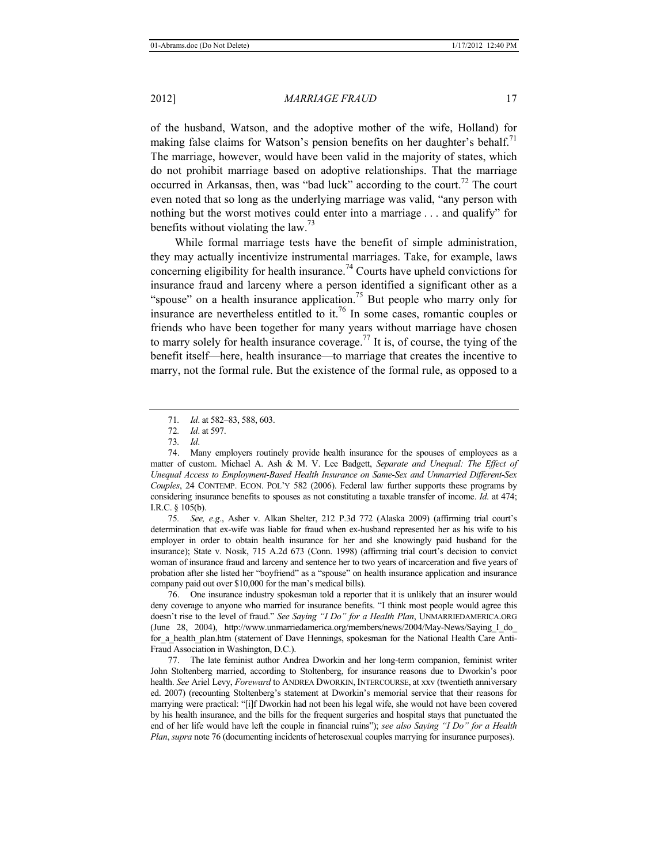of the husband, Watson, and the adoptive mother of the wife, Holland) for making false claims for Watson's pension benefits on her daughter's behalf.<sup>71</sup> The marriage, however, would have been valid in the majority of states, which do not prohibit marriage based on adoptive relationships. That the marriage occurred in Arkansas, then, was "bad luck" according to the court.<sup>72</sup> The court even noted that so long as the underlying marriage was valid, "any person with nothing but the worst motives could enter into a marriage . . . and qualify" for benefits without violating the law.<sup>73</sup>

While formal marriage tests have the benefit of simple administration, they may actually incentivize instrumental marriages. Take, for example, laws concerning eligibility for health insurance.<sup>74</sup> Courts have upheld convictions for insurance fraud and larceny where a person identified a significant other as a "spouse" on a health insurance application.<sup>75</sup> But people who marry only for insurance are nevertheless entitled to it.<sup>76</sup> In some cases, romantic couples or friends who have been together for many years without marriage have chosen to marry solely for health insurance coverage.<sup>77</sup> It is, of course, the tying of the benefit itself—here, health insurance—to marriage that creates the incentive to marry, not the formal rule. But the existence of the formal rule, as opposed to a

75*. See, e*.*g*., Asher v. Alkan Shelter, 212 P.3d 772 (Alaska 2009) (affirming trial court's determination that ex-wife was liable for fraud when ex-husband represented her as his wife to his employer in order to obtain health insurance for her and she knowingly paid husband for the insurance); State v. Nosik, 715 A.2d 673 (Conn. 1998) (affirming trial court's decision to convict woman of insurance fraud and larceny and sentence her to two years of incarceration and five years of probation after she listed her "boyfriend" as a "spouse" on health insurance application and insurance company paid out over \$10,000 for the man's medical bills).

76. One insurance industry spokesman told a reporter that it is unlikely that an insurer would deny coverage to anyone who married for insurance benefits. "I think most people would agree this doesn't rise to the level of fraud." *See Saying "I Do" for a Health Plan*, UNMARRIEDAMERICA.ORG (June 28, 2004), http://www.unmarriedamerica.org/members/news/2004/May-News/Saying\_I\_do\_ for a health plan.htm (statement of Dave Hennings, spokesman for the National Health Care Anti-Fraud Association in Washington, D.C.).

77. The late feminist author Andrea Dworkin and her long-term companion, feminist writer John Stoltenberg married, according to Stoltenberg, for insurance reasons due to Dworkin's poor health. *See* Ariel Levy, *Foreward* to ANDREA DWORKIN, INTERCOURSE, at xxv (twentieth anniversary ed. 2007) (recounting Stoltenberg's statement at Dworkin's memorial service that their reasons for marrying were practical: "[i]f Dworkin had not been his legal wife, she would not have been covered by his health insurance, and the bills for the frequent surgeries and hospital stays that punctuated the end of her life would have left the couple in financial ruins"); *see also Saying "I Do" for a Health Plan*, *supra* note 76 (documenting incidents of heterosexual couples marrying for insurance purposes).

<sup>71</sup>*. Id*. at 582–83, 588, 603.

<sup>72</sup>*. Id*. at 597.

<sup>73</sup>*. Id*.

<sup>74.</sup> Many employers routinely provide health insurance for the spouses of employees as a matter of custom. Michael A. Ash & M. V. Lee Badgett, *Separate and Unequal: The Effect of Unequal Access to Employment-Based Health Insurance on Same-Sex and Unmarried Different-Sex Couples*, 24 CONTEMP. ECON. POL'Y 582 (2006). Federal law further supports these programs by considering insurance benefits to spouses as not constituting a taxable transfer of income. *Id*. at 474; I.R.C. § 105(b).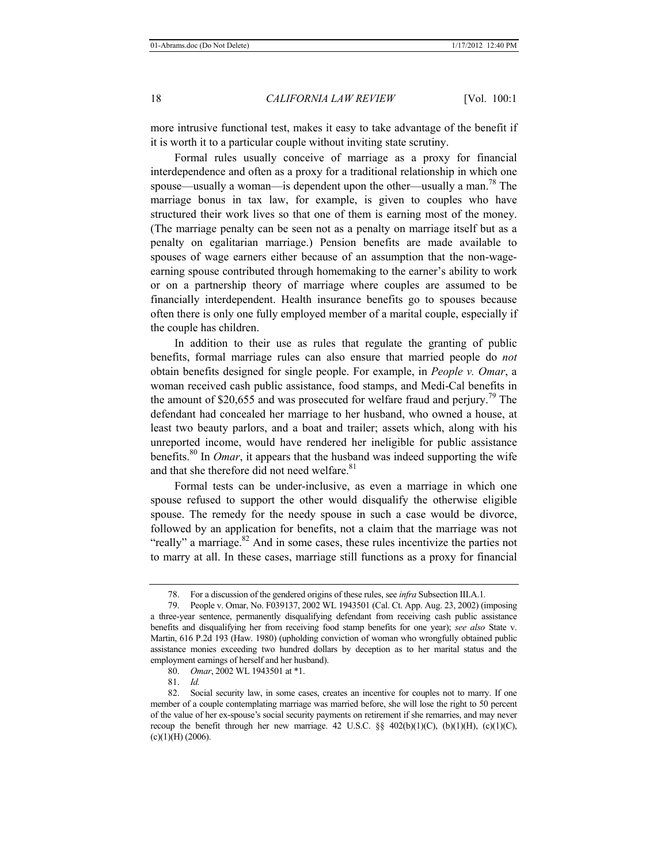more intrusive functional test, makes it easy to take advantage of the benefit if it is worth it to a particular couple without inviting state scrutiny.

Formal rules usually conceive of marriage as a proxy for financial interdependence and often as a proxy for a traditional relationship in which one spouse—usually a woman—is dependent upon the other—usually a man.<sup>78</sup> The marriage bonus in tax law, for example, is given to couples who have structured their work lives so that one of them is earning most of the money. (The marriage penalty can be seen not as a penalty on marriage itself but as a penalty on egalitarian marriage.) Pension benefits are made available to spouses of wage earners either because of an assumption that the non-wageearning spouse contributed through homemaking to the earner's ability to work or on a partnership theory of marriage where couples are assumed to be financially interdependent. Health insurance benefits go to spouses because often there is only one fully employed member of a marital couple, especially if the couple has children.

In addition to their use as rules that regulate the granting of public benefits, formal marriage rules can also ensure that married people do *not* obtain benefits designed for single people. For example, in *People v. Omar*, a woman received cash public assistance, food stamps, and Medi-Cal benefits in the amount of \$20,655 and was prosecuted for welfare fraud and perjury.<sup>79</sup> The defendant had concealed her marriage to her husband, who owned a house, at least two beauty parlors, and a boat and trailer; assets which, along with his unreported income, would have rendered her ineligible for public assistance benefits.80 In *Omar*, it appears that the husband was indeed supporting the wife and that she therefore did not need welfare.<sup>81</sup>

Formal tests can be under-inclusive, as even a marriage in which one spouse refused to support the other would disqualify the otherwise eligible spouse. The remedy for the needy spouse in such a case would be divorce, followed by an application for benefits, not a claim that the marriage was not "really" a marriage.<sup>82</sup> And in some cases, these rules incentivize the parties not to marry at all. In these cases, marriage still functions as a proxy for financial

81. *Id.* 

<sup>78.</sup> For a discussion of the gendered origins of these rules, see *infra* Subsection III.A.1*.* 

<sup>79.</sup> People v. Omar, No. F039137, 2002 WL 1943501 (Cal. Ct. App. Aug. 23, 2002) (imposing a three-year sentence, permanently disqualifying defendant from receiving cash public assistance benefits and disqualifying her from receiving food stamp benefits for one year); *see also* State v. Martin, 616 P.2d 193 (Haw. 1980) (upholding conviction of woman who wrongfully obtained public assistance monies exceeding two hundred dollars by deception as to her marital status and the employment earnings of herself and her husband).

<sup>80.</sup> *Omar*, 2002 WL 1943501 at \*1.

<sup>82.</sup> Social security law, in some cases, creates an incentive for couples not to marry. If one member of a couple contemplating marriage was married before, she will lose the right to 50 percent of the value of her ex-spouse's social security payments on retirement if she remarries, and may never recoup the benefit through her new marriage. 42 U.S.C. §§  $402(b)(1)(C)$ ,  $(b)(1)(H)$ ,  $(c)(1)(C)$ ,  $(c)(1)(H) (2006).$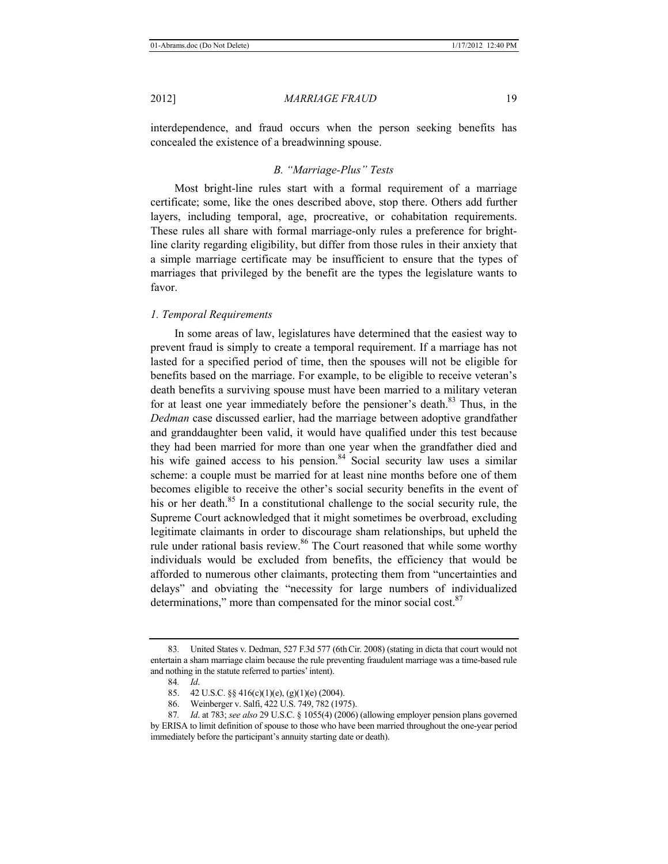interdependence, and fraud occurs when the person seeking benefits has concealed the existence of a breadwinning spouse.

# *B. "Marriage-Plus" Tests*

Most bright-line rules start with a formal requirement of a marriage certificate; some, like the ones described above, stop there. Others add further layers, including temporal, age, procreative, or cohabitation requirements. These rules all share with formal marriage-only rules a preference for brightline clarity regarding eligibility, but differ from those rules in their anxiety that a simple marriage certificate may be insufficient to ensure that the types of marriages that privileged by the benefit are the types the legislature wants to favor.

#### *1. Temporal Requirements*

In some areas of law, legislatures have determined that the easiest way to prevent fraud is simply to create a temporal requirement. If a marriage has not lasted for a specified period of time, then the spouses will not be eligible for benefits based on the marriage. For example, to be eligible to receive veteran's death benefits a surviving spouse must have been married to a military veteran for at least one year immediately before the pensioner's death.<sup>83</sup> Thus, in the *Dedman* case discussed earlier, had the marriage between adoptive grandfather and granddaughter been valid, it would have qualified under this test because they had been married for more than one year when the grandfather died and his wife gained access to his pension. $84$  Social security law uses a similar scheme: a couple must be married for at least nine months before one of them becomes eligible to receive the other's social security benefits in the event of his or her death.<sup>85</sup> In a constitutional challenge to the social security rule, the Supreme Court acknowledged that it might sometimes be overbroad, excluding legitimate claimants in order to discourage sham relationships, but upheld the rule under rational basis review.<sup>86</sup> The Court reasoned that while some worthy individuals would be excluded from benefits, the efficiency that would be afforded to numerous other claimants, protecting them from "uncertainties and delays" and obviating the "necessity for large numbers of individualized determinations," more than compensated for the minor social cost. $87$ 

<sup>83</sup>*.* United States v. Dedman, 527 F.3d 577 (6thCir. 2008) (stating in dicta that court would not entertain a sham marriage claim because the rule preventing fraudulent marriage was a time-based rule and nothing in the statute referred to parties' intent).

<sup>84</sup>*. Id*.

<sup>85. 42</sup> U.S.C. §§ 416(c)(1)(e), (g)(1)(e) (2004).

<sup>86.</sup> Weinberger v. Salfi, 422 U.S. 749, 782 (1975).

<sup>87</sup>*. Id*. at 783; *see also* 29 U.S.C. § 1055(4) (2006) (allowing employer pension plans governed by ERISA to limit definition of spouse to those who have been married throughout the one-year period immediately before the participant's annuity starting date or death).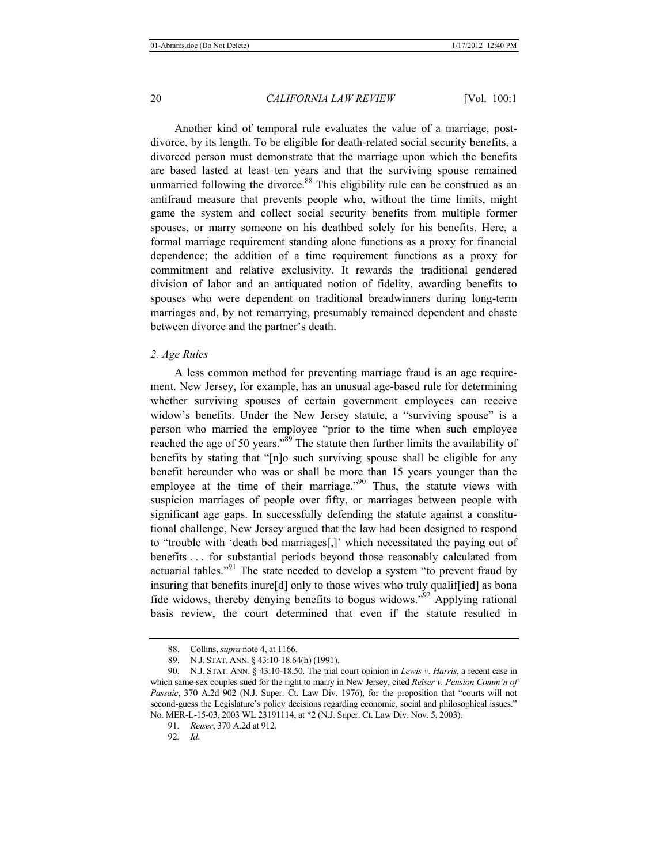Another kind of temporal rule evaluates the value of a marriage, postdivorce, by its length. To be eligible for death-related social security benefits, a divorced person must demonstrate that the marriage upon which the benefits are based lasted at least ten years and that the surviving spouse remained unmarried following the divorce. $88$  This eligibility rule can be construed as an antifraud measure that prevents people who, without the time limits, might game the system and collect social security benefits from multiple former spouses, or marry someone on his deathbed solely for his benefits. Here, a formal marriage requirement standing alone functions as a proxy for financial dependence; the addition of a time requirement functions as a proxy for commitment and relative exclusivity. It rewards the traditional gendered division of labor and an antiquated notion of fidelity, awarding benefits to spouses who were dependent on traditional breadwinners during long-term marriages and, by not remarrying, presumably remained dependent and chaste between divorce and the partner's death.

# *2. Age Rules*

A less common method for preventing marriage fraud is an age requirement. New Jersey, for example, has an unusual age-based rule for determining whether surviving spouses of certain government employees can receive widow's benefits. Under the New Jersey statute, a "surviving spouse" is a person who married the employee "prior to the time when such employee reached the age of 50 years."<sup>89</sup> The statute then further limits the availability of benefits by stating that "[n]o such surviving spouse shall be eligible for any benefit hereunder who was or shall be more than 15 years younger than the employee at the time of their marriage."<sup>90</sup> Thus, the statute views with suspicion marriages of people over fifty, or marriages between people with significant age gaps. In successfully defending the statute against a constitutional challenge, New Jersey argued that the law had been designed to respond to "trouble with 'death bed marriages[,]' which necessitated the paying out of benefits . . . for substantial periods beyond those reasonably calculated from actuarial tables."<sup>91</sup> The state needed to develop a system "to prevent fraud by insuring that benefits inure<sup>[d]</sup> only to those wives who truly qualif<sup>[ied]</sup> as bona fide widows, thereby denying benefits to bogus widows."92 Applying rational basis review, the court determined that even if the statute resulted in

<sup>88.</sup> Collins, *supra* note 4, at 1166.

<sup>89.</sup> N.J. STAT. ANN. § 43:10-18.64(h) (1991).

<sup>90.</sup> N.J. STAT. ANN. § 43:10-18.50. The trial court opinion in *Lewis v*. *Harris*, a recent case in which same-sex couples sued for the right to marry in New Jersey, cited *Reiser v. Pension Comm'n of Passaic*, 370 A.2d 902 (N.J. Super. Ct. Law Div. 1976), for the proposition that "courts will not second-guess the Legislature's policy decisions regarding economic, social and philosophical issues." No. MER-L-15-03, 2003 WL 23191114, at \*2 (N.J. Super. Ct. Law Div. Nov. 5, 2003).

<sup>91.</sup> *Reiser*, 370 A.2d at 912.

<sup>92</sup>*. Id*.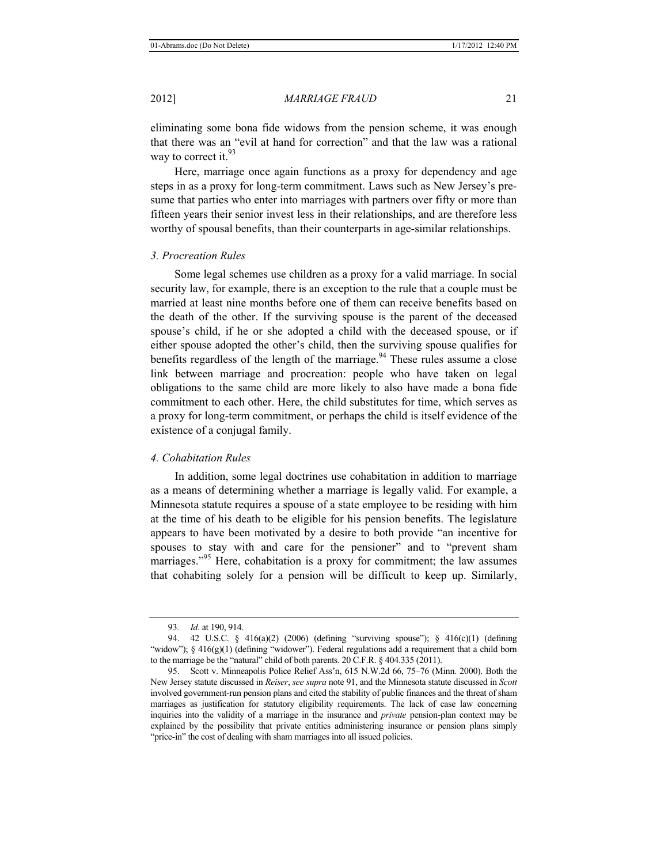eliminating some bona fide widows from the pension scheme, it was enough that there was an "evil at hand for correction" and that the law was a rational way to correct it. $93$ 

Here, marriage once again functions as a proxy for dependency and age steps in as a proxy for long-term commitment. Laws such as New Jersey's presume that parties who enter into marriages with partners over fifty or more than fifteen years their senior invest less in their relationships, and are therefore less worthy of spousal benefits, than their counterparts in age-similar relationships.

#### *3. Procreation Rules*

Some legal schemes use children as a proxy for a valid marriage. In social security law, for example, there is an exception to the rule that a couple must be married at least nine months before one of them can receive benefits based on the death of the other. If the surviving spouse is the parent of the deceased spouse's child, if he or she adopted a child with the deceased spouse, or if either spouse adopted the other's child, then the surviving spouse qualifies for benefits regardless of the length of the marriage.<sup>94</sup> These rules assume a close link between marriage and procreation: people who have taken on legal obligations to the same child are more likely to also have made a bona fide commitment to each other. Here, the child substitutes for time, which serves as a proxy for long-term commitment, or perhaps the child is itself evidence of the existence of a conjugal family.

# *4. Cohabitation Rules*

In addition, some legal doctrines use cohabitation in addition to marriage as a means of determining whether a marriage is legally valid. For example, a Minnesota statute requires a spouse of a state employee to be residing with him at the time of his death to be eligible for his pension benefits. The legislature appears to have been motivated by a desire to both provide "an incentive for spouses to stay with and care for the pensioner" and to "prevent sham marriages."<sup>95</sup> Here, cohabitation is a proxy for commitment; the law assumes that cohabiting solely for a pension will be difficult to keep up. Similarly,

<sup>93</sup>*. Id*. at 190, 914.

<sup>94. 42</sup> U.S.C. § 416(a)(2) (2006) (defining "surviving spouse"); § 416(c)(1) (defining "widow"); § 416(g)(1) (defining "widower"). Federal regulations add a requirement that a child born to the marriage be the "natural" child of both parents. 20 C.F.R. § 404.335 (2011).

<sup>95.</sup> Scott v. Minneapolis Police Relief Ass'n, 615 N.W.2d 66, 75–76 (Minn. 2000). Both the New Jersey statute discussed in *Reiser*, *see supra* note 91, and the Minnesota statute discussed in *Scott*  involved government-run pension plans and cited the stability of public finances and the threat of sham marriages as justification for statutory eligibility requirements. The lack of case law concerning inquiries into the validity of a marriage in the insurance and *private* pension-plan context may be explained by the possibility that private entities administering insurance or pension plans simply "price-in" the cost of dealing with sham marriages into all issued policies.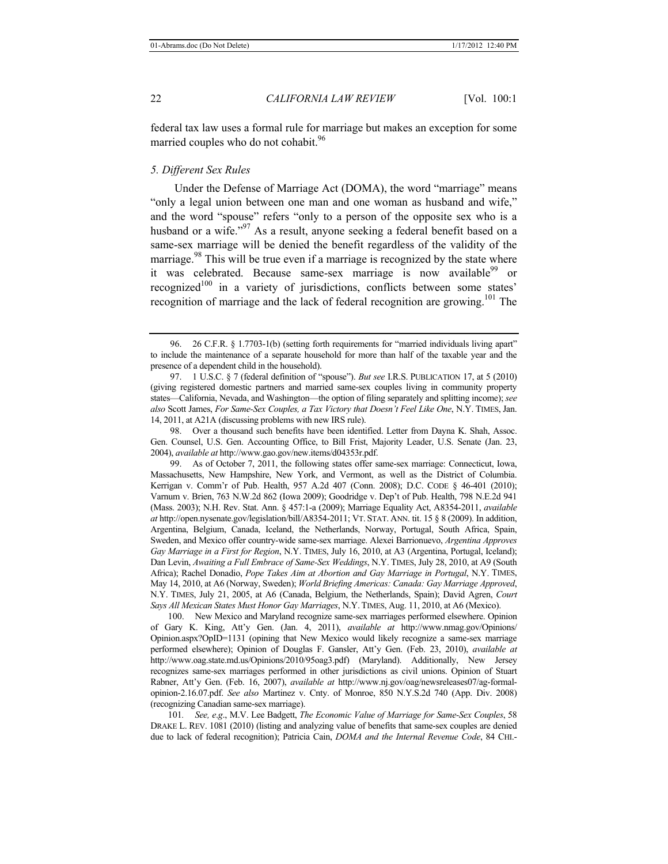federal tax law uses a formal rule for marriage but makes an exception for some married couples who do not cohabit.<sup>96</sup>

# *5. Different Sex Rules*

Under the Defense of Marriage Act (DOMA), the word "marriage" means "only a legal union between one man and one woman as husband and wife," and the word "spouse" refers "only to a person of the opposite sex who is a husband or a wife."<sup>97</sup> As a result, anyone seeking a federal benefit based on a same-sex marriage will be denied the benefit regardless of the validity of the marriage. $98$  This will be true even if a marriage is recognized by the state where it was celebrated. Because same-sex marriage is now available<sup>99</sup> or recognized<sup>100</sup> in a variety of jurisdictions, conflicts between some states' recognition of marriage and the lack of federal recognition are growing.<sup>101</sup> The

 99. As of October 7, 2011, the following states offer same-sex marriage: Connecticut, Iowa, Massachusetts, New Hampshire, New York, and Vermont, as well as the District of Columbia. Kerrigan v. Comm'r of Pub. Health, 957 A.2d 407 (Conn. 2008); D.C. CODE § 46-401 (2010); Varnum v. Brien, 763 N.W.2d 862 (Iowa 2009); Goodridge v. Dep't of Pub. Health, 798 N.E.2d 941 (Mass. 2003); N.H. Rev. Stat. Ann. § 457:1-a (2009); Marriage Equality Act, A8354-2011, *available at* http://open.nysenate.gov/legislation/bill/A8354-2011; VT. STAT. ANN. tit. 15 § 8 (2009). In addition, Argentina, Belgium, Canada, Iceland, the Netherlands, Norway, Portugal, South Africa, Spain, Sweden, and Mexico offer country-wide same-sex marriage. Alexei Barrionuevo, *Argentina Approves Gay Marriage in a First for Region*, N.Y. TIMES, July 16, 2010, at A3 (Argentina, Portugal, Iceland); Dan Levin, *Awaiting a Full Embrace of Same-Sex Weddings*, N.Y. TIMES, July 28, 2010, at A9 (South Africa); Rachel Donadio, *Pope Takes Aim at Abortion and Gay Marriage in Portugal*, N.Y. TIMES, May 14, 2010, at A6 (Norway, Sweden); *World Briefing Americas: Canada: Gay Marriage Approved*, N.Y. TIMES, July 21, 2005, at A6 (Canada, Belgium, the Netherlands, Spain); David Agren, *Court Says All Mexican States Must Honor Gay Marriages*, N.Y. TIMES, Aug. 11, 2010, at A6 (Mexico).

100. New Mexico and Maryland recognize same-sex marriages performed elsewhere. Opinion of Gary K. King, Att'y Gen. (Jan. 4, 2011), *available at* http://www.nmag.gov/Opinions/ Opinion.aspx?OpID=1131 (opining that New Mexico would likely recognize a same-sex marriage performed elsewhere); Opinion of Douglas F. Gansler, Att'y Gen. (Feb. 23, 2010), *available at* http://www.oag.state.md.us/Opinions/2010/95oag3.pdf) (Maryland). Additionally, New Jersey recognizes same-sex marriages performed in other jurisdictions as civil unions. Opinion of Stuart Rabner, Att'y Gen. (Feb. 16, 2007), *available at* http://www.nj.gov/oag/newsreleases07/ag-formalopinion-2.16.07.pdf. *See also* Martinez v. Cnty. of Monroe, 850 N.Y.S.2d 740 (App. Div. 2008) (recognizing Canadian same-sex marriage).

101*. See, e*.*g*., M.V. Lee Badgett, *The Economic Value of Marriage for Same-Sex Couples*, 58 DRAKE L. REV. 1081 (2010) (listing and analyzing value of benefits that same-sex couples are denied due to lack of federal recognition); Patricia Cain, *DOMA and the Internal Revenue Code*, 84 CHI.-

 <sup>96. 26</sup> C.F.R. § 1.7703-1(b) (setting forth requirements for "married individuals living apart" to include the maintenance of a separate household for more than half of the taxable year and the presence of a dependent child in the household).

 <sup>97. 1</sup> U.S.C. § 7 (federal definition of "spouse"). *But see* I.R.S. PUBLICATION 17, at 5 (2010) (giving registered domestic partners and married same-sex couples living in community property states—California, Nevada, and Washington—the option of filing separately and splitting income); *see also* Scott James, *For Same-Sex Couples, a Tax Victory that Doesn't Feel Like One*, N.Y. TIMES, Jan. 14, 2011, at A21A (discussing problems with new IRS rule).

 <sup>98.</sup> Over a thousand such benefits have been identified. Letter from Dayna K. Shah, Assoc. Gen. Counsel, U.S. Gen. Accounting Office, to Bill Frist, Majority Leader, U.S. Senate (Jan. 23, 2004), *available at* http://www.gao.gov/new.items/d04353r.pdf.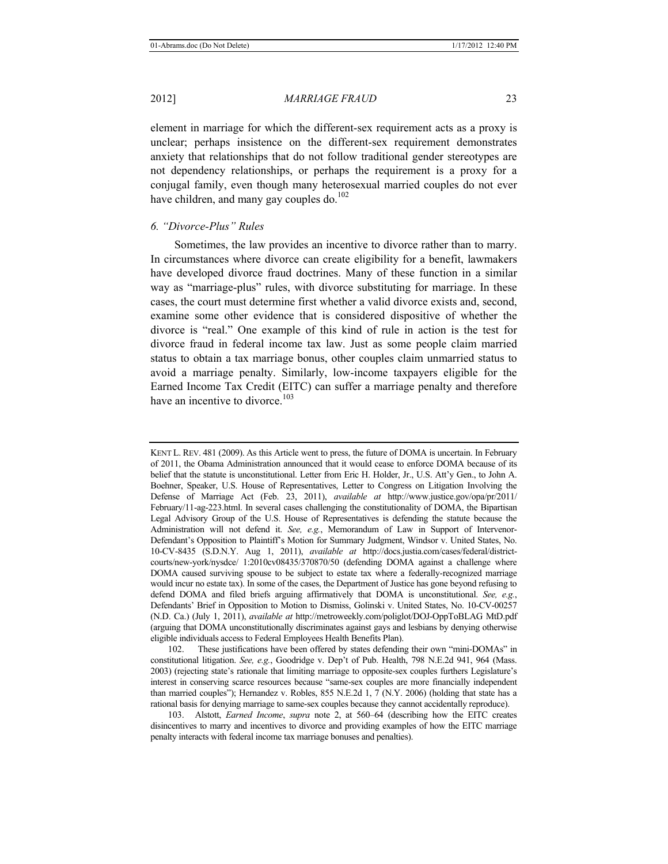element in marriage for which the different-sex requirement acts as a proxy is unclear; perhaps insistence on the different-sex requirement demonstrates anxiety that relationships that do not follow traditional gender stereotypes are not dependency relationships, or perhaps the requirement is a proxy for a conjugal family, even though many heterosexual married couples do not ever have children, and many gay couples do.<sup>102</sup>

# *6. "Divorce-Plus" Rules*

Sometimes, the law provides an incentive to divorce rather than to marry. In circumstances where divorce can create eligibility for a benefit, lawmakers have developed divorce fraud doctrines. Many of these function in a similar way as "marriage-plus" rules, with divorce substituting for marriage. In these cases, the court must determine first whether a valid divorce exists and, second, examine some other evidence that is considered dispositive of whether the divorce is "real." One example of this kind of rule in action is the test for divorce fraud in federal income tax law. Just as some people claim married status to obtain a tax marriage bonus, other couples claim unmarried status to avoid a marriage penalty. Similarly, low-income taxpayers eligible for the Earned Income Tax Credit (EITC) can suffer a marriage penalty and therefore have an incentive to divorce.<sup>103</sup>

102. These justifications have been offered by states defending their own "mini-DOMAs" in constitutional litigation. *See, e.g.*, Goodridge v. Dep't of Pub. Health, 798 N.E.2d 941, 964 (Mass. 2003) (rejecting state's rationale that limiting marriage to opposite-sex couples furthers Legislature's interest in conserving scarce resources because "same-sex couples are more financially independent than married couples"); Hernandez v. Robles, 855 N.E.2d 1, 7 (N.Y. 2006) (holding that state has a rational basis for denying marriage to same-sex couples because they cannot accidentally reproduce).

103. Alstott, *Earned Income*, *supra* note 2, at 560–64 (describing how the EITC creates disincentives to marry and incentives to divorce and providing examples of how the EITC marriage penalty interacts with federal income tax marriage bonuses and penalties).

KENT L. REV. 481 (2009). As this Article went to press, the future of DOMA is uncertain. In February of 2011, the Obama Administration announced that it would cease to enforce DOMA because of its belief that the statute is unconstitutional. Letter from Eric H. Holder, Jr., U.S. Att'y Gen., to John A. Boehner, Speaker, U.S. House of Representatives, Letter to Congress on Litigation Involving the Defense of Marriage Act (Feb. 23, 2011), *available at* http://www.justice.gov/opa/pr/2011/ February/11-ag-223.html. In several cases challenging the constitutionality of DOMA, the Bipartisan Legal Advisory Group of the U.S. House of Representatives is defending the statute because the Administration will not defend it. *See, e.g.*, Memorandum of Law in Support of Intervenor-Defendant's Opposition to Plaintiff's Motion for Summary Judgment, Windsor v. United States, No. 10-CV-8435 (S.D.N.Y. Aug 1, 2011), *available at* http://docs.justia.com/cases/federal/districtcourts/new-york/nysdce/ 1:2010cv08435/370870/50 (defending DOMA against a challenge where DOMA caused surviving spouse to be subject to estate tax where a federally-recognized marriage would incur no estate tax). In some of the cases, the Department of Justice has gone beyond refusing to defend DOMA and filed briefs arguing affirmatively that DOMA is unconstitutional. *See, e.g.*, Defendants' Brief in Opposition to Motion to Dismiss, Golinski v. United States, No. 10-CV-00257 (N.D. Ca.) (July 1, 2011), *available at* http://metroweekly.com/poliglot/DOJ-OppToBLAG MtD.pdf (arguing that DOMA unconstitutionally discriminates against gays and lesbians by denying otherwise eligible individuals access to Federal Employees Health Benefits Plan).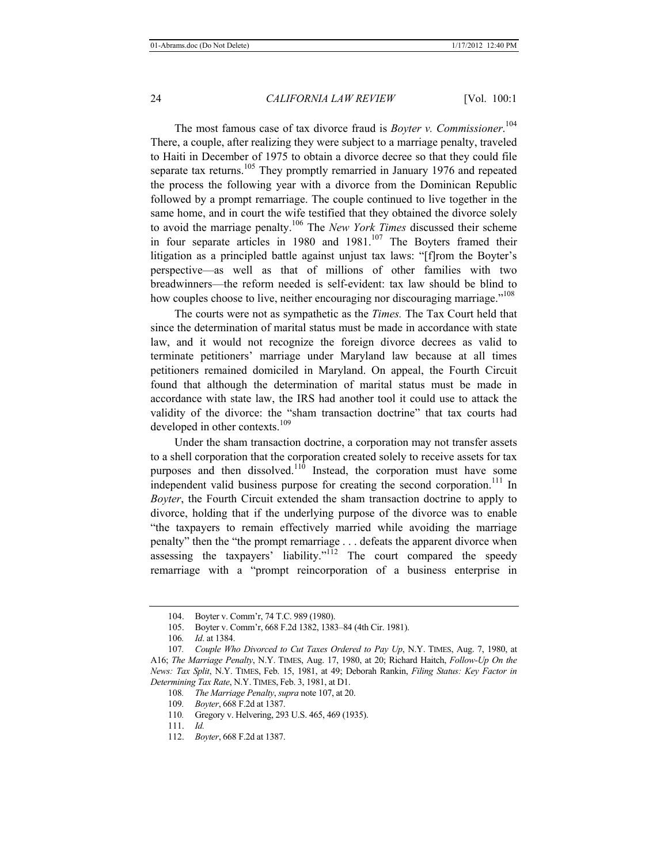The most famous case of tax divorce fraud is *Boyter v. Commissioner*. 104 There, a couple, after realizing they were subject to a marriage penalty, traveled to Haiti in December of 1975 to obtain a divorce decree so that they could file separate tax returns.<sup>105</sup> They promptly remarried in January 1976 and repeated the process the following year with a divorce from the Dominican Republic followed by a prompt remarriage. The couple continued to live together in the same home, and in court the wife testified that they obtained the divorce solely to avoid the marriage penalty.106 The *New York Times* discussed their scheme in four separate articles in 1980 and  $1981$ .<sup>107</sup> The Boyters framed their litigation as a principled battle against unjust tax laws: "[f]rom the Boyter's perspective—as well as that of millions of other families with two breadwinners—the reform needed is self-evident: tax law should be blind to how couples choose to live, neither encouraging nor discouraging marriage."<sup>108</sup>

The courts were not as sympathetic as the *Times.* The Tax Court held that since the determination of marital status must be made in accordance with state law, and it would not recognize the foreign divorce decrees as valid to terminate petitioners' marriage under Maryland law because at all times petitioners remained domiciled in Maryland. On appeal, the Fourth Circuit found that although the determination of marital status must be made in accordance with state law, the IRS had another tool it could use to attack the validity of the divorce: the "sham transaction doctrine" that tax courts had developed in other contexts.<sup>109</sup>

Under the sham transaction doctrine, a corporation may not transfer assets to a shell corporation that the corporation created solely to receive assets for tax purposes and then dissolved. $110$  Instead, the corporation must have some independent valid business purpose for creating the second corporation.<sup>111</sup> In *Boyter*, the Fourth Circuit extended the sham transaction doctrine to apply to divorce, holding that if the underlying purpose of the divorce was to enable "the taxpayers to remain effectively married while avoiding the marriage penalty" then the "the prompt remarriage . . . defeats the apparent divorce when assessing the taxpayers' liability."<sup>112</sup> The court compared the speedy remarriage with a "prompt reincorporation of a business enterprise in

- 109*. Boyter*, 668 F.2d at 1387.
- 110*.* Gregory v. Helvering, 293 U.S. 465, 469 (1935).
- 111. *Id.*

<sup>104.</sup> Boyter v. Comm'r, 74 T.C. 989 (1980).

<sup>105.</sup> Boyter v. Comm'r, 668 F.2d 1382, 1383–84 (4th Cir. 1981).

<sup>106</sup>*. Id*. at 1384.

<sup>107</sup>*. Couple Who Divorced to Cut Taxes Ordered to Pay Up*, N.Y. TIMES, Aug. 7, 1980, at A16; *The Marriage Penalty*, N.Y. TIMES, Aug. 17, 1980, at 20; Richard Haitch, *Follow-Up On the News: Tax Split*, N.Y. TIMES, Feb. 15, 1981, at 49; Deborah Rankin, *Filing Status: Key Factor in Determining Tax Rate*, N.Y. TIMES, Feb. 3, 1981, at D1.

<sup>108</sup>*. The Marriage Penalty*, *supra* note 107, at 20.

<sup>112.</sup> *Boyter*, 668 F.2d at 1387.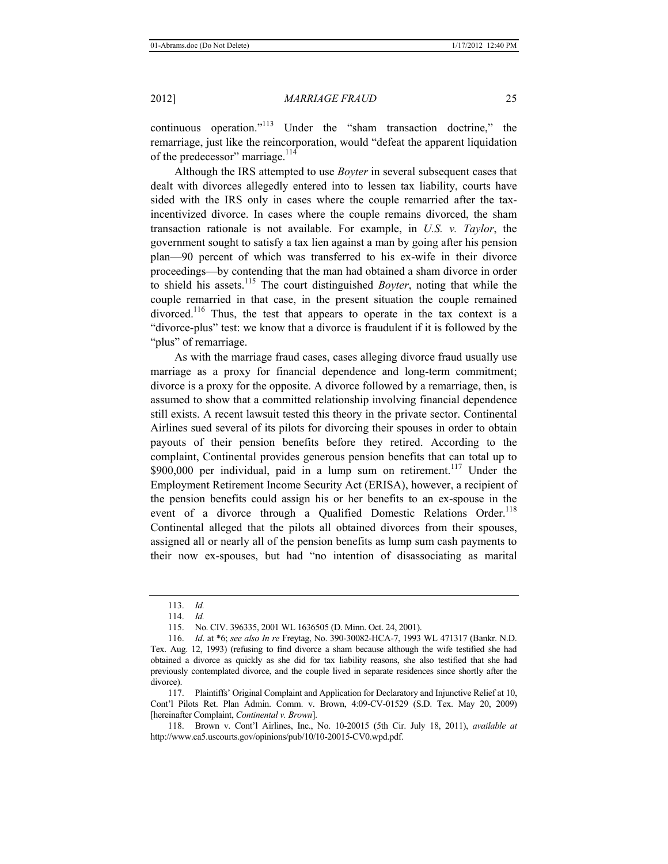continuous operation."<sup>113</sup> Under the "sham transaction doctrine," the remarriage, just like the reincorporation, would "defeat the apparent liquidation of the predecessor" marriage. $114$ 

Although the IRS attempted to use *Boyter* in several subsequent cases that dealt with divorces allegedly entered into to lessen tax liability, courts have sided with the IRS only in cases where the couple remarried after the taxincentivized divorce. In cases where the couple remains divorced, the sham transaction rationale is not available. For example, in *U.S. v. Taylor*, the government sought to satisfy a tax lien against a man by going after his pension plan—90 percent of which was transferred to his ex-wife in their divorce proceedings—by contending that the man had obtained a sham divorce in order to shield his assets.115 The court distinguished *Boyter*, noting that while the couple remarried in that case, in the present situation the couple remained divorced.<sup>116</sup> Thus, the test that appears to operate in the tax context is a "divorce-plus" test: we know that a divorce is fraudulent if it is followed by the "plus" of remarriage.

As with the marriage fraud cases, cases alleging divorce fraud usually use marriage as a proxy for financial dependence and long-term commitment; divorce is a proxy for the opposite. A divorce followed by a remarriage, then, is assumed to show that a committed relationship involving financial dependence still exists. A recent lawsuit tested this theory in the private sector. Continental Airlines sued several of its pilots for divorcing their spouses in order to obtain payouts of their pension benefits before they retired. According to the complaint, Continental provides generous pension benefits that can total up to \$900,000 per individual, paid in a lump sum on retirement.<sup>117</sup> Under the Employment Retirement Income Security Act (ERISA), however, a recipient of the pension benefits could assign his or her benefits to an ex-spouse in the event of a divorce through a Qualified Domestic Relations Order.<sup>118</sup> Continental alleged that the pilots all obtained divorces from their spouses, assigned all or nearly all of the pension benefits as lump sum cash payments to their now ex-spouses, but had "no intention of disassociating as marital

117. Plaintiffs' Original Complaint and Application for Declaratory and Injunctive Relief at 10, Cont'l Pilots Ret. Plan Admin. Comm. v. Brown, 4:09-CV-01529 (S.D. Tex. May 20, 2009) [hereinafter Complaint, *Continental v. Brown*].

<sup>113.</sup> *Id.*

<sup>114.</sup> *Id.*

<sup>115.</sup> No. CIV. 396335, 2001 WL 1636505 (D. Minn. Oct. 24, 2001).

<sup>116.</sup> *Id*. at \*6; *see also In re* Freytag, No. 390-30082-HCA-7, 1993 WL 471317 (Bankr. N.D. Tex. Aug. 12, 1993) (refusing to find divorce a sham because although the wife testified she had obtained a divorce as quickly as she did for tax liability reasons, she also testified that she had previously contemplated divorce, and the couple lived in separate residences since shortly after the divorce).

<sup>118.</sup> Brown v. Cont'l Airlines, Inc., No. 10-20015 (5th Cir. July 18, 2011), *available at*  http://www.ca5.uscourts.gov/opinions/pub/10/10-20015-CV0.wpd.pdf.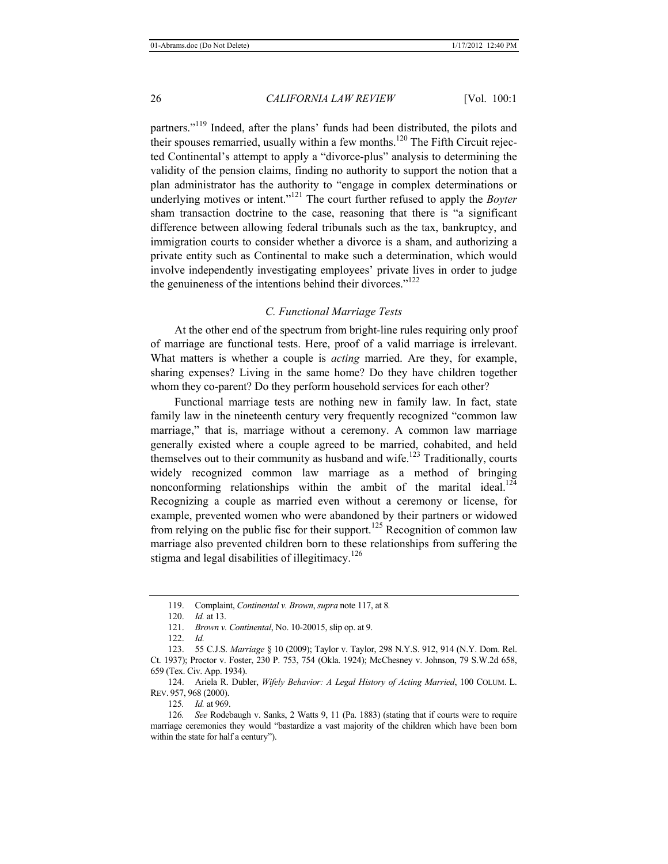partners."119 Indeed, after the plans' funds had been distributed, the pilots and their spouses remarried, usually within a few months.<sup>120</sup> The Fifth Circuit rejected Continental's attempt to apply a "divorce-plus" analysis to determining the validity of the pension claims, finding no authority to support the notion that a plan administrator has the authority to "engage in complex determinations or underlying motives or intent."<sup>121</sup> The court further refused to apply the *Boyter* sham transaction doctrine to the case, reasoning that there is "a significant difference between allowing federal tribunals such as the tax, bankruptcy, and immigration courts to consider whether a divorce is a sham, and authorizing a private entity such as Continental to make such a determination, which would involve independently investigating employees' private lives in order to judge the genuineness of the intentions behind their divorces."<sup>122</sup>

# *C. Functional Marriage Tests*

At the other end of the spectrum from bright-line rules requiring only proof of marriage are functional tests. Here, proof of a valid marriage is irrelevant. What matters is whether a couple is *acting* married. Are they, for example, sharing expenses? Living in the same home? Do they have children together whom they co-parent? Do they perform household services for each other?

Functional marriage tests are nothing new in family law. In fact, state family law in the nineteenth century very frequently recognized "common law marriage," that is, marriage without a ceremony. A common law marriage generally existed where a couple agreed to be married, cohabited, and held themselves out to their community as husband and wife.<sup>123</sup> Traditionally, courts widely recognized common law marriage as a method of bringing nonconforming relationships within the ambit of the marital ideal. $^{124}$ Recognizing a couple as married even without a ceremony or license, for example, prevented women who were abandoned by their partners or widowed from relying on the public fisc for their support.<sup>125</sup> Recognition of common law marriage also prevented children born to these relationships from suffering the stigma and legal disabilities of illegitimacy.<sup>126</sup>

124. Ariela R. Dubler, *Wifely Behavior: A Legal History of Acting Married*, 100 COLUM. L. REV. 957, 968 (2000).

125*. Id.* at 969.

<sup>119.</sup> Complaint, *Continental v. Brown*, *supra* note 117, at 8*.*

<sup>120.</sup> *Id.* at 13.

<sup>121.</sup> *Brown v. Continental*, No. 10-20015, slip op. at 9.

<sup>122.</sup> *Id.*

<sup>123. 55</sup> C.J.S. *Marriage* § 10 (2009); Taylor v. Taylor, 298 N.Y.S. 912, 914 (N.Y. Dom. Rel. Ct. 1937); Proctor v. Foster, 230 P. 753, 754 (Okla. 1924); McChesney v. Johnson, 79 S.W.2d 658, 659 (Tex. Civ. App. 1934).

<sup>126</sup>*. See* Rodebaugh v. Sanks, 2 Watts 9, 11 (Pa. 1883) (stating that if courts were to require marriage ceremonies they would "bastardize a vast majority of the children which have been born within the state for half a century").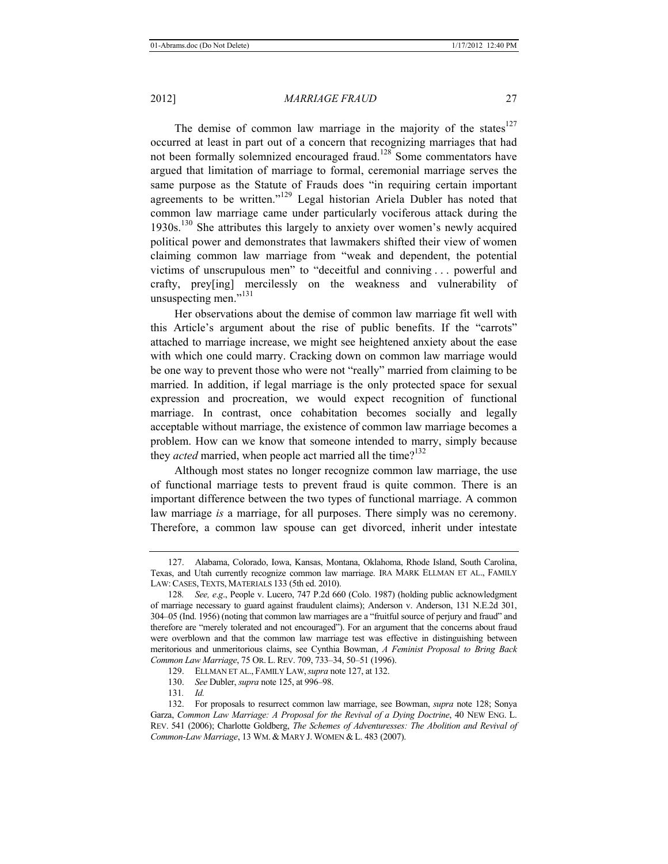The demise of common law marriage in the majority of the states $127$ occurred at least in part out of a concern that recognizing marriages that had not been formally solemnized encouraged fraud.128 Some commentators have argued that limitation of marriage to formal, ceremonial marriage serves the same purpose as the Statute of Frauds does "in requiring certain important agreements to be written."129 Legal historian Ariela Dubler has noted that common law marriage came under particularly vociferous attack during the  $1930s$ .<sup>130</sup> She attributes this largely to anxiety over women's newly acquired political power and demonstrates that lawmakers shifted their view of women claiming common law marriage from "weak and dependent, the potential victims of unscrupulous men" to "deceitful and conniving . . . powerful and crafty, prey[ing] mercilessly on the weakness and vulnerability of unsuspecting men."<sup>131</sup>

Her observations about the demise of common law marriage fit well with this Article's argument about the rise of public benefits. If the "carrots" attached to marriage increase, we might see heightened anxiety about the ease with which one could marry. Cracking down on common law marriage would be one way to prevent those who were not "really" married from claiming to be married. In addition, if legal marriage is the only protected space for sexual expression and procreation, we would expect recognition of functional marriage. In contrast, once cohabitation becomes socially and legally acceptable without marriage, the existence of common law marriage becomes a problem. How can we know that someone intended to marry, simply because they *acted* married, when people act married all the time?<sup>132</sup>

Although most states no longer recognize common law marriage, the use of functional marriage tests to prevent fraud is quite common. There is an important difference between the two types of functional marriage. A common law marriage *is* a marriage, for all purposes. There simply was no ceremony. Therefore, a common law spouse can get divorced, inherit under intestate

130. *See* Dubler, *supra* note 125, at 996–98.

131*. Id.*

<sup>127.</sup> Alabama, Colorado, Iowa, Kansas, Montana, Oklahoma, Rhode Island, South Carolina, Texas, and Utah currently recognize common law marriage. IRA MARK ELLMAN ET AL., FAMILY LAW:CASES, TEXTS, MATERIALS 133 (5th ed. 2010).

<sup>128</sup>*. See, e*.*g*., People v. Lucero, 747 P.2d 660 (Colo. 1987) (holding public acknowledgment of marriage necessary to guard against fraudulent claims); Anderson v. Anderson, 131 N.E.2d 301, 304–05 (Ind. 1956) (noting that common law marriages are a "fruitful source of perjury and fraud" and therefore are "merely tolerated and not encouraged"). For an argument that the concerns about fraud were overblown and that the common law marriage test was effective in distinguishing between meritorious and unmeritorious claims, see Cynthia Bowman, *A Feminist Proposal to Bring Back Common Law Marriage*, 75 OR. L. REV. 709, 733–34, 50–51 (1996).

<sup>129.</sup> ELLMAN ET AL., FAMILY LAW,*supra* note 127, at 132.

<sup>132.</sup> For proposals to resurrect common law marriage, see Bowman, *supra* note 128; Sonya Garza, *Common Law Marriage: A Proposal for the Revival of a Dying Doctrine*, 40 NEW ENG. L. REV. 541 (2006); Charlotte Goldberg, *The Schemes of Adventuresses: The Abolition and Revival of Common-Law Marriage*, 13 WM. & MARY J. WOMEN & L. 483 (2007).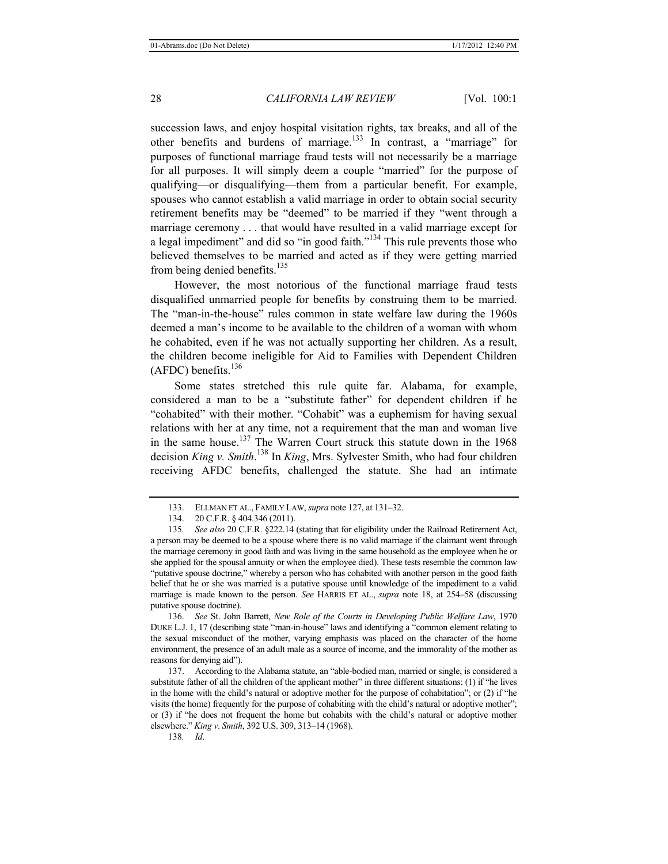succession laws, and enjoy hospital visitation rights, tax breaks, and all of the other benefits and burdens of marriage.<sup>133</sup> In contrast, a "marriage" for purposes of functional marriage fraud tests will not necessarily be a marriage for all purposes. It will simply deem a couple "married" for the purpose of qualifying—or disqualifying—them from a particular benefit. For example, spouses who cannot establish a valid marriage in order to obtain social security retirement benefits may be "deemed" to be married if they "went through a marriage ceremony . . . that would have resulted in a valid marriage except for a legal impediment" and did so "in good faith."134 This rule prevents those who believed themselves to be married and acted as if they were getting married from being denied benefits.<sup>135</sup>

However, the most notorious of the functional marriage fraud tests disqualified unmarried people for benefits by construing them to be married. The "man-in-the-house" rules common in state welfare law during the 1960s deemed a man's income to be available to the children of a woman with whom he cohabited, even if he was not actually supporting her children. As a result, the children become ineligible for Aid to Families with Dependent Children (AFDC) benefits. $136$ 

Some states stretched this rule quite far. Alabama, for example, considered a man to be a "substitute father" for dependent children if he "cohabited" with their mother. "Cohabit" was a euphemism for having sexual relations with her at any time, not a requirement that the man and woman live in the same house.<sup>137</sup> The Warren Court struck this statute down in the 1968 decision *King v. Smith*. 138 In *King*, Mrs. Sylvester Smith, who had four children receiving AFDC benefits, challenged the statute. She had an intimate

136. *See* St. John Barrett, *New Role of the Courts in Developing Public Welfare Law*, 1970 DUKE L.J. 1, 17 (describing state "man-in-house" laws and identifying a "common element relating to the sexual misconduct of the mother, varying emphasis was placed on the character of the home environment, the presence of an adult male as a source of income, and the immorality of the mother as reasons for denying aid").

<sup>133.</sup> ELLMAN ET AL., FAMILY LAW, *supra* note 127, at 131–32.

<sup>134. 20</sup> C.F.R. § 404.346 (2011).

<sup>135</sup>*. See also* 20 C.F.R. §222.14 (stating that for eligibility under the Railroad Retirement Act, a person may be deemed to be a spouse where there is no valid marriage if the claimant went through the marriage ceremony in good faith and was living in the same household as the employee when he or she applied for the spousal annuity or when the employee died). These tests resemble the common law "putative spouse doctrine," whereby a person who has cohabited with another person in the good faith belief that he or she was married is a putative spouse until knowledge of the impediment to a valid marriage is made known to the person. *See* HARRIS ET AL., *supra* note 18, at 254–58 (discussing putative spouse doctrine).

<sup>137.</sup> According to the Alabama statute, an "able-bodied man, married or single, is considered a substitute father of all the children of the applicant mother" in three different situations: (1) if "he lives in the home with the child's natural or adoptive mother for the purpose of cohabitation"; or (2) if "he visits (the home) frequently for the purpose of cohabiting with the child's natural or adoptive mother"; or (3) if "he does not frequent the home but cohabits with the child's natural or adoptive mother elsewhere." *King v*. *Smith*, 392 U.S. 309, 313–14 (1968).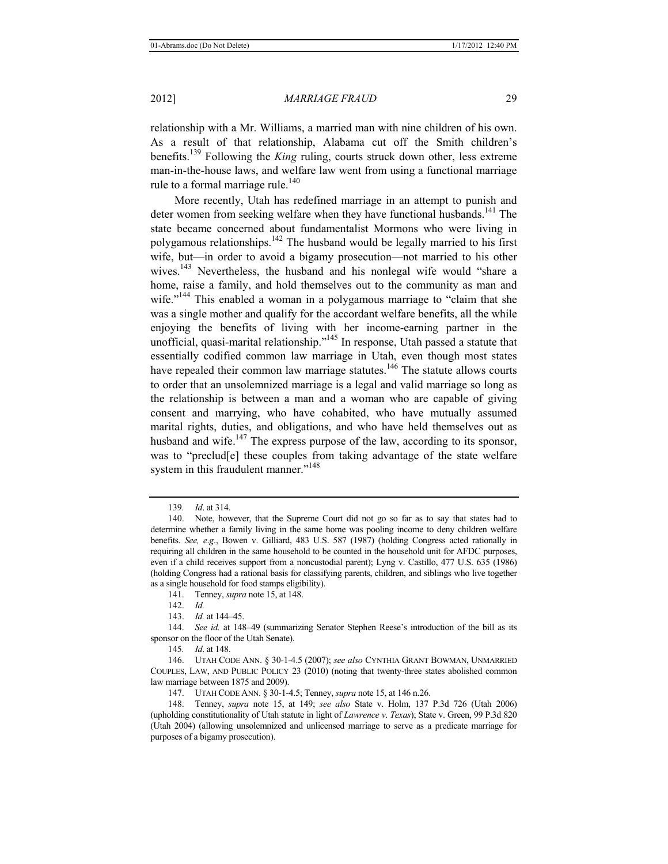relationship with a Mr. Williams, a married man with nine children of his own. As a result of that relationship, Alabama cut off the Smith children's benefits.139 Following the *King* ruling, courts struck down other, less extreme man-in-the-house laws, and welfare law went from using a functional marriage rule to a formal marriage rule.<sup>140</sup>

More recently, Utah has redefined marriage in an attempt to punish and deter women from seeking welfare when they have functional husbands.<sup>141</sup> The state became concerned about fundamentalist Mormons who were living in polygamous relationships.<sup>142</sup> The husband would be legally married to his first wife, but—in order to avoid a bigamy prosecution—not married to his other wives.<sup>143</sup> Nevertheless, the husband and his nonlegal wife would "share a home, raise a family, and hold themselves out to the community as man and wife.<sup>"144</sup> This enabled a woman in a polygamous marriage to "claim that she was a single mother and qualify for the accordant welfare benefits, all the while enjoying the benefits of living with her income-earning partner in the unofficial, quasi-marital relationship."145 In response, Utah passed a statute that essentially codified common law marriage in Utah, even though most states have repealed their common law marriage statutes.<sup>146</sup> The statute allows courts to order that an unsolemnized marriage is a legal and valid marriage so long as the relationship is between a man and a woman who are capable of giving consent and marrying, who have cohabited, who have mutually assumed marital rights, duties, and obligations, and who have held themselves out as husband and wife.<sup>147</sup> The express purpose of the law, according to its sponsor, was to "preclud[e] these couples from taking advantage of the state welfare system in this fraudulent manner."<sup>148</sup>

145*. Id*. at 148.

<sup>139</sup>*. Id*. at 314.

<sup>140.</sup> Note, however, that the Supreme Court did not go so far as to say that states had to determine whether a family living in the same home was pooling income to deny children welfare benefits. *See, e*.*g*., Bowen v. Gilliard, 483 U.S. 587 (1987) (holding Congress acted rationally in requiring all children in the same household to be counted in the household unit for AFDC purposes, even if a child receives support from a noncustodial parent); Lyng v. Castillo, 477 U.S. 635 (1986) (holding Congress had a rational basis for classifying parents, children, and siblings who live together as a single household for food stamps eligibility).

<sup>141.</sup> Tenney, *supra* note 15, at 148.

<sup>142.</sup> *Id.* 

<sup>143.</sup> *Id.* at 144–45.

<sup>144.</sup> *See id.* at 148–49 (summarizing Senator Stephen Reese's introduction of the bill as its sponsor on the floor of the Utah Senate).

<sup>146.</sup> UTAH CODE ANN. § 30-1-4.5 (2007); *see also* CYNTHIA GRANT BOWMAN, UNMARRIED COUPLES, LAW, AND PUBLIC POLICY 23 (2010) (noting that twenty-three states abolished common law marriage between 1875 and 2009).

<sup>147.</sup> UTAH CODE ANN. § 30-1-4.5; Tenney, *supra* note 15, at 146 n.26.

<sup>148.</sup> Tenney, *supra* note 15, at 149; *see also* State v. Holm, 137 P.3d 726 (Utah 2006) (upholding constitutionality of Utah statute in light of *Lawrence v*. *Texas*); State v. Green, 99 P.3d 820 (Utah 2004) (allowing unsolemnized and unlicensed marriage to serve as a predicate marriage for purposes of a bigamy prosecution).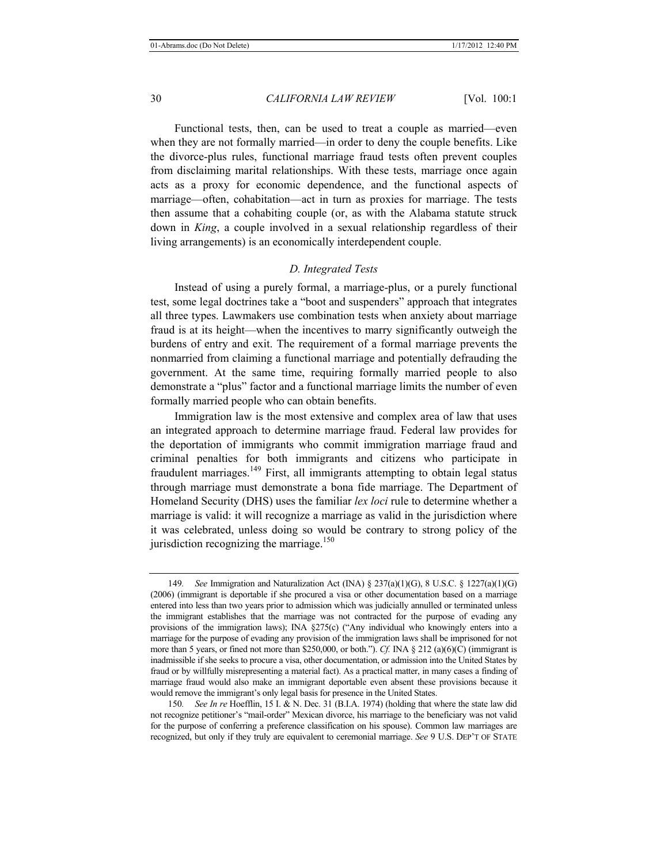Functional tests, then, can be used to treat a couple as married—even when they are not formally married—in order to deny the couple benefits. Like the divorce-plus rules, functional marriage fraud tests often prevent couples from disclaiming marital relationships. With these tests, marriage once again acts as a proxy for economic dependence, and the functional aspects of marriage—often, cohabitation—act in turn as proxies for marriage. The tests then assume that a cohabiting couple (or, as with the Alabama statute struck down in *King*, a couple involved in a sexual relationship regardless of their living arrangements) is an economically interdependent couple.

# *D. Integrated Tests*

Instead of using a purely formal, a marriage-plus, or a purely functional test, some legal doctrines take a "boot and suspenders" approach that integrates all three types. Lawmakers use combination tests when anxiety about marriage fraud is at its height—when the incentives to marry significantly outweigh the burdens of entry and exit. The requirement of a formal marriage prevents the nonmarried from claiming a functional marriage and potentially defrauding the government. At the same time, requiring formally married people to also demonstrate a "plus" factor and a functional marriage limits the number of even formally married people who can obtain benefits.

Immigration law is the most extensive and complex area of law that uses an integrated approach to determine marriage fraud. Federal law provides for the deportation of immigrants who commit immigration marriage fraud and criminal penalties for both immigrants and citizens who participate in fraudulent marriages.<sup>149</sup> First, all immigrants attempting to obtain legal status through marriage must demonstrate a bona fide marriage. The Department of Homeland Security (DHS) uses the familiar *lex loci* rule to determine whether a marriage is valid: it will recognize a marriage as valid in the jurisdiction where it was celebrated, unless doing so would be contrary to strong policy of the jurisdiction recognizing the marriage.<sup>150</sup>

150*. See In re* Hoefflin, 15 I. & N. Dec. 31 (B.I.A. 1974) (holding that where the state law did not recognize petitioner's "mail-order" Mexican divorce, his marriage to the beneficiary was not valid for the purpose of conferring a preference classification on his spouse). Common law marriages are recognized, but only if they truly are equivalent to ceremonial marriage. *See* 9 U.S. DEP'T OF STATE

<sup>149</sup>*. See* Immigration and Naturalization Act (INA) § 237(a)(1)(G), 8 U.S.C. § 1227(a)(1)(G) (2006) (immigrant is deportable if she procured a visa or other documentation based on a marriage entered into less than two years prior to admission which was judicially annulled or terminated unless the immigrant establishes that the marriage was not contracted for the purpose of evading any provisions of the immigration laws); INA §275(c) ("Any individual who knowingly enters into a marriage for the purpose of evading any provision of the immigration laws shall be imprisoned for not more than 5 years, or fined not more than \$250,000, or both."). *Cf.* INA § 212 (a)(6)(C) (immigrant is inadmissible if she seeks to procure a visa, other documentation, or admission into the United States by fraud or by willfully misrepresenting a material fact). As a practical matter, in many cases a finding of marriage fraud would also make an immigrant deportable even absent these provisions because it would remove the immigrant's only legal basis for presence in the United States.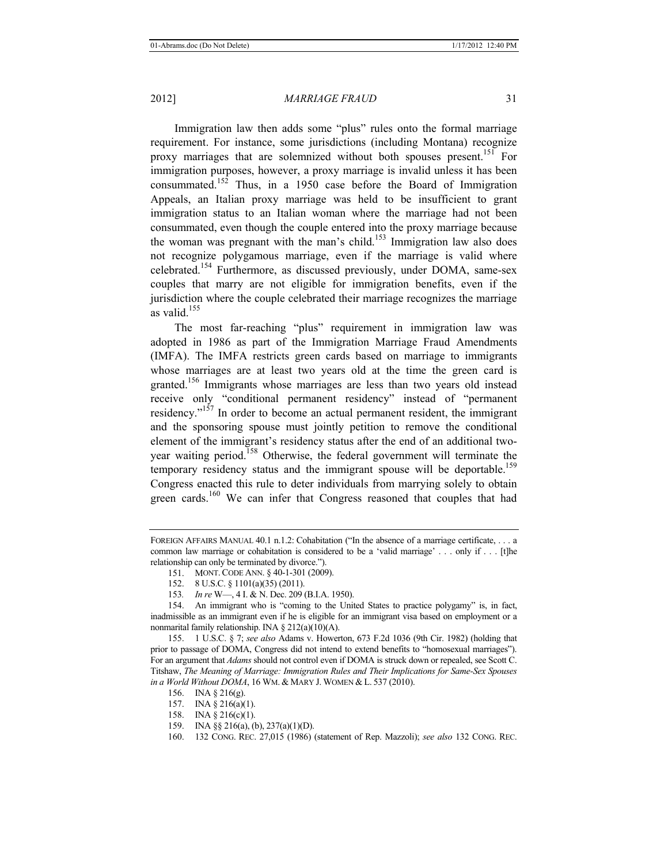Immigration law then adds some "plus" rules onto the formal marriage requirement. For instance, some jurisdictions (including Montana) recognize proxy marriages that are solemnized without both spouses present.<sup>151</sup> For immigration purposes, however, a proxy marriage is invalid unless it has been consummated.152 Thus, in a 1950 case before the Board of Immigration Appeals, an Italian proxy marriage was held to be insufficient to grant immigration status to an Italian woman where the marriage had not been consummated, even though the couple entered into the proxy marriage because the woman was pregnant with the man's child.<sup>153</sup> Immigration law also does not recognize polygamous marriage, even if the marriage is valid where celebrated.<sup>154</sup> Furthermore, as discussed previously, under DOMA, same-sex couples that marry are not eligible for immigration benefits, even if the jurisdiction where the couple celebrated their marriage recognizes the marriage as valid. $155$ 

The most far-reaching "plus" requirement in immigration law was adopted in 1986 as part of the Immigration Marriage Fraud Amendments (IMFA). The IMFA restricts green cards based on marriage to immigrants whose marriages are at least two years old at the time the green card is granted.156 Immigrants whose marriages are less than two years old instead receive only "conditional permanent residency" instead of "permanent residency."157 In order to become an actual permanent resident, the immigrant and the sponsoring spouse must jointly petition to remove the conditional element of the immigrant's residency status after the end of an additional twoyear waiting period.<sup>158</sup> Otherwise, the federal government will terminate the temporary residency status and the immigrant spouse will be deportable.<sup>159</sup> Congress enacted this rule to deter individuals from marrying solely to obtain green cards.<sup>160</sup> We can infer that Congress reasoned that couples that had

FOREIGN AFFAIRS MANUAL 40.1 n.1.2: Cohabitation ("In the absence of a marriage certificate, ... a common law marriage or cohabitation is considered to be a 'valid marriage' . . . only if . . . [t]he relationship can only be terminated by divorce.").

<sup>151.</sup> MONT.CODE ANN. § 40-1-301 (2009).

<sup>152. 8</sup> U.S.C. § 1101(a)(35) (2011).

<sup>153</sup>*. In re* W—, 4 I. & N. Dec. 209 (B.I.A. 1950).

<sup>154.</sup> An immigrant who is "coming to the United States to practice polygamy" is, in fact, inadmissible as an immigrant even if he is eligible for an immigrant visa based on employment or a nonmarital family relationship. INA § 212(a)(10)(A).

<sup>155. 1</sup> U.S.C. § 7; *see also* Adams v. Howerton, 673 F.2d 1036 (9th Cir. 1982) (holding that prior to passage of DOMA, Congress did not intend to extend benefits to "homosexual marriages"). For an argument that *Adams* should not control even if DOMA is struck down or repealed, see Scott C. Titshaw, *The Meaning of Marriage: Immigration Rules and Their Implications for Same-Sex Spouses in a World Without DOMA*, 16 WM. & MARY J. WOMEN & L. 537 (2010).

<sup>156.</sup> INA § 216(g).

<sup>157.</sup> INA § 216(a)(1).

<sup>158.</sup> INA § 216(c)(1).

<sup>159.</sup> INA §§ 216(a), (b), 237(a)(1)(D).

<sup>160.</sup> 132 CONG. REC. 27,015 (1986) (statement of Rep. Mazzoli); *see also* 132 CONG. REC.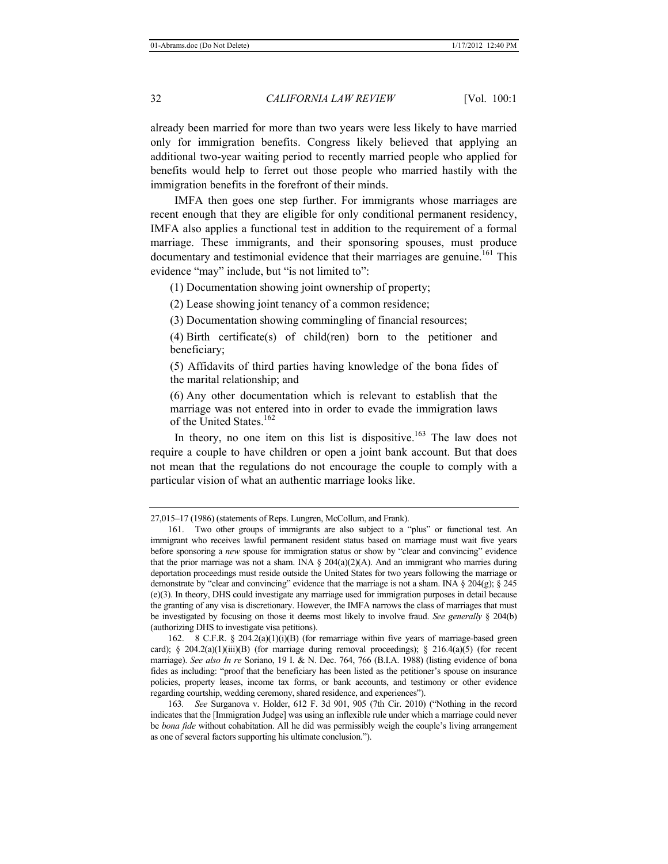already been married for more than two years were less likely to have married only for immigration benefits. Congress likely believed that applying an additional two-year waiting period to recently married people who applied for benefits would help to ferret out those people who married hastily with the immigration benefits in the forefront of their minds.

IMFA then goes one step further. For immigrants whose marriages are recent enough that they are eligible for only conditional permanent residency, IMFA also applies a functional test in addition to the requirement of a formal marriage. These immigrants, and their sponsoring spouses, must produce documentary and testimonial evidence that their marriages are genuine.<sup>161</sup> This evidence "may" include, but "is not limited to":

(1) Documentation showing joint ownership of property;

(2) Lease showing joint tenancy of a common residence;

(3) Documentation showing commingling of financial resources;

(4) Birth certificate(s) of child(ren) born to the petitioner and beneficiary;

(5) Affidavits of third parties having knowledge of the bona fides of the marital relationship; and

(6) Any other documentation which is relevant to establish that the marriage was not entered into in order to evade the immigration laws of the United States.<sup>162</sup>

In theory, no one item on this list is dispositive.<sup>163</sup> The law does not require a couple to have children or open a joint bank account. But that does not mean that the regulations do not encourage the couple to comply with a particular vision of what an authentic marriage looks like.

162. 8 C.F.R. § 204.2(a)(1)(i)(B) (for remarriage within five years of marriage-based green card); § 204.2(a)(1)(iii)(B) (for marriage during removal proceedings); § 216.4(a)(5) (for recent marriage). *See also In re* Soriano, 19 I. & N. Dec. 764, 766 (B.I.A. 1988) (listing evidence of bona fides as including: "proof that the beneficiary has been listed as the petitioner's spouse on insurance policies, property leases, income tax forms, or bank accounts, and testimony or other evidence regarding courtship, wedding ceremony, shared residence, and experiences").

<sup>27,015–17 (1986) (</sup>statements of Reps. Lungren, McCollum, and Frank).

<sup>161.</sup> Two other groups of immigrants are also subject to a "plus" or functional test. An immigrant who receives lawful permanent resident status based on marriage must wait five years before sponsoring a *new* spouse for immigration status or show by "clear and convincing" evidence that the prior marriage was not a sham. INA  $\S$  204(a)(2)(A). And an immigrant who marries during deportation proceedings must reside outside the United States for two years following the marriage or demonstrate by "clear and convincing" evidence that the marriage is not a sham. INA  $\S 204(g)$ ;  $\S 245$ (e)(3). In theory, DHS could investigate any marriage used for immigration purposes in detail because the granting of any visa is discretionary. However, the IMFA narrows the class of marriages that must be investigated by focusing on those it deems most likely to involve fraud. *See generally* § 204(b) (authorizing DHS to investigate visa petitions).

<sup>163</sup>*. See* Surganova v. Holder, 612 F. 3d 901, 905 (7th Cir. 2010) ("Nothing in the record indicates that the [Immigration Judge] was using an inflexible rule under which a marriage could never be *bona fide* without cohabitation. All he did was permissibly weigh the couple's living arrangement as one of several factors supporting his ultimate conclusion.").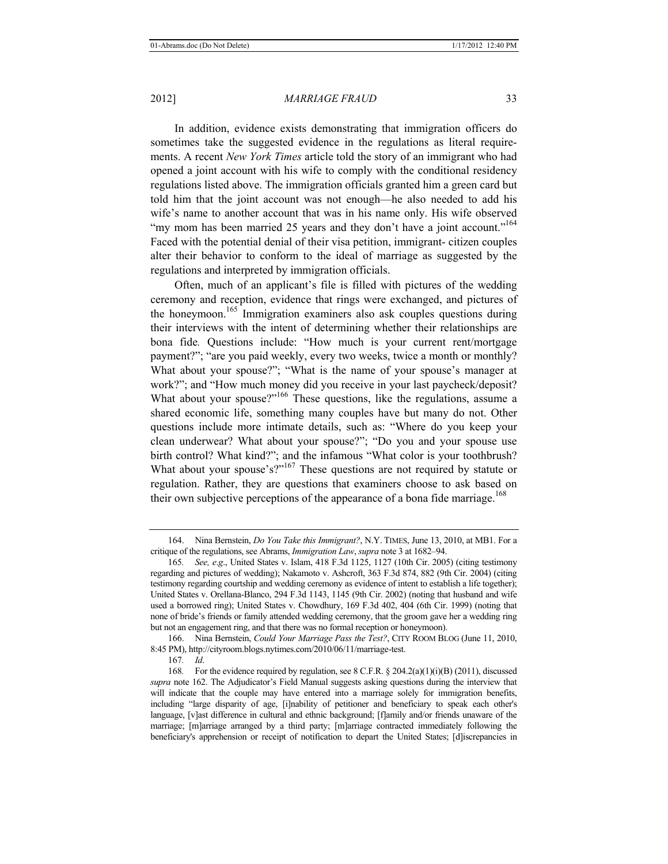In addition, evidence exists demonstrating that immigration officers do sometimes take the suggested evidence in the regulations as literal requirements. A recent *New York Times* article told the story of an immigrant who had opened a joint account with his wife to comply with the conditional residency regulations listed above. The immigration officials granted him a green card but told him that the joint account was not enough—he also needed to add his wife's name to another account that was in his name only. His wife observed "my mom has been married 25 years and they don't have a joint account."<sup>164</sup> Faced with the potential denial of their visa petition, immigrant- citizen couples alter their behavior to conform to the ideal of marriage as suggested by the regulations and interpreted by immigration officials.

Often, much of an applicant's file is filled with pictures of the wedding ceremony and reception, evidence that rings were exchanged, and pictures of the honeymoon.165 Immigration examiners also ask couples questions during their interviews with the intent of determining whether their relationships are bona fide*.* Questions include: "How much is your current rent/mortgage payment?"; "are you paid weekly, every two weeks, twice a month or monthly? What about your spouse?"; "What is the name of your spouse's manager at work?"; and "How much money did you receive in your last paycheck/deposit? What about your spouse?"<sup>166</sup> These questions, like the regulations, assume a shared economic life, something many couples have but many do not. Other questions include more intimate details, such as: "Where do you keep your clean underwear? What about your spouse?"; "Do you and your spouse use birth control? What kind?"; and the infamous "What color is your toothbrush? What about your spouse's?"<sup>167</sup> These questions are not required by statute or regulation. Rather, they are questions that examiners choose to ask based on their own subjective perceptions of the appearance of a bona fide marriage.<sup>168</sup>

<sup>164.</sup> Nina Bernstein, *Do You Take this Immigrant?*, N.Y. TIMES, June 13, 2010, at MB1. For a critique of the regulations, see Abrams, *Immigration Law*, *supra* note 3 at 1682–94.

<sup>165</sup>*. See, e*.*g*., United States v. Islam, 418 F.3d 1125, 1127 (10th Cir. 2005) (citing testimony regarding and pictures of wedding); Nakamoto v. Ashcroft, 363 F.3d 874, 882 (9th Cir. 2004) (citing testimony regarding courtship and wedding ceremony as evidence of intent to establish a life together); United States v. Orellana-Blanco, 294 F.3d 1143, 1145 (9th Cir. 2002) (noting that husband and wife used a borrowed ring); United States v. Chowdhury, 169 F.3d 402, 404 (6th Cir. 1999) (noting that none of bride's friends or family attended wedding ceremony, that the groom gave her a wedding ring but not an engagement ring, and that there was no formal reception or honeymoon).

<sup>166.</sup> Nina Bernstein, *Could Your Marriage Pass the Test?*, CITY ROOM BLOG (June 11, 2010, 8:45 PM), http://cityroom.blogs.nytimes.com/2010/06/11/marriage-test.

<sup>167</sup>*. Id*.

<sup>168</sup>*.* For the evidence required by regulation, see 8 C.F.R. § 204.2(a)(1)(i)(B) (2011), discussed *supra* note 162. The Adjudicator's Field Manual suggests asking questions during the interview that will indicate that the couple may have entered into a marriage solely for immigration benefits, including "large disparity of age, [i]nability of petitioner and beneficiary to speak each other's language, [v]ast difference in cultural and ethnic background; [f]amily and/or friends unaware of the marriage; [m]arriage arranged by a third party; [m]arriage contracted immediately following the beneficiary's apprehension or receipt of notification to depart the United States; [d]iscrepancies in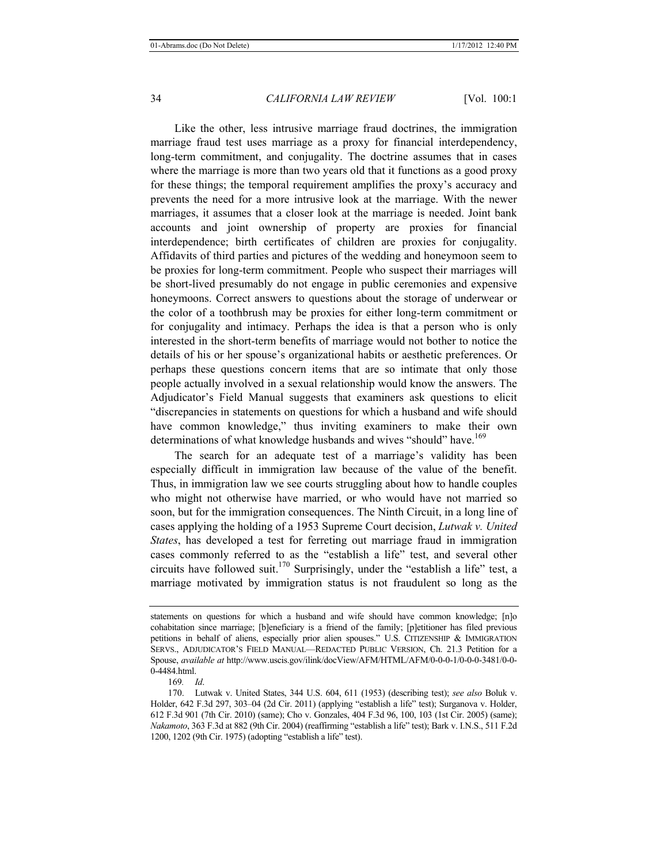Like the other, less intrusive marriage fraud doctrines, the immigration marriage fraud test uses marriage as a proxy for financial interdependency, long-term commitment, and conjugality. The doctrine assumes that in cases where the marriage is more than two years old that it functions as a good proxy for these things; the temporal requirement amplifies the proxy's accuracy and prevents the need for a more intrusive look at the marriage. With the newer marriages, it assumes that a closer look at the marriage is needed. Joint bank accounts and joint ownership of property are proxies for financial interdependence; birth certificates of children are proxies for conjugality. Affidavits of third parties and pictures of the wedding and honeymoon seem to be proxies for long-term commitment. People who suspect their marriages will be short-lived presumably do not engage in public ceremonies and expensive honeymoons. Correct answers to questions about the storage of underwear or the color of a toothbrush may be proxies for either long-term commitment or for conjugality and intimacy. Perhaps the idea is that a person who is only interested in the short-term benefits of marriage would not bother to notice the details of his or her spouse's organizational habits or aesthetic preferences. Or perhaps these questions concern items that are so intimate that only those people actually involved in a sexual relationship would know the answers. The Adjudicator's Field Manual suggests that examiners ask questions to elicit "discrepancies in statements on questions for which a husband and wife should have common knowledge," thus inviting examiners to make their own determinations of what knowledge husbands and wives "should" have.<sup>169</sup>

The search for an adequate test of a marriage's validity has been especially difficult in immigration law because of the value of the benefit. Thus, in immigration law we see courts struggling about how to handle couples who might not otherwise have married, or who would have not married so soon, but for the immigration consequences. The Ninth Circuit, in a long line of cases applying the holding of a 1953 Supreme Court decision, *Lutwak v. United States*, has developed a test for ferreting out marriage fraud in immigration cases commonly referred to as the "establish a life" test, and several other circuits have followed suit.<sup>170</sup> Surprisingly, under the "establish a life" test, a marriage motivated by immigration status is not fraudulent so long as the

169*. Id*.

statements on questions for which a husband and wife should have common knowledge; [n]o cohabitation since marriage; [b]eneficiary is a friend of the family; [p]etitioner has filed previous petitions in behalf of aliens, especially prior alien spouses." U.S. CITIZENSHIP & IMMIGRATION SERVS., ADJUDICATOR'S FIELD MANUAL—REDACTED PUBLIC VERSION, Ch. 21.3 Petition for a Spouse, *available at* http://www.uscis.gov/ilink/docView/AFM/HTML/AFM/0-0-0-1/0-0-0-3481/0-0- 0-4484.html.

<sup>170.</sup> Lutwak v. United States, 344 U.S. 604, 611 (1953) (describing test); *see also* Boluk v. Holder, 642 F.3d 297, 303–04 (2d Cir. 2011) (applying "establish a life" test); Surganova v. Holder, 612 F.3d 901 (7th Cir. 2010) (same); Cho v. Gonzales, 404 F.3d 96, 100, 103 (1st Cir. 2005) (same); *Nakamoto*, 363 F.3d at 882 (9th Cir. 2004) (reaffirming "establish a life" test); Bark v. I.N.S., 511 F.2d 1200, 1202 (9th Cir. 1975) (adopting "establish a life" test).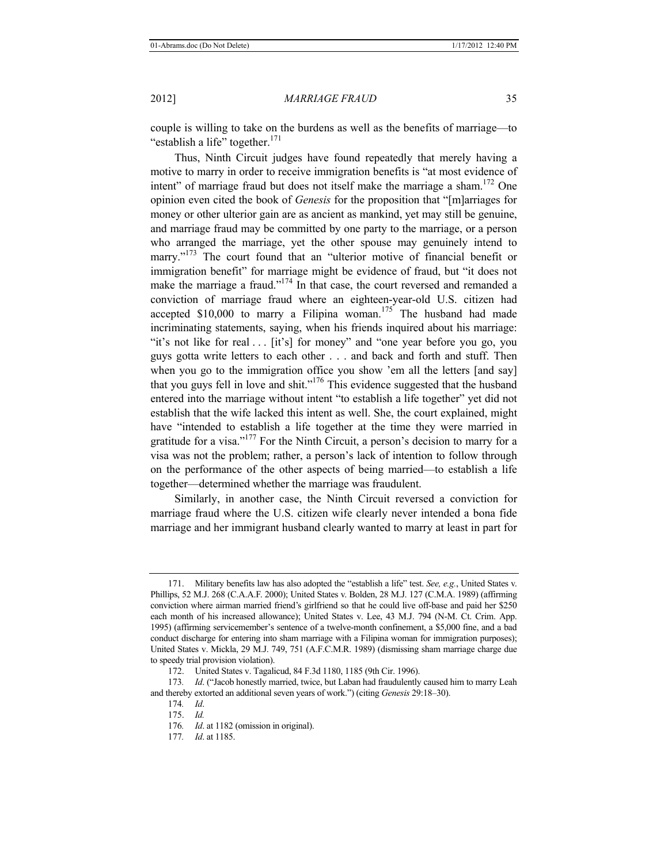couple is willing to take on the burdens as well as the benefits of marriage—to "establish a life" together. $171$ 

Thus, Ninth Circuit judges have found repeatedly that merely having a motive to marry in order to receive immigration benefits is "at most evidence of intent" of marriage fraud but does not itself make the marriage a sham.<sup>172</sup> One opinion even cited the book of *Genesis* for the proposition that "[m]arriages for money or other ulterior gain are as ancient as mankind, yet may still be genuine, and marriage fraud may be committed by one party to the marriage, or a person who arranged the marriage, yet the other spouse may genuinely intend to marry."<sup>173</sup> The court found that an "ulterior motive of financial benefit or immigration benefit" for marriage might be evidence of fraud, but "it does not make the marriage a fraud."<sup>174</sup> In that case, the court reversed and remanded a conviction of marriage fraud where an eighteen-year-old U.S. citizen had accepted  $$10,000$  to marry a Filipina woman.<sup>175</sup> The husband had made incriminating statements, saying, when his friends inquired about his marriage: "it's not like for real . . . [it's] for money" and "one year before you go, you guys gotta write letters to each other . . . and back and forth and stuff. Then when you go to the immigration office you show 'em all the letters [and say] that you guys fell in love and shit."<sup>176</sup> This evidence suggested that the husband entered into the marriage without intent "to establish a life together" yet did not establish that the wife lacked this intent as well. She, the court explained, might have "intended to establish a life together at the time they were married in gratitude for a visa."<sup>177</sup> For the Ninth Circuit, a person's decision to marry for a visa was not the problem; rather, a person's lack of intention to follow through on the performance of the other aspects of being married—to establish a life together—determined whether the marriage was fraudulent.

Similarly, in another case, the Ninth Circuit reversed a conviction for marriage fraud where the U.S. citizen wife clearly never intended a bona fide marriage and her immigrant husband clearly wanted to marry at least in part for

<sup>171.</sup> Military benefits law has also adopted the "establish a life" test. *See, e.g.*, United States v. Phillips, 52 M.J. 268 (C.A.A.F. 2000); United States v. Bolden, 28 M.J. 127 (C.M.A. 1989) (affirming conviction where airman married friend's girlfriend so that he could live off-base and paid her \$250 each month of his increased allowance); United States v. Lee, 43 M.J. 794 (N-M. Ct. Crim. App. 1995) (affirming servicemember's sentence of a twelve-month confinement, a \$5,000 fine, and a bad conduct discharge for entering into sham marriage with a Filipina woman for immigration purposes); United States v. Mickla, 29 M.J. 749, 751 (A.F.C.M.R. 1989) (dismissing sham marriage charge due to speedy trial provision violation).

<sup>172.</sup> United States v. Tagalicud, 84 F.3d 1180, 1185 (9th Cir. 1996).

<sup>173</sup>*. Id*. ("Jacob honestly married, twice, but Laban had fraudulently caused him to marry Leah and thereby extorted an additional seven years of work.") (citing *Genesis* 29:18–30).

<sup>174</sup>*. Id*.

<sup>175.</sup> *Id.* 

<sup>176</sup>*. Id*. at 1182 (omission in original).

<sup>177</sup>*. Id*. at 1185.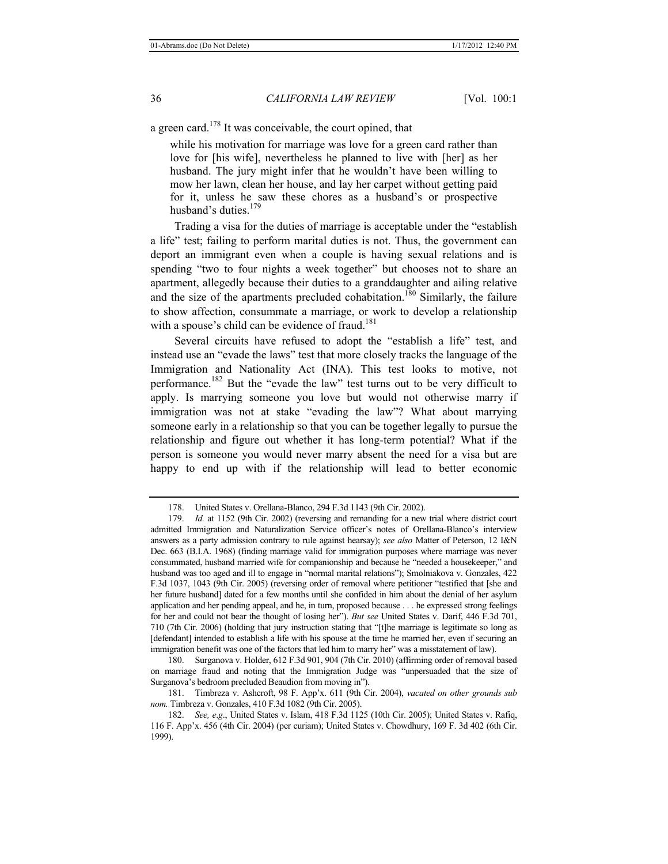a green card.<sup>178</sup> It was conceivable, the court opined, that

while his motivation for marriage was love for a green card rather than love for [his wife], nevertheless he planned to live with [her] as her husband. The jury might infer that he wouldn't have been willing to mow her lawn, clean her house, and lay her carpet without getting paid for it, unless he saw these chores as a husband's or prospective husband's duties.<sup>179</sup>

Trading a visa for the duties of marriage is acceptable under the "establish a life" test; failing to perform marital duties is not. Thus, the government can deport an immigrant even when a couple is having sexual relations and is spending "two to four nights a week together" but chooses not to share an apartment, allegedly because their duties to a granddaughter and ailing relative and the size of the apartments precluded cohabitation.<sup>180</sup> Similarly, the failure to show affection, consummate a marriage, or work to develop a relationship with a spouse's child can be evidence of fraud.<sup>181</sup>

Several circuits have refused to adopt the "establish a life" test, and instead use an "evade the laws" test that more closely tracks the language of the Immigration and Nationality Act (INA). This test looks to motive, not performance.182 But the "evade the law" test turns out to be very difficult to apply. Is marrying someone you love but would not otherwise marry if immigration was not at stake "evading the law"? What about marrying someone early in a relationship so that you can be together legally to pursue the relationship and figure out whether it has long-term potential? What if the person is someone you would never marry absent the need for a visa but are happy to end up with if the relationship will lead to better economic

180. Surganova v. Holder, 612 F.3d 901, 904 (7th Cir. 2010) (affirming order of removal based on marriage fraud and noting that the Immigration Judge was "unpersuaded that the size of Surganova's bedroom precluded Beaudion from moving in").

<sup>178.</sup> United States v. Orellana-Blanco, 294 F.3d 1143 (9th Cir. 2002).

<sup>179.</sup> *Id.* at 1152 (9th Cir. 2002) (reversing and remanding for a new trial where district court admitted Immigration and Naturalization Service officer's notes of Orellana-Blanco's interview answers as a party admission contrary to rule against hearsay); *see also* Matter of Peterson, 12 I&N Dec. 663 (B.I.A. 1968) (finding marriage valid for immigration purposes where marriage was never consummated, husband married wife for companionship and because he "needed a housekeeper," and husband was too aged and ill to engage in "normal marital relations"); Smolniakova v. Gonzales, 422 F.3d 1037, 1043 (9th Cir. 2005) (reversing order of removal where petitioner "testified that [she and her future husband] dated for a few months until she confided in him about the denial of her asylum application and her pending appeal, and he, in turn, proposed because . . . he expressed strong feelings for her and could not bear the thought of losing her"). *But see* United States v. Darif, 446 F.3d 701, 710 (7th Cir. 2006) (holding that jury instruction stating that "[t]he marriage is legitimate so long as [defendant] intended to establish a life with his spouse at the time he married her, even if securing an immigration benefit was one of the factors that led him to marry her" was a misstatement of law).

<sup>181.</sup> Timbreza v. Ashcroft, 98 F. App'x. 611 (9th Cir. 2004), *vacated on other grounds sub nom.* Timbreza v. Gonzales, 410 F.3d 1082 (9th Cir. 2005).

<sup>182.</sup> *See, e*.*g*., United States v. Islam, 418 F.3d 1125 (10th Cir. 2005); United States v. Rafiq, 116 F. App'x. 456 (4th Cir. 2004) (per curiam); United States v. Chowdhury, 169 F. 3d 402 (6th Cir. 1999).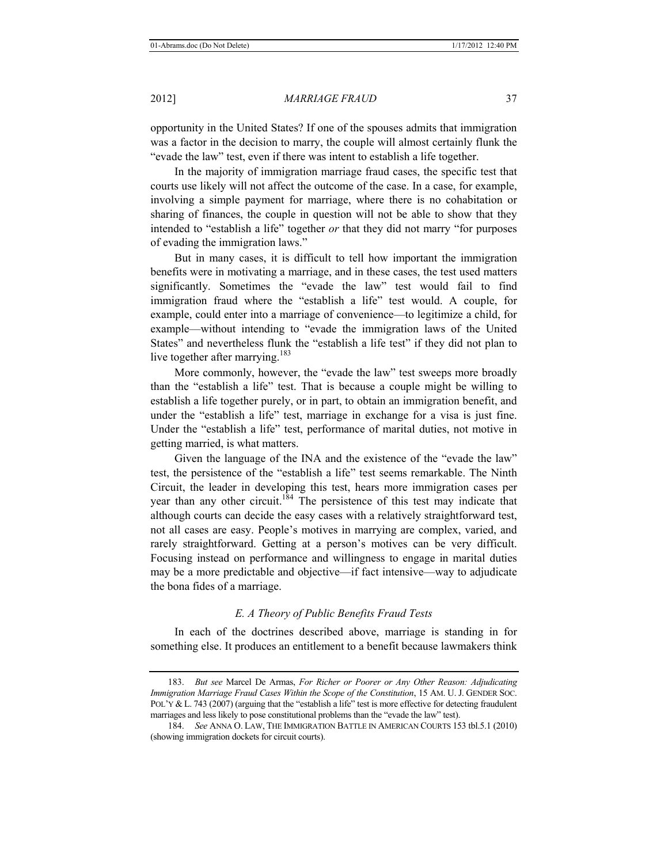opportunity in the United States? If one of the spouses admits that immigration was a factor in the decision to marry, the couple will almost certainly flunk the "evade the law" test, even if there was intent to establish a life together.

In the majority of immigration marriage fraud cases, the specific test that courts use likely will not affect the outcome of the case. In a case, for example, involving a simple payment for marriage, where there is no cohabitation or sharing of finances, the couple in question will not be able to show that they intended to "establish a life" together *or* that they did not marry "for purposes of evading the immigration laws."

But in many cases, it is difficult to tell how important the immigration benefits were in motivating a marriage, and in these cases, the test used matters significantly. Sometimes the "evade the law" test would fail to find immigration fraud where the "establish a life" test would. A couple, for example, could enter into a marriage of convenience—to legitimize a child, for example—without intending to "evade the immigration laws of the United States" and nevertheless flunk the "establish a life test" if they did not plan to live together after marrying. $183$ 

More commonly, however, the "evade the law" test sweeps more broadly than the "establish a life" test. That is because a couple might be willing to establish a life together purely, or in part, to obtain an immigration benefit, and under the "establish a life" test, marriage in exchange for a visa is just fine. Under the "establish a life" test, performance of marital duties, not motive in getting married, is what matters.

Given the language of the INA and the existence of the "evade the law" test, the persistence of the "establish a life" test seems remarkable. The Ninth Circuit, the leader in developing this test, hears more immigration cases per year than any other circuit.<sup>184</sup> The persistence of this test may indicate that although courts can decide the easy cases with a relatively straightforward test, not all cases are easy. People's motives in marrying are complex, varied, and rarely straightforward. Getting at a person's motives can be very difficult. Focusing instead on performance and willingness to engage in marital duties may be a more predictable and objective—if fact intensive—way to adjudicate the bona fides of a marriage.

# *E. A Theory of Public Benefits Fraud Tests*

In each of the doctrines described above, marriage is standing in for something else. It produces an entitlement to a benefit because lawmakers think

<sup>183.</sup> *But see* Marcel De Armas, *For Richer or Poorer or Any Other Reason: Adjudicating Immigration Marriage Fraud Cases Within the Scope of the Constitution*, 15 AM. U. J. GENDER SOC. POL'Y & L. 743 (2007) (arguing that the "establish a life" test is more effective for detecting fraudulent marriages and less likely to pose constitutional problems than the "evade the law" test).

<sup>184.</sup> *See* ANNA O. LAW, THE IMMIGRATION BATTLE IN AMERICAN COURTS 153 tbl.5.1 (2010) (showing immigration dockets for circuit courts).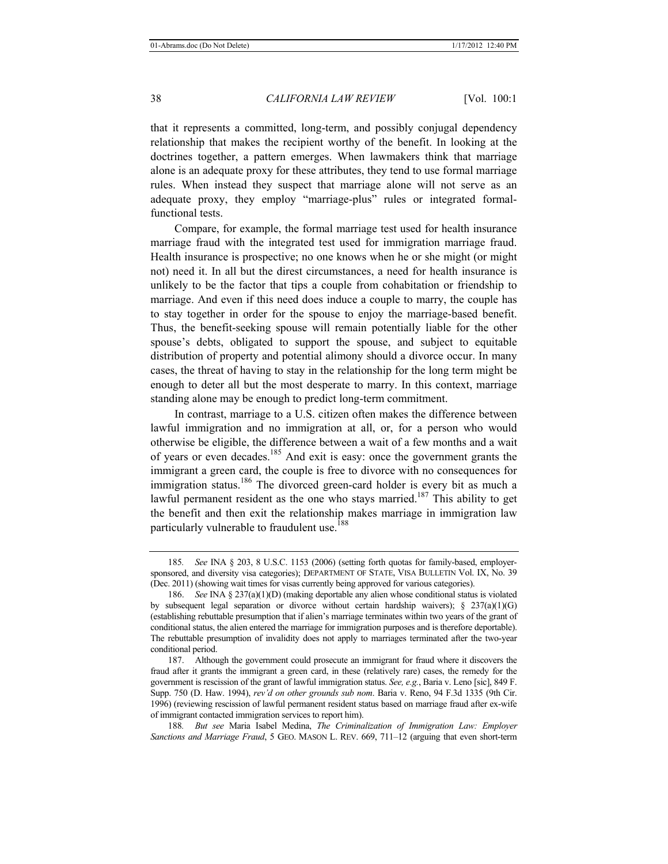that it represents a committed, long-term, and possibly conjugal dependency relationship that makes the recipient worthy of the benefit. In looking at the doctrines together, a pattern emerges. When lawmakers think that marriage alone is an adequate proxy for these attributes, they tend to use formal marriage rules. When instead they suspect that marriage alone will not serve as an adequate proxy, they employ "marriage-plus" rules or integrated formalfunctional tests.

Compare, for example, the formal marriage test used for health insurance marriage fraud with the integrated test used for immigration marriage fraud. Health insurance is prospective; no one knows when he or she might (or might not) need it. In all but the direst circumstances, a need for health insurance is unlikely to be the factor that tips a couple from cohabitation or friendship to marriage. And even if this need does induce a couple to marry, the couple has to stay together in order for the spouse to enjoy the marriage-based benefit. Thus, the benefit-seeking spouse will remain potentially liable for the other spouse's debts, obligated to support the spouse, and subject to equitable distribution of property and potential alimony should a divorce occur. In many cases, the threat of having to stay in the relationship for the long term might be enough to deter all but the most desperate to marry. In this context, marriage standing alone may be enough to predict long-term commitment.

In contrast, marriage to a U.S. citizen often makes the difference between lawful immigration and no immigration at all, or, for a person who would otherwise be eligible, the difference between a wait of a few months and a wait of years or even decades.185 And exit is easy: once the government grants the immigrant a green card, the couple is free to divorce with no consequences for immigration status.<sup>186</sup> The divorced green-card holder is every bit as much a lawful permanent resident as the one who stays married.<sup>187</sup> This ability to get the benefit and then exit the relationship makes marriage in immigration law particularly vulnerable to fraudulent use.<sup>188</sup>

<sup>185</sup>*. See* INA § 203, 8 U.S.C. 1153 (2006) (setting forth quotas for family-based, employersponsored, and diversity visa categories); DEPARTMENT OF STATE, VISA BULLETIN Vol. IX, No. 39 (Dec. 2011) (showing wait times for visas currently being approved for various categories).

<sup>186.</sup> *See* INA § 237(a)(1)(D) (making deportable any alien whose conditional status is violated by subsequent legal separation or divorce without certain hardship waivers);  $\S$  237(a)(1)(G) (establishing rebuttable presumption that if alien's marriage terminates within two years of the grant of conditional status, the alien entered the marriage for immigration purposes and is therefore deportable). The rebuttable presumption of invalidity does not apply to marriages terminated after the two-year conditional period.

<sup>187.</sup> Although the government could prosecute an immigrant for fraud where it discovers the fraud after it grants the immigrant a green card, in these (relatively rare) cases, the remedy for the government is rescission of the grant of lawful immigration status. *See, e.g.*, Baria v. Leno [sic], 849 F. Supp. 750 (D. Haw. 1994), *rev'd on other grounds sub nom*. Baria v. Reno, 94 F.3d 1335 (9th Cir. 1996) (reviewing rescission of lawful permanent resident status based on marriage fraud after ex-wife of immigrant contacted immigration services to report him).

<sup>188</sup>*. But see* Maria Isabel Medina, *The Criminalization of Immigration Law: Employer Sanctions and Marriage Fraud*, 5 GEO. MASON L. REV. 669, 711–12 (arguing that even short-term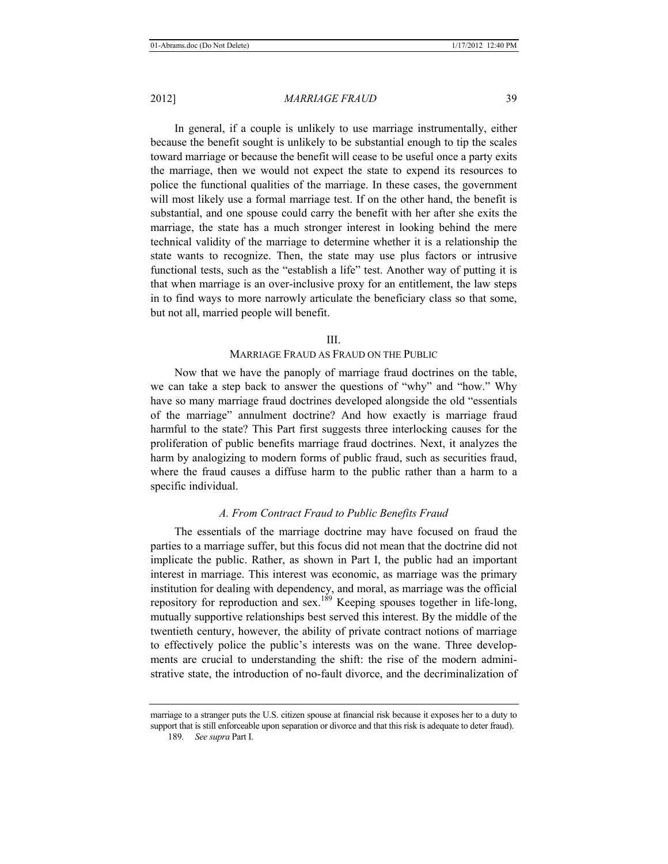In general, if a couple is unlikely to use marriage instrumentally, either because the benefit sought is unlikely to be substantial enough to tip the scales toward marriage or because the benefit will cease to be useful once a party exits the marriage, then we would not expect the state to expend its resources to police the functional qualities of the marriage. In these cases, the government will most likely use a formal marriage test. If on the other hand, the benefit is substantial, and one spouse could carry the benefit with her after she exits the marriage, the state has a much stronger interest in looking behind the mere technical validity of the marriage to determine whether it is a relationship the state wants to recognize. Then, the state may use plus factors or intrusive functional tests, such as the "establish a life" test. Another way of putting it is that when marriage is an over-inclusive proxy for an entitlement, the law steps in to find ways to more narrowly articulate the beneficiary class so that some, but not all, married people will benefit.

#### III.

# MARRIAGE FRAUD AS FRAUD ON THE PUBLIC

Now that we have the panoply of marriage fraud doctrines on the table, we can take a step back to answer the questions of "why" and "how." Why have so many marriage fraud doctrines developed alongside the old "essentials of the marriage" annulment doctrine? And how exactly is marriage fraud harmful to the state? This Part first suggests three interlocking causes for the proliferation of public benefits marriage fraud doctrines. Next, it analyzes the harm by analogizing to modern forms of public fraud, such as securities fraud, where the fraud causes a diffuse harm to the public rather than a harm to a specific individual.

# *A. From Contract Fraud to Public Benefits Fraud*

The essentials of the marriage doctrine may have focused on fraud the parties to a marriage suffer, but this focus did not mean that the doctrine did not implicate the public. Rather, as shown in Part I, the public had an important interest in marriage. This interest was economic, as marriage was the primary institution for dealing with dependency, and moral, as marriage was the official repository for reproduction and sex.<sup>189</sup> Keeping spouses together in life-long, mutually supportive relationships best served this interest. By the middle of the twentieth century, however, the ability of private contract notions of marriage to effectively police the public's interests was on the wane. Three developments are crucial to understanding the shift: the rise of the modern administrative state, the introduction of no-fault divorce, and the decriminalization of

marriage to a stranger puts the U.S. citizen spouse at financial risk because it exposes her to a duty to support that is still enforceable upon separation or divorce and that this risk is adequate to deter fraud).

<sup>189</sup>*. See supra* Part I.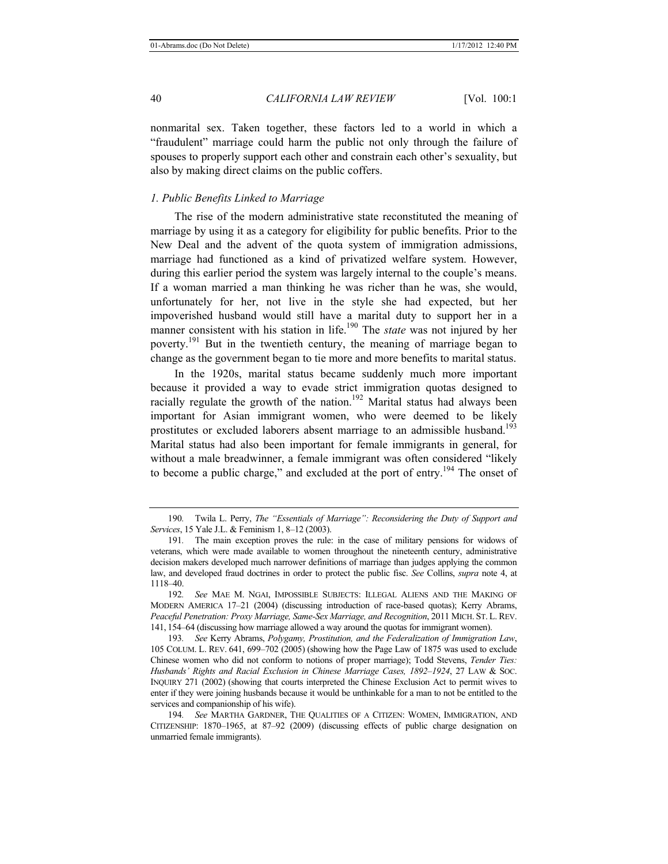nonmarital sex. Taken together, these factors led to a world in which a "fraudulent" marriage could harm the public not only through the failure of spouses to properly support each other and constrain each other's sexuality, but also by making direct claims on the public coffers.

# *1. Public Benefits Linked to Marriage*

The rise of the modern administrative state reconstituted the meaning of marriage by using it as a category for eligibility for public benefits. Prior to the New Deal and the advent of the quota system of immigration admissions, marriage had functioned as a kind of privatized welfare system. However, during this earlier period the system was largely internal to the couple's means. If a woman married a man thinking he was richer than he was, she would, unfortunately for her, not live in the style she had expected, but her impoverished husband would still have a marital duty to support her in a manner consistent with his station in life.<sup>190</sup> The *state* was not injured by her poverty.<sup>191</sup> But in the twentieth century, the meaning of marriage began to change as the government began to tie more and more benefits to marital status.

In the 1920s, marital status became suddenly much more important because it provided a way to evade strict immigration quotas designed to racially regulate the growth of the nation.<sup>192</sup> Marital status had always been important for Asian immigrant women, who were deemed to be likely prostitutes or excluded laborers absent marriage to an admissible husband.<sup>193</sup> Marital status had also been important for female immigrants in general, for without a male breadwinner, a female immigrant was often considered "likely to become a public charge," and excluded at the port of entry.<sup>194</sup> The onset of

<sup>190</sup>*.* Twila L. Perry, *The "Essentials of Marriage": Reconsidering the Duty of Support and Services*, 15 Yale J.L. & Feminism 1, 8–12 (2003).

<sup>191</sup>*.* The main exception proves the rule: in the case of military pensions for widows of veterans, which were made available to women throughout the nineteenth century, administrative decision makers developed much narrower definitions of marriage than judges applying the common law, and developed fraud doctrines in order to protect the public fisc. *See* Collins, *supra* note 4, at 1118–40.

<sup>192</sup>*. See* MAE M. NGAI, IMPOSSIBLE SUBJECTS: ILLEGAL ALIENS AND THE MAKING OF MODERN AMERICA 17–21 (2004) (discussing introduction of race-based quotas); Kerry Abrams, *Peaceful Penetration: Proxy Marriage, Same-Sex Marriage, and Recognition*, 2011 MICH. ST. L. REV. 141, 154–64 (discussing how marriage allowed a way around the quotas for immigrant women).

<sup>193</sup>*. See* Kerry Abrams, *Polygamy, Prostitution, and the Federalization of Immigration Law*, 105 COLUM. L. REV. 641, 699–702 (2005) (showing how the Page Law of 1875 was used to exclude Chinese women who did not conform to notions of proper marriage); Todd Stevens, *Tender Ties: Husbands' Rights and Racial Exclusion in Chinese Marriage Cases, 1892*–*1924*, 27 LAW & SOC. INQUIRY 271 (2002) (showing that courts interpreted the Chinese Exclusion Act to permit wives to enter if they were joining husbands because it would be unthinkable for a man to not be entitled to the services and companionship of his wife).

<sup>194</sup>*. See* MARTHA GARDNER, THE QUALITIES OF A CITIZEN: WOMEN, IMMIGRATION, AND CITIZENSHIP: 1870–1965, at 87–92 (2009) (discussing effects of public charge designation on unmarried female immigrants).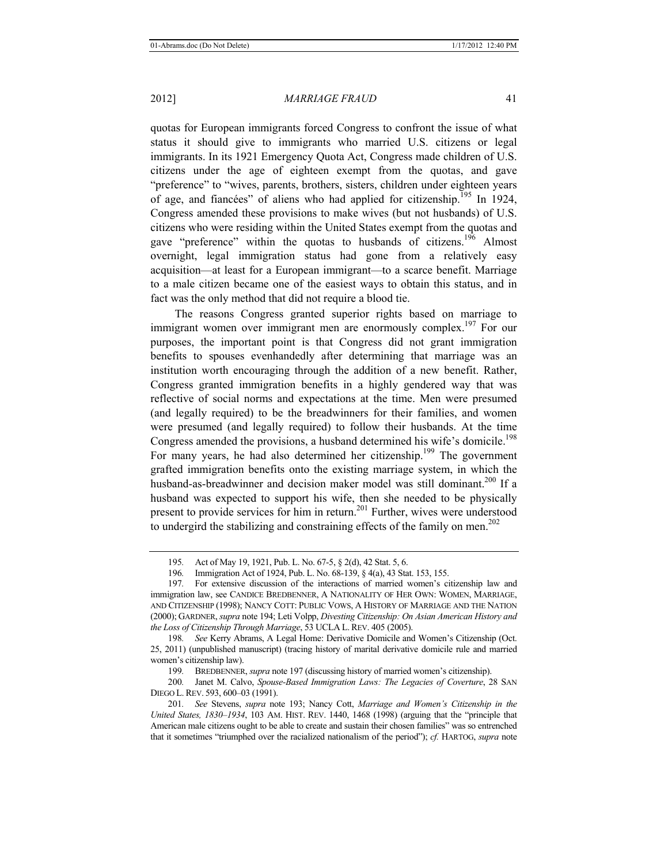quotas for European immigrants forced Congress to confront the issue of what status it should give to immigrants who married U.S. citizens or legal immigrants. In its 1921 Emergency Quota Act, Congress made children of U.S. citizens under the age of eighteen exempt from the quotas, and gave "preference" to "wives, parents, brothers, sisters, children under eighteen years of age, and fiancées" of aliens who had applied for citizenship.195 In 1924, Congress amended these provisions to make wives (but not husbands) of U.S. citizens who were residing within the United States exempt from the quotas and gave "preference" within the quotas to husbands of citizens.<sup>196</sup> Almost overnight, legal immigration status had gone from a relatively easy acquisition—at least for a European immigrant—to a scarce benefit. Marriage to a male citizen became one of the easiest ways to obtain this status, and in fact was the only method that did not require a blood tie.

The reasons Congress granted superior rights based on marriage to immigrant women over immigrant men are enormously complex.<sup>197</sup> For our purposes, the important point is that Congress did not grant immigration benefits to spouses evenhandedly after determining that marriage was an institution worth encouraging through the addition of a new benefit. Rather, Congress granted immigration benefits in a highly gendered way that was reflective of social norms and expectations at the time. Men were presumed (and legally required) to be the breadwinners for their families, and women were presumed (and legally required) to follow their husbands. At the time Congress amended the provisions, a husband determined his wife's domicile.<sup>198</sup> For many years, he had also determined her citizenship.<sup>199</sup> The government grafted immigration benefits onto the existing marriage system, in which the husband-as-breadwinner and decision maker model was still dominant.<sup>200</sup> If a husband was expected to support his wife, then she needed to be physically present to provide services for him in return.201 Further, wives were understood to undergird the stabilizing and constraining effects of the family on men.<sup>202</sup>

<sup>195</sup>*.* Act of May 19, 1921, Pub. L. No. 67-5, § 2(d), 42 Stat. 5, 6.

<sup>196</sup>*.* Immigration Act of 1924, Pub. L. No. 68-139, § 4(a), 43 Stat. 153, 155.

<sup>197</sup>*.* For extensive discussion of the interactions of married women's citizenship law and immigration law, see CANDICE BREDBENNER, A NATIONALITY OF HER OWN: WOMEN, MARRIAGE, AND CITIZENSHIP (1998); NANCY COTT: PUBLIC VOWS, A HISTORY OF MARRIAGE AND THE NATION (2000); GARDNER, *supra* note 194; Leti Volpp, *Divesting Citizenship: On Asian American History and the Loss of Citizenship Through Marriage*, 53 UCLA L.REV. 405 (2005).

<sup>198</sup>*. See* Kerry Abrams, A Legal Home: Derivative Domicile and Women's Citizenship (Oct. 25, 2011) (unpublished manuscript) (tracing history of marital derivative domicile rule and married women's citizenship law).

<sup>199</sup>*.* BREDBENNER, *supra* note 197 (discussing history of married women's citizenship).

<sup>200</sup>*.* Janet M. Calvo, *Spouse-Based Immigration Laws: The Legacies of Coverture*, 28 SAN DIEGO L. REV. 593, 600–03 (1991).

<sup>201</sup>*. See* Stevens, *supra* note 193; Nancy Cott, *Marriage and Women's Citizenship in the United States, 1830–1934*, 103 AM. HIST. REV. 1440, 1468 (1998) (arguing that the "principle that American male citizens ought to be able to create and sustain their chosen families" was so entrenched that it sometimes "triumphed over the racialized nationalism of the period"); *cf.* HARTOG, *supra* note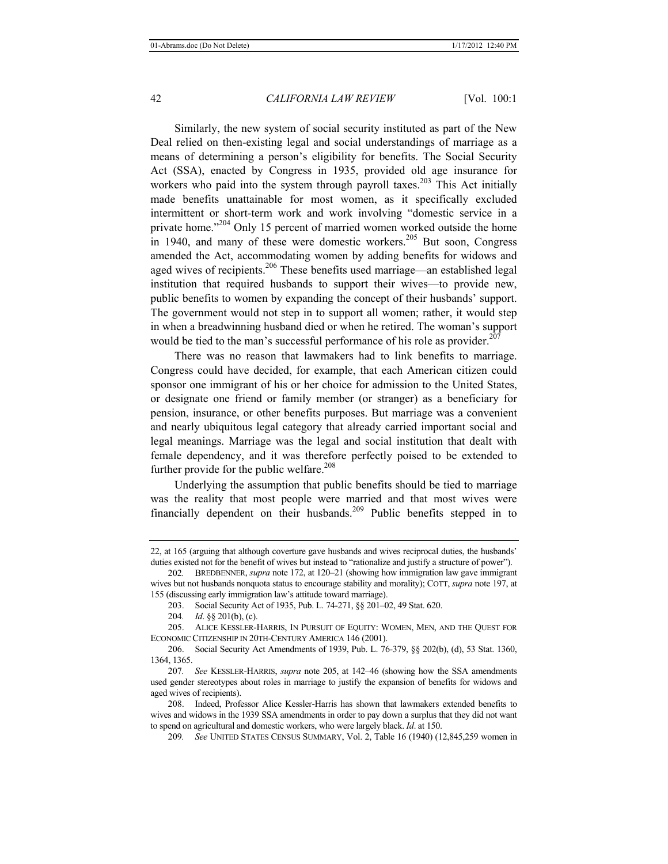Similarly, the new system of social security instituted as part of the New Deal relied on then-existing legal and social understandings of marriage as a means of determining a person's eligibility for benefits. The Social Security Act (SSA), enacted by Congress in 1935, provided old age insurance for workers who paid into the system through payroll taxes.<sup>203</sup> This Act initially made benefits unattainable for most women, as it specifically excluded intermittent or short-term work and work involving "domestic service in a private home."<sup>204</sup> Only 15 percent of married women worked outside the home in 1940, and many of these were domestic workers.<sup>205</sup> But soon, Congress amended the Act, accommodating women by adding benefits for widows and aged wives of recipients.<sup>206</sup> These benefits used marriage—an established legal institution that required husbands to support their wives—to provide new, public benefits to women by expanding the concept of their husbands' support. The government would not step in to support all women; rather, it would step in when a breadwinning husband died or when he retired. The woman's support would be tied to the man's successful performance of his role as provider.<sup>207</sup>

There was no reason that lawmakers had to link benefits to marriage. Congress could have decided, for example, that each American citizen could sponsor one immigrant of his or her choice for admission to the United States, or designate one friend or family member (or stranger) as a beneficiary for pension, insurance, or other benefits purposes. But marriage was a convenient and nearly ubiquitous legal category that already carried important social and legal meanings. Marriage was the legal and social institution that dealt with female dependency, and it was therefore perfectly poised to be extended to further provide for the public welfare.<sup>208</sup>

Underlying the assumption that public benefits should be tied to marriage was the reality that most people were married and that most wives were financially dependent on their husbands.<sup>209</sup> Public benefits stepped in to

209*. See* UNITED STATES CENSUS SUMMARY, Vol. 2, Table 16 (1940) (12,845,259 women in

<sup>22,</sup> at 165 (arguing that although coverture gave husbands and wives reciprocal duties, the husbands' duties existed not for the benefit of wives but instead to "rationalize and justify a structure of power").

<sup>202</sup>*.* BREDBENNER, *supra* note 172, at 120*–*21 (showing how immigration law gave immigrant wives but not husbands nonquota status to encourage stability and morality); COTT, *supra* note 197, at 155 (discussing early immigration law's attitude toward marriage).

<sup>203.</sup> Social Security Act of 1935, Pub. L. 74-271, §§ 201*–*02, 49 Stat. 620.

<sup>204</sup>*. Id*. §§ 201(b), (c).

<sup>205.</sup> ALICE KESSLER-HARRIS, IN PURSUIT OF EQUITY: WOMEN, MEN, AND THE QUEST FOR ECONOMIC CITIZENSHIP IN 20TH-CENTURY AMERICA 146 (2001).

<sup>206.</sup> Social Security Act Amendments of 1939, Pub. L. 76-379, §§ 202(b), (d), 53 Stat. 1360, 1364, 1365.

<sup>207</sup>*. See* KESSLER-HARRIS, *supra* note 205, at 142*–*46 (showing how the SSA amendments used gender stereotypes about roles in marriage to justify the expansion of benefits for widows and aged wives of recipients).

<sup>208.</sup> Indeed, Professor Alice Kessler-Harris has shown that lawmakers extended benefits to wives and widows in the 1939 SSA amendments in order to pay down a surplus that they did not want to spend on agricultural and domestic workers, who were largely black. *Id*. at 150.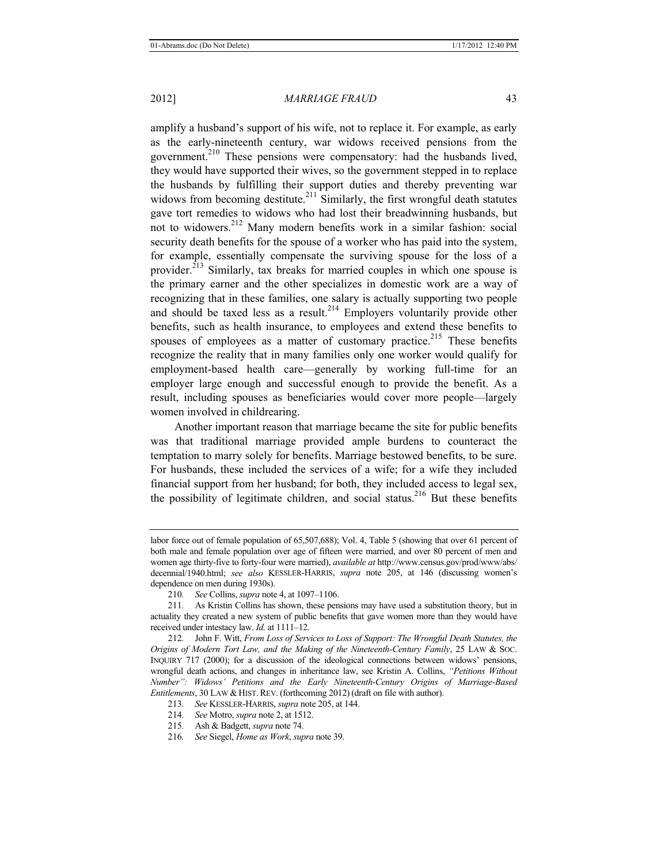amplify a husband's support of his wife, not to replace it. For example, as early as the early-nineteenth century, war widows received pensions from the government.210 These pensions were compensatory: had the husbands lived, they would have supported their wives, so the government stepped in to replace the husbands by fulfilling their support duties and thereby preventing war widows from becoming destitute.<sup>211</sup> Similarly, the first wrongful death statutes gave tort remedies to widows who had lost their breadwinning husbands, but not to widowers.<sup>212</sup> Many modern benefits work in a similar fashion: social security death benefits for the spouse of a worker who has paid into the system, for example, essentially compensate the surviving spouse for the loss of a provider.213 Similarly, tax breaks for married couples in which one spouse is the primary earner and the other specializes in domestic work are a way of recognizing that in these families, one salary is actually supporting two people and should be taxed less as a result.<sup>214</sup> Employers voluntarily provide other benefits, such as health insurance, to employees and extend these benefits to spouses of employees as a matter of customary practice.<sup>215</sup> These benefits recognize the reality that in many families only one worker would qualify for employment-based health care—generally by working full-time for an employer large enough and successful enough to provide the benefit. As a result, including spouses as beneficiaries would cover more people—largely women involved in childrearing.

Another important reason that marriage became the site for public benefits was that traditional marriage provided ample burdens to counteract the temptation to marry solely for benefits. Marriage bestowed benefits, to be sure. For husbands, these included the services of a wife; for a wife they included financial support from her husband; for both, they included access to legal sex, the possibility of legitimate children, and social status.<sup>216</sup> But these benefits

labor force out of female population of 65,507,688); Vol. 4, Table 5 (showing that over 61 percent of both male and female population over age of fifteen were married, and over 80 percent of men and women age thirty-five to forty-four were married), *available at* http://www.census.gov/prod/www/abs/ decennial/1940.html; *see also* KESSLER-HARRIS, *supra* note 205, at 146 (discussing women's dependence on men during 1930s).

<sup>210</sup>*. See* Collins, *supra* note 4, at 1097–1106.

<sup>211</sup>*.* As Kristin Collins has shown, these pensions may have used a substitution theory, but in actuality they created a new system of public benefits that gave women more than they would have received under intestacy law. *Id.* at 1111*–*12.

<sup>212</sup>*.* John F. Witt, *From Loss of Services to Loss of Support: The Wrongful Death Statutes, the Origins of Modern Tort Law, and the Making of the Nineteenth-Century Family*, 25 LAW & SOC. INQUIRY 717 (2000); for a discussion of the ideological connections between widows' pensions, wrongful death actions, and changes in inheritance law, see Kristin A. Collins, *"Petitions Without Number": Widows' Petitions and the Early Nineteenth-Century Origins of Marriage-Based Entitlements*, 30 LAW & HIST. REV. (forthcoming 2012) (draft on file with author).

<sup>213</sup>*. See* KESSLER-HARRIS, *supra* note 205, at 144.

<sup>214</sup>*. See* Motro, *supra* note 2, at 1512.

<sup>215</sup>*.* Ash & Badgett, *supra* note 74.

<sup>216</sup>*. See* Siegel, *Home as Work*, *supra* note 39.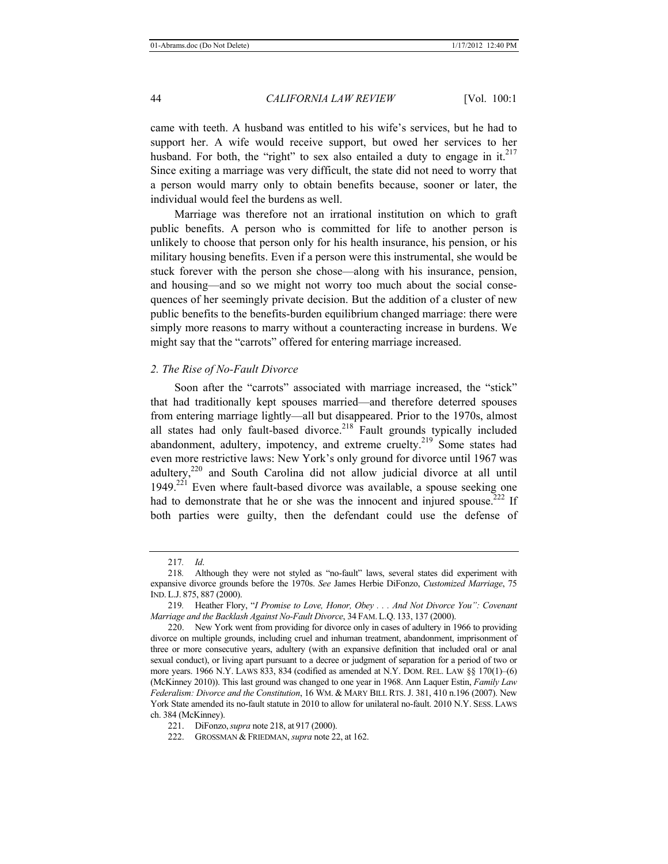came with teeth. A husband was entitled to his wife's services, but he had to support her. A wife would receive support, but owed her services to her husband. For both, the "right" to sex also entailed a duty to engage in it.<sup>217</sup> Since exiting a marriage was very difficult, the state did not need to worry that a person would marry only to obtain benefits because, sooner or later, the individual would feel the burdens as well.

Marriage was therefore not an irrational institution on which to graft public benefits. A person who is committed for life to another person is unlikely to choose that person only for his health insurance, his pension, or his military housing benefits. Even if a person were this instrumental, she would be stuck forever with the person she chose—along with his insurance, pension, and housing—and so we might not worry too much about the social consequences of her seemingly private decision. But the addition of a cluster of new public benefits to the benefits-burden equilibrium changed marriage: there were simply more reasons to marry without a counteracting increase in burdens. We might say that the "carrots" offered for entering marriage increased.

#### *2. The Rise of No-Fault Divorce*

Soon after the "carrots" associated with marriage increased, the "stick" that had traditionally kept spouses married—and therefore deterred spouses from entering marriage lightly—all but disappeared. Prior to the 1970s, almost all states had only fault-based divorce.<sup>218</sup> Fault grounds typically included abandonment, adultery, impotency, and extreme cruelty. $2^{19}$  Some states had even more restrictive laws: New York's only ground for divorce until 1967 was adultery,220 and South Carolina did not allow judicial divorce at all until  $1949<sup>.221</sup>$  Even where fault-based divorce was available, a spouse seeking one had to demonstrate that he or she was the innocent and injured spouse.<sup>222</sup> If both parties were guilty, then the defendant could use the defense of

<sup>217</sup>*. Id*.

<sup>218</sup>*.* Although they were not styled as "no-fault" laws, several states did experiment with expansive divorce grounds before the 1970s. *See* James Herbie DiFonzo, *Customized Marriage*, 75 IND. L.J. 875, 887 (2000).

<sup>219</sup>*.* Heather Flory, "*I Promise to Love, Honor, Obey . . . And Not Divorce You": Covenant Marriage and the Backlash Against No-Fault Divorce*, 34 FAM. L.Q. 133, 137 (2000).

<sup>220.</sup> New York went from providing for divorce only in cases of adultery in 1966 to providing divorce on multiple grounds, including cruel and inhuman treatment, abandonment, imprisonment of three or more consecutive years, adultery (with an expansive definition that included oral or anal sexual conduct), or living apart pursuant to a decree or judgment of separation for a period of two or more years. 1966 N.Y. LAWS 833, 834 (codified as amended at N.Y. DOM. REL. LAW  $\S$ § 170(1)–(6) (McKinney 2010)). This last ground was changed to one year in 1968. Ann Laquer Estin, *Family Law Federalism: Divorce and the Constitution*, 16 WM. & MARY BILL RTS.J. 381, 410 n.196 (2007). New York State amended its no-fault statute in 2010 to allow for unilateral no-fault. 2010 N.Y. SESS. LAWS ch. 384 (McKinney).

<sup>221.</sup> DiFonzo,*supra* note 218, at 917 (2000).

<sup>222.</sup> GROSSMAN & FRIEDMAN, *supra* note 22, at 162.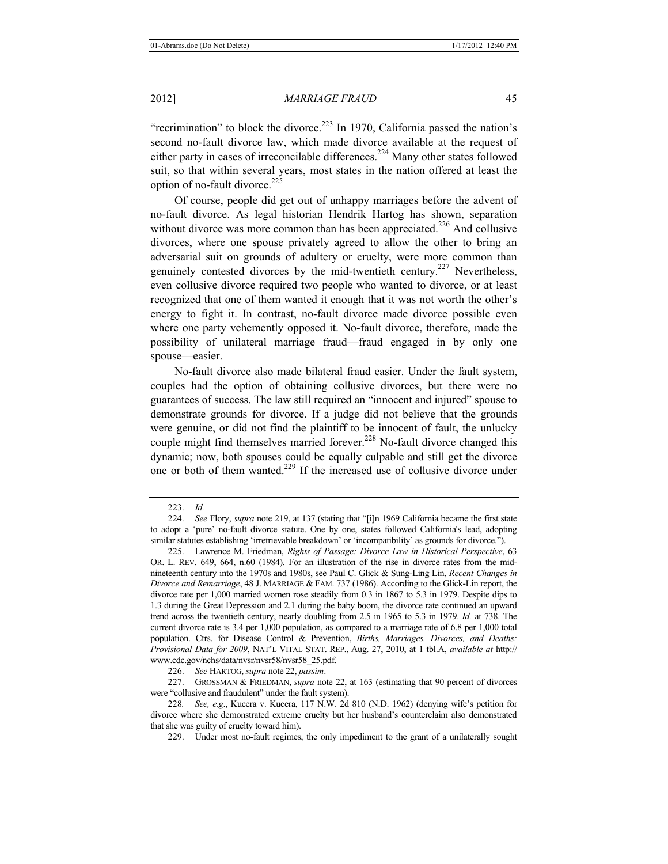"recrimination" to block the divorce.<sup>223</sup> In 1970, California passed the nation's second no-fault divorce law, which made divorce available at the request of either party in cases of irreconcilable differences.<sup>224</sup> Many other states followed suit, so that within several years, most states in the nation offered at least the option of no-fault divorce.<sup>225</sup>

Of course, people did get out of unhappy marriages before the advent of no-fault divorce. As legal historian Hendrik Hartog has shown, separation without divorce was more common than has been appreciated.<sup>226</sup> And collusive divorces, where one spouse privately agreed to allow the other to bring an adversarial suit on grounds of adultery or cruelty, were more common than genuinely contested divorces by the mid-twentieth century.227 Nevertheless, even collusive divorce required two people who wanted to divorce, or at least recognized that one of them wanted it enough that it was not worth the other's energy to fight it. In contrast, no-fault divorce made divorce possible even where one party vehemently opposed it. No-fault divorce, therefore, made the possibility of unilateral marriage fraud—fraud engaged in by only one spouse—easier.

No-fault divorce also made bilateral fraud easier. Under the fault system, couples had the option of obtaining collusive divorces, but there were no guarantees of success. The law still required an "innocent and injured" spouse to demonstrate grounds for divorce. If a judge did not believe that the grounds were genuine, or did not find the plaintiff to be innocent of fault, the unlucky couple might find themselves married forever.<sup>228</sup> No-fault divorce changed this dynamic; now, both spouses could be equally culpable and still get the divorce one or both of them wanted.229 If the increased use of collusive divorce under

226. *See* HARTOG, *supra* note 22, *passim*.

227. GROSSMAN & FRIEDMAN, *supra* note 22, at 163 (estimating that 90 percent of divorces were "collusive and fraudulent" under the fault system).

229. Under most no-fault regimes, the only impediment to the grant of a unilaterally sought

<sup>223.</sup> *Id.* 

<sup>224.</sup> *See* Flory, *supra* note 219, at 137 (stating that "[i]n 1969 California became the first state to adopt a 'pure' no-fault divorce statute. One by one, states followed California's lead, adopting similar statutes establishing 'irretrievable breakdown' or 'incompatibility' as grounds for divorce.").

<sup>225.</sup> Lawrence M. Friedman, *Rights of Passage: Divorce Law in Historical Perspective*, 63 OR. L. REV. 649, 664, n.60 (1984). For an illustration of the rise in divorce rates from the midnineteenth century into the 1970s and 1980s, see Paul C. Glick & Sung-Ling Lin, *Recent Changes in Divorce and Remarriage*, 48 J. MARRIAGE & FAM. 737 (1986). According to the Glick-Lin report, the divorce rate per 1,000 married women rose steadily from 0.3 in 1867 to 5.3 in 1979. Despite dips to 1.3 during the Great Depression and 2.1 during the baby boom, the divorce rate continued an upward trend across the twentieth century, nearly doubling from 2.5 in 1965 to 5.3 in 1979. *Id.* at 738. The current divorce rate is 3.4 per 1,000 population, as compared to a marriage rate of 6.8 per 1,000 total population. Ctrs. for Disease Control & Prevention, *Births, Marriages, Divorces, and Deaths: Provisional Data for 2009*, NAT'L VITAL STAT. REP., Aug. 27, 2010, at 1 tbl.A, *available at* http:// www.cdc.gov/nchs/data/nvsr/nvsr58/nvsr58\_25.pdf.

<sup>228</sup>*. See, e*.*g*., Kucera v. Kucera, 117 N.W. 2d 810 (N.D. 1962) (denying wife's petition for divorce where she demonstrated extreme cruelty but her husband's counterclaim also demonstrated that she was guilty of cruelty toward him).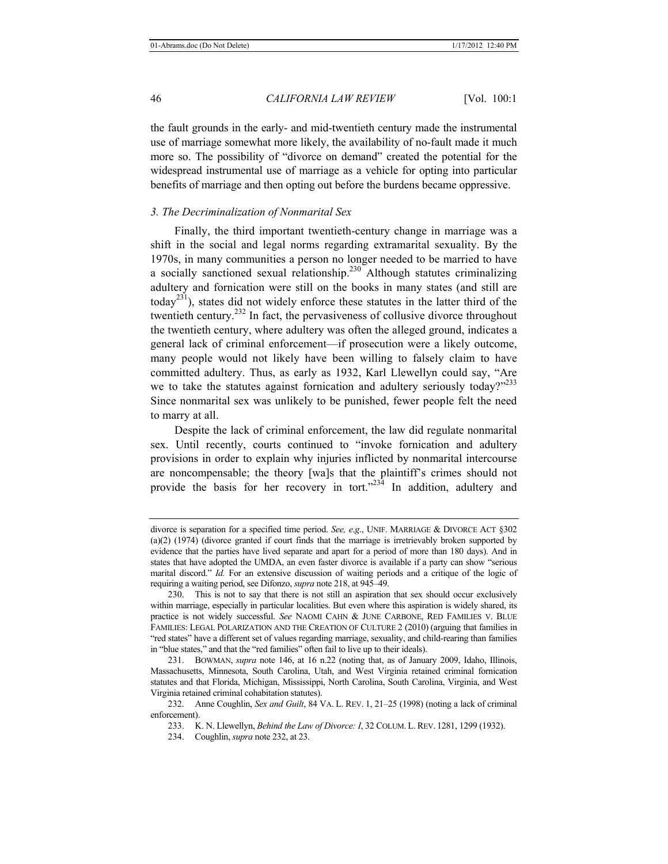the fault grounds in the early- and mid-twentieth century made the instrumental use of marriage somewhat more likely, the availability of no-fault made it much more so. The possibility of "divorce on demand" created the potential for the widespread instrumental use of marriage as a vehicle for opting into particular benefits of marriage and then opting out before the burdens became oppressive.

# *3. The Decriminalization of Nonmarital Sex*

Finally, the third important twentieth-century change in marriage was a shift in the social and legal norms regarding extramarital sexuality. By the 1970s, in many communities a person no longer needed to be married to have a socially sanctioned sexual relationship.<sup>230</sup> Although statutes criminalizing adultery and fornication were still on the books in many states (and still are today<sup>231</sup>), states did not widely enforce these statutes in the latter third of the twentieth century.232 In fact, the pervasiveness of collusive divorce throughout the twentieth century, where adultery was often the alleged ground, indicates a general lack of criminal enforcement—if prosecution were a likely outcome, many people would not likely have been willing to falsely claim to have committed adultery. Thus, as early as 1932, Karl Llewellyn could say, "Are we to take the statutes against fornication and adultery seriously today?"<sup>233</sup> Since nonmarital sex was unlikely to be punished, fewer people felt the need to marry at all.

Despite the lack of criminal enforcement, the law did regulate nonmarital sex. Until recently, courts continued to "invoke fornication and adultery provisions in order to explain why injuries inflicted by nonmarital intercourse are noncompensable; the theory [wa]s that the plaintiff's crimes should not provide the basis for her recovery in tort." $23\overline{4}$  In addition, adultery and

divorce is separation for a specified time period. See, e.g., UNIF. MARRIAGE & DIVORCE ACT §302 (a)(2) (1974) (divorce granted if court finds that the marriage is irretrievably broken supported by evidence that the parties have lived separate and apart for a period of more than 180 days). And in states that have adopted the UMDA, an even faster divorce is available if a party can show "serious marital discord." *Id.* For an extensive discussion of waiting periods and a critique of the logic of requiring a waiting period, see Difonzo, *supra* note 218, at 945–49.

<sup>230.</sup> This is not to say that there is not still an aspiration that sex should occur exclusively within marriage, especially in particular localities. But even where this aspiration is widely shared, its practice is not widely successful. *See* NAOMI CAHN & JUNE CARBONE, RED FAMILIES V. BLUE FAMILIES: LEGAL POLARIZATION AND THE CREATION OF CULTURE 2 (2010) (arguing that families in "red states" have a different set of values regarding marriage, sexuality, and child-rearing than families in "blue states," and that the "red families" often fail to live up to their ideals).

<sup>231.</sup> BOWMAN, *supra* note 146, at 16 n.22 (noting that, as of January 2009, Idaho, Illinois, Massachusetts, Minnesota, South Carolina, Utah, and West Virginia retained criminal fornication statutes and that Florida, Michigan, Mississippi, North Carolina, South Carolina, Virginia, and West Virginia retained criminal cohabitation statutes).

<sup>232.</sup> Anne Coughlin, *Sex and Guilt*, 84 VA. L. REV. 1, 21*–*25 (1998) (noting a lack of criminal enforcement).

<sup>233.</sup> K. N. Llewellyn, *Behind the Law of Divorce: I*, 32 COLUM. L. REV. 1281, 1299 (1932).

<sup>234.</sup> Coughlin, *supra* note 232, at 23.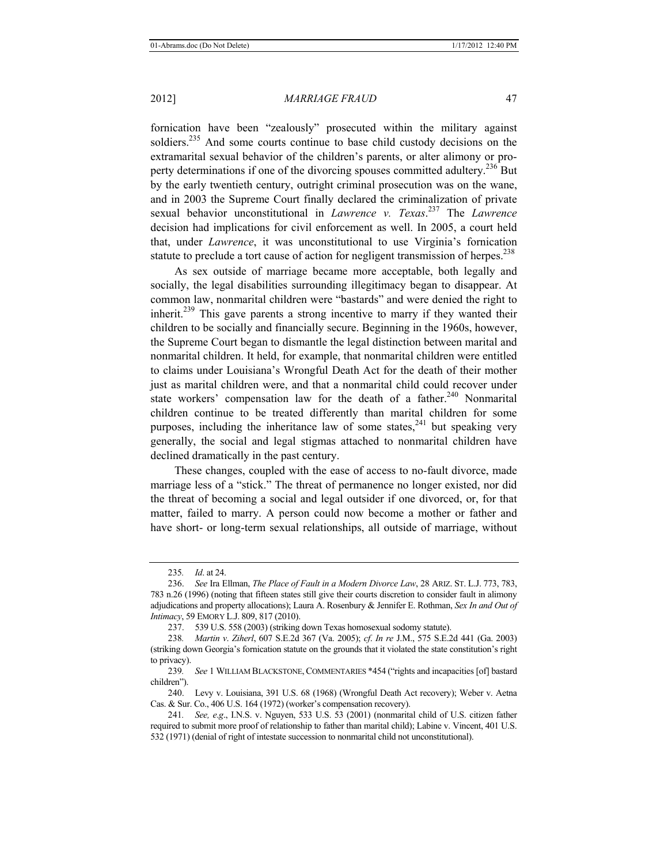fornication have been "zealously" prosecuted within the military against soldiers.<sup>235</sup> And some courts continue to base child custody decisions on the extramarital sexual behavior of the children's parents, or alter alimony or property determinations if one of the divorcing spouses committed adultery.<sup>236</sup> But by the early twentieth century, outright criminal prosecution was on the wane, and in 2003 the Supreme Court finally declared the criminalization of private sexual behavior unconstitutional in *Lawrence v. Texas*. 237 The *Lawrence* decision had implications for civil enforcement as well. In 2005, a court held that, under *Lawrence*, it was unconstitutional to use Virginia's fornication statute to preclude a tort cause of action for negligent transmission of herpes.<sup>238</sup>

As sex outside of marriage became more acceptable, both legally and socially, the legal disabilities surrounding illegitimacy began to disappear. At common law, nonmarital children were "bastards" and were denied the right to inherit.239 This gave parents a strong incentive to marry if they wanted their children to be socially and financially secure. Beginning in the 1960s, however, the Supreme Court began to dismantle the legal distinction between marital and nonmarital children. It held, for example, that nonmarital children were entitled to claims under Louisiana's Wrongful Death Act for the death of their mother just as marital children were, and that a nonmarital child could recover under state workers' compensation law for the death of a father.<sup>240</sup> Nonmarital children continue to be treated differently than marital children for some purposes, including the inheritance law of some states,  $241$  but speaking very generally, the social and legal stigmas attached to nonmarital children have declined dramatically in the past century.

These changes, coupled with the ease of access to no-fault divorce, made marriage less of a "stick." The threat of permanence no longer existed, nor did the threat of becoming a social and legal outsider if one divorced, or, for that matter, failed to marry. A person could now become a mother or father and have short- or long-term sexual relationships, all outside of marriage, without

<sup>235</sup>*. Id*. at 24.

<sup>236.</sup> *See* Ira Ellman, *The Place of Fault in a Modern Divorce Law*, 28 ARIZ. ST. L.J. 773, 783, 783 n.26 (1996) (noting that fifteen states still give their courts discretion to consider fault in alimony adjudications and property allocations); Laura A. Rosenbury & Jennifer E. Rothman, *Sex In and Out of Intimacy*, 59 EMORY L.J. 809, 817 (2010).

<sup>237.</sup> 539 U.S. 558 (2003) (striking down Texas homosexual sodomy statute).

<sup>238</sup>*. Martin v*. *Ziherl*, 607 S.E.2d 367 (Va. 2005); *cf*. *In re* J.M., 575 S.E.2d 441 (Ga. 2003) (striking down Georgia's fornication statute on the grounds that it violated the state constitution's right to privacy).

<sup>239</sup>*. See* 1 WILLIAM BLACKSTONE, COMMENTARIES \*454 ("rights and incapacities [of] bastard children").

<sup>240.</sup> Levy v. Louisiana, 391 U.S. 68 (1968) (Wrongful Death Act recovery); Weber v. Aetna Cas. & Sur. Co., 406 U.S. 164 (1972) (worker's compensation recovery).

<sup>241</sup>*. See, e*.*g*., I.N.S. v. Nguyen, 533 U.S. 53 (2001) (nonmarital child of U.S. citizen father required to submit more proof of relationship to father than marital child); Labine v. Vincent, 401 U.S. 532 (1971) (denial of right of intestate succession to nonmarital child not unconstitutional).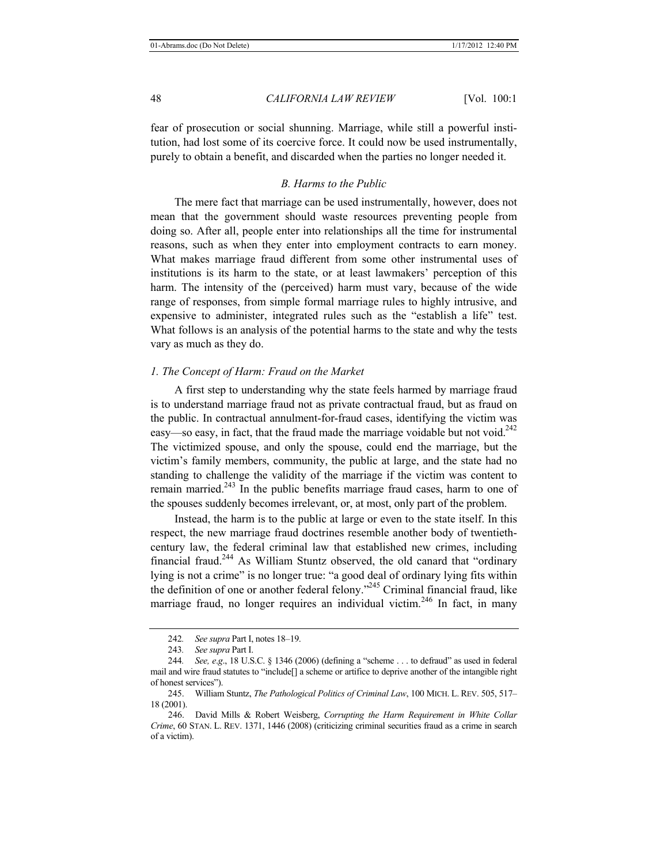fear of prosecution or social shunning. Marriage, while still a powerful institution, had lost some of its coercive force. It could now be used instrumentally, purely to obtain a benefit, and discarded when the parties no longer needed it.

# *B. Harms to the Public*

The mere fact that marriage can be used instrumentally, however, does not mean that the government should waste resources preventing people from doing so. After all, people enter into relationships all the time for instrumental reasons, such as when they enter into employment contracts to earn money. What makes marriage fraud different from some other instrumental uses of institutions is its harm to the state, or at least lawmakers' perception of this harm. The intensity of the (perceived) harm must vary, because of the wide range of responses, from simple formal marriage rules to highly intrusive, and expensive to administer, integrated rules such as the "establish a life" test. What follows is an analysis of the potential harms to the state and why the tests vary as much as they do.

# *1. The Concept of Harm: Fraud on the Market*

A first step to understanding why the state feels harmed by marriage fraud is to understand marriage fraud not as private contractual fraud, but as fraud on the public. In contractual annulment-for-fraud cases, identifying the victim was easy—so easy, in fact, that the fraud made the marriage voidable but not void.<sup>242</sup> The victimized spouse, and only the spouse, could end the marriage, but the victim's family members, community, the public at large, and the state had no standing to challenge the validity of the marriage if the victim was content to remain married.<sup>243</sup> In the public benefits marriage fraud cases, harm to one of the spouses suddenly becomes irrelevant, or, at most, only part of the problem.

Instead, the harm is to the public at large or even to the state itself. In this respect, the new marriage fraud doctrines resemble another body of twentiethcentury law, the federal criminal law that established new crimes, including financial fraud.244 As William Stuntz observed, the old canard that "ordinary lying is not a crime" is no longer true: "a good deal of ordinary lying fits within the definition of one or another federal felony."245 Criminal financial fraud, like marriage fraud, no longer requires an individual victim.<sup>246</sup> In fact, in many

<sup>242</sup>*. See supra* Part I, notes 18*–*19.

<sup>243</sup>*. See supra* Part I.

<sup>244</sup>*. See, e*.*g*., 18 U.S.C. § 1346 (2006) (defining a "scheme . . . to defraud" as used in federal mail and wire fraud statutes to "include[] a scheme or artifice to deprive another of the intangible right of honest services").

<sup>245.</sup> William Stuntz, *The Pathological Politics of Criminal Law*, 100 MICH. L. REV. 505, 517*–* 18 (2001).

<sup>246.</sup> David Mills & Robert Weisberg, *Corrupting the Harm Requirement in White Collar Crime*, 60 STAN. L. REV. 1371, 1446 (2008) (criticizing criminal securities fraud as a crime in search of a victim).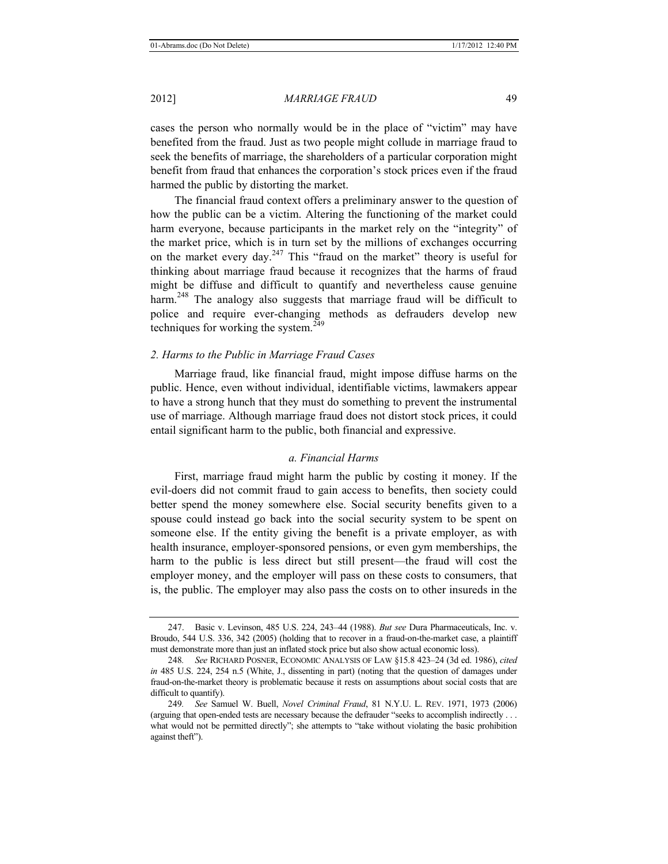cases the person who normally would be in the place of "victim" may have benefited from the fraud. Just as two people might collude in marriage fraud to seek the benefits of marriage, the shareholders of a particular corporation might benefit from fraud that enhances the corporation's stock prices even if the fraud harmed the public by distorting the market.

The financial fraud context offers a preliminary answer to the question of how the public can be a victim. Altering the functioning of the market could harm everyone, because participants in the market rely on the "integrity" of the market price, which is in turn set by the millions of exchanges occurring on the market every day.<sup>247</sup> This "fraud on the market" theory is useful for thinking about marriage fraud because it recognizes that the harms of fraud might be diffuse and difficult to quantify and nevertheless cause genuine harm.<sup>248</sup> The analogy also suggests that marriage fraud will be difficult to police and require ever-changing methods as defrauders develop new techniques for working the system.<sup>249</sup>

# *2. Harms to the Public in Marriage Fraud Cases*

Marriage fraud, like financial fraud, might impose diffuse harms on the public. Hence, even without individual, identifiable victims, lawmakers appear to have a strong hunch that they must do something to prevent the instrumental use of marriage. Although marriage fraud does not distort stock prices, it could entail significant harm to the public, both financial and expressive.

# *a. Financial Harms*

First, marriage fraud might harm the public by costing it money. If the evil-doers did not commit fraud to gain access to benefits, then society could better spend the money somewhere else. Social security benefits given to a spouse could instead go back into the social security system to be spent on someone else. If the entity giving the benefit is a private employer, as with health insurance, employer-sponsored pensions, or even gym memberships, the harm to the public is less direct but still present—the fraud will cost the employer money, and the employer will pass on these costs to consumers, that is, the public. The employer may also pass the costs on to other insureds in the

<sup>247.</sup> Basic v. Levinson, 485 U.S. 224, 243*–*44 (1988). *But see* Dura Pharmaceuticals, Inc. v. Broudo, 544 U.S. 336, 342 (2005) (holding that to recover in a fraud-on-the-market case, a plaintiff must demonstrate more than just an inflated stock price but also show actual economic loss).

<sup>248</sup>*. See* RICHARD POSNER, ECONOMIC ANALYSIS OF LAW §15.8 423*–*24 (3d ed. 1986), *cited in* 485 U.S. 224, 254 n.5 (White, J., dissenting in part) (noting that the question of damages under fraud-on-the-market theory is problematic because it rests on assumptions about social costs that are difficult to quantify).

<sup>249</sup>*. See* Samuel W. Buell, *Novel Criminal Fraud*, 81 N.Y.U. L. REV. 1971, 1973 (2006) (arguing that open-ended tests are necessary because the defrauder "seeks to accomplish indirectly . . . what would not be permitted directly"; she attempts to "take without violating the basic prohibition against theft").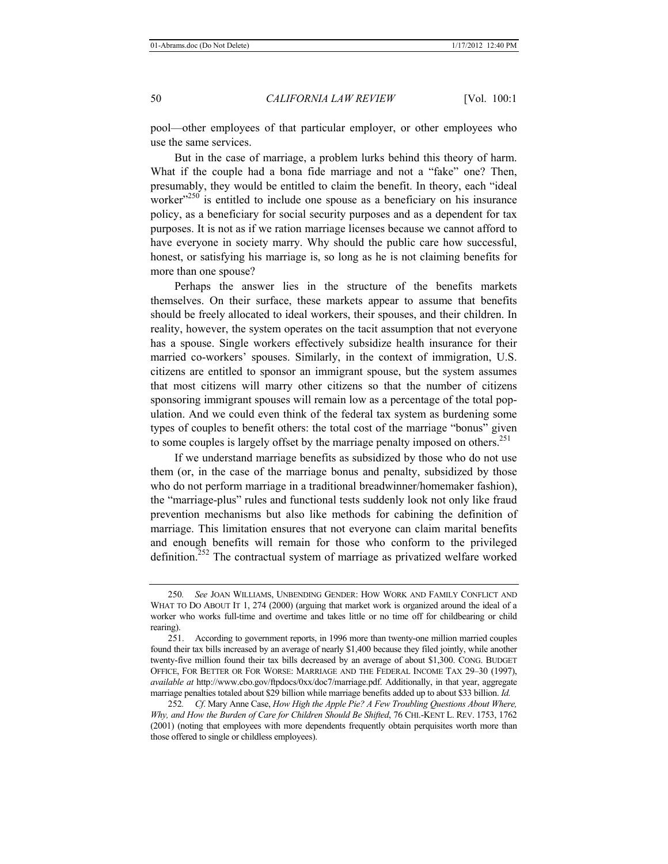pool—other employees of that particular employer, or other employees who use the same services.

But in the case of marriage, a problem lurks behind this theory of harm. What if the couple had a bona fide marriage and not a "fake" one? Then, presumably, they would be entitled to claim the benefit. In theory, each "ideal worker $x^{250}$  is entitled to include one spouse as a beneficiary on his insurance policy, as a beneficiary for social security purposes and as a dependent for tax purposes. It is not as if we ration marriage licenses because we cannot afford to have everyone in society marry. Why should the public care how successful, honest, or satisfying his marriage is, so long as he is not claiming benefits for more than one spouse?

Perhaps the answer lies in the structure of the benefits markets themselves. On their surface, these markets appear to assume that benefits should be freely allocated to ideal workers, their spouses, and their children. In reality, however, the system operates on the tacit assumption that not everyone has a spouse. Single workers effectively subsidize health insurance for their married co-workers' spouses. Similarly, in the context of immigration, U.S. citizens are entitled to sponsor an immigrant spouse, but the system assumes that most citizens will marry other citizens so that the number of citizens sponsoring immigrant spouses will remain low as a percentage of the total population. And we could even think of the federal tax system as burdening some types of couples to benefit others: the total cost of the marriage "bonus" given to some couples is largely offset by the marriage penalty imposed on others.<sup>251</sup>

If we understand marriage benefits as subsidized by those who do not use them (or, in the case of the marriage bonus and penalty, subsidized by those who do not perform marriage in a traditional breadwinner/homemaker fashion), the "marriage-plus" rules and functional tests suddenly look not only like fraud prevention mechanisms but also like methods for cabining the definition of marriage. This limitation ensures that not everyone can claim marital benefits and enough benefits will remain for those who conform to the privileged definition.<sup>252</sup> The contractual system of marriage as privatized welfare worked

<sup>250</sup>*. See* JOAN WILLIAMS, UNBENDING GENDER: HOW WORK AND FAMILY CONFLICT AND WHAT TO DO ABOUT IT 1, 274 (2000) (arguing that market work is organized around the ideal of a worker who works full-time and overtime and takes little or no time off for childbearing or child rearing).

<sup>251.</sup> According to government reports, in 1996 more than twenty-one million married couples found their tax bills increased by an average of nearly \$1,400 because they filed jointly, while another twenty-five million found their tax bills decreased by an average of about \$1,300. CONG. BUDGET OFFICE, FOR BETTER OR FOR WORSE: MARRIAGE AND THE FEDERAL INCOME TAX 29*–*30 (1997), *available at* http://www.cbo.gov/ftpdocs/0xx/doc7/marriage.pdf. Additionally, in that year, aggregate marriage penalties totaled about \$29 billion while marriage benefits added up to about \$33 billion. *Id.*

<sup>252</sup>*. Cf*. Mary Anne Case, *How High the Apple Pie? A Few Troubling Questions About Where, Why, and How the Burden of Care for Children Should Be Shifted*, 76 CHI.-KENT L. REV. 1753, 1762 (2001) (noting that employees with more dependents frequently obtain perquisites worth more than those offered to single or childless employees).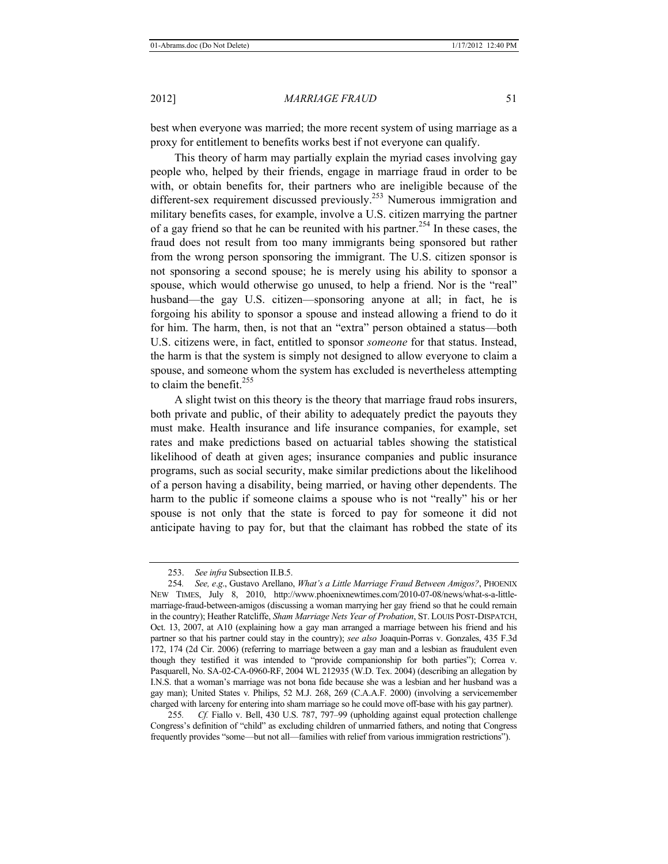best when everyone was married; the more recent system of using marriage as a proxy for entitlement to benefits works best if not everyone can qualify.

This theory of harm may partially explain the myriad cases involving gay people who, helped by their friends, engage in marriage fraud in order to be with, or obtain benefits for, their partners who are ineligible because of the different-sex requirement discussed previously.<sup>253</sup> Numerous immigration and military benefits cases, for example, involve a U.S. citizen marrying the partner of a gay friend so that he can be reunited with his partner.<sup>254</sup> In these cases, the fraud does not result from too many immigrants being sponsored but rather from the wrong person sponsoring the immigrant. The U.S. citizen sponsor is not sponsoring a second spouse; he is merely using his ability to sponsor a spouse, which would otherwise go unused, to help a friend. Nor is the "real" husband—the gay U.S. citizen—sponsoring anyone at all; in fact, he is forgoing his ability to sponsor a spouse and instead allowing a friend to do it for him. The harm, then, is not that an "extra" person obtained a status—both U.S. citizens were, in fact, entitled to sponsor *someone* for that status. Instead, the harm is that the system is simply not designed to allow everyone to claim a spouse, and someone whom the system has excluded is nevertheless attempting to claim the benefit.<sup>255</sup>

A slight twist on this theory is the theory that marriage fraud robs insurers, both private and public, of their ability to adequately predict the payouts they must make. Health insurance and life insurance companies, for example, set rates and make predictions based on actuarial tables showing the statistical likelihood of death at given ages; insurance companies and public insurance programs, such as social security, make similar predictions about the likelihood of a person having a disability, being married, or having other dependents. The harm to the public if someone claims a spouse who is not "really" his or her spouse is not only that the state is forced to pay for someone it did not anticipate having to pay for, but that the claimant has robbed the state of its

<sup>253.</sup> *See infra* Subsection II.B.5.

<sup>254</sup>*. See, e*.*g*., Gustavo Arellano, *What's a Little Marriage Fraud Between Amigos?*, PHOENIX NEW TIMES, July 8, 2010, http://www.phoenixnewtimes.com/2010-07-08/news/what-s-a-littlemarriage-fraud-between-amigos (discussing a woman marrying her gay friend so that he could remain in the country); Heather Ratcliffe, *Sham Marriage Nets Year of Probation*, ST. LOUIS POST-DISPATCH, Oct. 13, 2007, at A10 (explaining how a gay man arranged a marriage between his friend and his partner so that his partner could stay in the country); *see also* Joaquin-Porras v. Gonzales, 435 F.3d 172, 174 (2d Cir. 2006) (referring to marriage between a gay man and a lesbian as fraudulent even though they testified it was intended to "provide companionship for both parties"); Correa v. Pasquarell, No. SA-02-CA-0960-RF, 2004 WL 212935 (W.D. Tex. 2004) (describing an allegation by I.N.S. that a woman's marriage was not bona fide because she was a lesbian and her husband was a gay man); United States v. Philips, 52 M.J. 268, 269 (C.A.A.F. 2000) (involving a servicemember charged with larceny for entering into sham marriage so he could move off-base with his gay partner).

<sup>255</sup>*. Cf.* Fiallo v. Bell, 430 U.S. 787, 797–99 (upholding against equal protection challenge Congress's definition of "child" as excluding children of unmarried fathers, and noting that Congress frequently provides "some—but not all—families with relief from various immigration restrictions").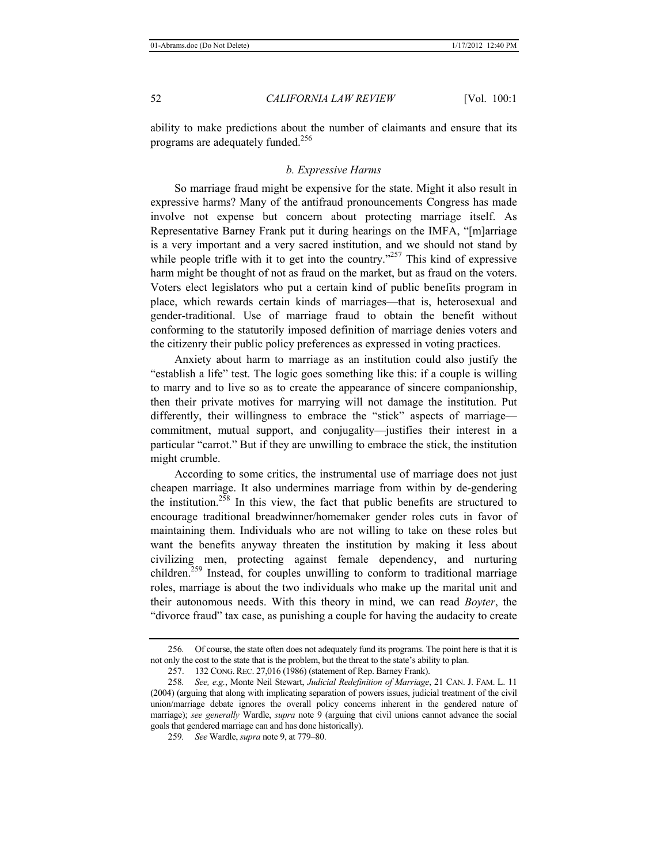ability to make predictions about the number of claimants and ensure that its programs are adequately funded.<sup>256</sup>

# *b. Expressive Harms*

So marriage fraud might be expensive for the state. Might it also result in expressive harms? Many of the antifraud pronouncements Congress has made involve not expense but concern about protecting marriage itself. As Representative Barney Frank put it during hearings on the IMFA, "[m]arriage is a very important and a very sacred institution, and we should not stand by while people trifle with it to get into the country."<sup>257</sup> This kind of expressive harm might be thought of not as fraud on the market, but as fraud on the voters. Voters elect legislators who put a certain kind of public benefits program in place, which rewards certain kinds of marriages—that is, heterosexual and gender-traditional. Use of marriage fraud to obtain the benefit without conforming to the statutorily imposed definition of marriage denies voters and the citizenry their public policy preferences as expressed in voting practices.

Anxiety about harm to marriage as an institution could also justify the "establish a life" test. The logic goes something like this: if a couple is willing to marry and to live so as to create the appearance of sincere companionship, then their private motives for marrying will not damage the institution. Put differently, their willingness to embrace the "stick" aspects of marriage commitment, mutual support, and conjugality—justifies their interest in a particular "carrot." But if they are unwilling to embrace the stick, the institution might crumble.

According to some critics, the instrumental use of marriage does not just cheapen marriage. It also undermines marriage from within by de-gendering the institution.<sup>258</sup> In this view, the fact that public benefits are structured to encourage traditional breadwinner/homemaker gender roles cuts in favor of maintaining them. Individuals who are not willing to take on these roles but want the benefits anyway threaten the institution by making it less about civilizing men, protecting against female dependency, and nurturing children.<sup>259</sup> Instead, for couples unwilling to conform to traditional marriage roles, marriage is about the two individuals who make up the marital unit and their autonomous needs. With this theory in mind, we can read *Boyter*, the "divorce fraud" tax case, as punishing a couple for having the audacity to create

<sup>256</sup>*.* Of course, the state often does not adequately fund its programs. The point here is that it is not only the cost to the state that is the problem, but the threat to the state's ability to plan.

<sup>257.</sup> 132 CONG. REC. 27,016 (1986) (statement of Rep. Barney Frank).

<sup>258</sup>*. See, e.g.*, Monte Neil Stewart, *Judicial Redefinition of Marriage*, 21 CAN. J. FAM. L. 11 (2004) (arguing that along with implicating separation of powers issues, judicial treatment of the civil union/marriage debate ignores the overall policy concerns inherent in the gendered nature of marriage); *see generally* Wardle, *supra* note 9 (arguing that civil unions cannot advance the social goals that gendered marriage can and has done historically).

<sup>259</sup>*. See* Wardle, *supra* note 9, at 779*–*80.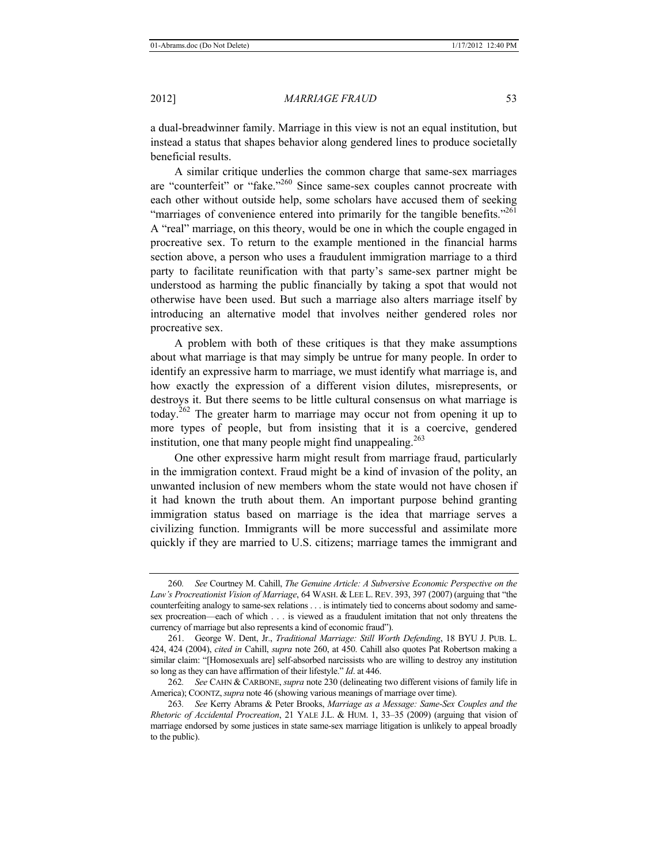a dual-breadwinner family. Marriage in this view is not an equal institution, but instead a status that shapes behavior along gendered lines to produce societally beneficial results.

A similar critique underlies the common charge that same-sex marriages are "counterfeit" or "fake."<sup>260</sup> Since same-sex couples cannot procreate with each other without outside help, some scholars have accused them of seeking "marriages of convenience entered into primarily for the tangible benefits."<sup>261</sup> A "real" marriage, on this theory, would be one in which the couple engaged in procreative sex. To return to the example mentioned in the financial harms section above, a person who uses a fraudulent immigration marriage to a third party to facilitate reunification with that party's same-sex partner might be understood as harming the public financially by taking a spot that would not otherwise have been used. But such a marriage also alters marriage itself by introducing an alternative model that involves neither gendered roles nor procreative sex.

A problem with both of these critiques is that they make assumptions about what marriage is that may simply be untrue for many people. In order to identify an expressive harm to marriage, we must identify what marriage is, and how exactly the expression of a different vision dilutes, misrepresents, or destroys it. But there seems to be little cultural consensus on what marriage is today.<sup>262</sup> The greater harm to marriage may occur not from opening it up to more types of people, but from insisting that it is a coercive, gendered institution, one that many people might find unappealing.<sup>263</sup>

One other expressive harm might result from marriage fraud, particularly in the immigration context. Fraud might be a kind of invasion of the polity, an unwanted inclusion of new members whom the state would not have chosen if it had known the truth about them. An important purpose behind granting immigration status based on marriage is the idea that marriage serves a civilizing function. Immigrants will be more successful and assimilate more quickly if they are married to U.S. citizens; marriage tames the immigrant and

<sup>260</sup>*. See* Courtney M. Cahill, *The Genuine Article: A Subversive Economic Perspective on the Law's Procreationist Vision of Marriage*, 64 WASH. & LEE L. REV. 393, 397 (2007) (arguing that "the counterfeiting analogy to same-sex relations . . . is intimately tied to concerns about sodomy and samesex procreation—each of which . . . is viewed as a fraudulent imitation that not only threatens the currency of marriage but also represents a kind of economic fraud").

<sup>261.</sup> George W. Dent, Jr., *Traditional Marriage: Still Worth Defending*, 18 BYU J. PUB. L. 424, 424 (2004), *cited in* Cahill, *supra* note 260, at 450. Cahill also quotes Pat Robertson making a similar claim: "[Homosexuals are] self-absorbed narcissists who are willing to destroy any institution so long as they can have affirmation of their lifestyle." *Id*. at 446.

<sup>262</sup>*. See* CAHN & CARBONE, *supra* note 230 (delineating two different visions of family life in America); COONTZ,*supra* note 46 (showing various meanings of marriage over time).

<sup>263</sup>*. See* Kerry Abrams & Peter Brooks, *Marriage as a Message: Same-Sex Couples and the Rhetoric of Accidental Procreation*, 21 YALE J.L. & HUM. 1, 33–35 (2009) (arguing that vision of marriage endorsed by some justices in state same-sex marriage litigation is unlikely to appeal broadly to the public).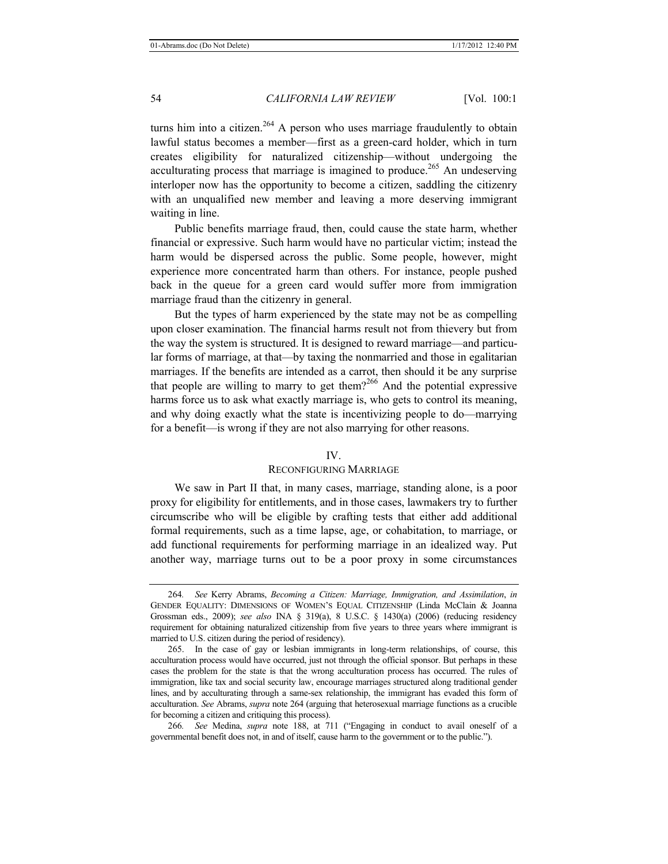turns him into a citizen.<sup>264</sup> A person who uses marriage fraudulently to obtain lawful status becomes a member—first as a green-card holder, which in turn creates eligibility for naturalized citizenship—without undergoing the acculturating process that marriage is imagined to produce.<sup>265</sup> An undeserving interloper now has the opportunity to become a citizen, saddling the citizenry with an unqualified new member and leaving a more deserving immigrant waiting in line.

Public benefits marriage fraud, then, could cause the state harm, whether financial or expressive. Such harm would have no particular victim; instead the harm would be dispersed across the public. Some people, however, might experience more concentrated harm than others. For instance, people pushed back in the queue for a green card would suffer more from immigration marriage fraud than the citizenry in general.

But the types of harm experienced by the state may not be as compelling upon closer examination. The financial harms result not from thievery but from the way the system is structured. It is designed to reward marriage—and particular forms of marriage, at that—by taxing the nonmarried and those in egalitarian marriages. If the benefits are intended as a carrot, then should it be any surprise that people are willing to marry to get them?<sup>266</sup> And the potential expressive harms force us to ask what exactly marriage is, who gets to control its meaning, and why doing exactly what the state is incentivizing people to do—marrying for a benefit—is wrong if they are not also marrying for other reasons.

#### IV.

#### RECONFIGURING MARRIAGE

We saw in Part II that, in many cases, marriage, standing alone, is a poor proxy for eligibility for entitlements, and in those cases, lawmakers try to further circumscribe who will be eligible by crafting tests that either add additional formal requirements, such as a time lapse, age, or cohabitation, to marriage, or add functional requirements for performing marriage in an idealized way. Put another way, marriage turns out to be a poor proxy in some circumstances

<sup>264</sup>*. See* Kerry Abrams, *Becoming a Citizen: Marriage, Immigration, and Assimilation*, *in* GENDER EQUALITY: DIMENSIONS OF WOMEN'S EQUAL CITIZENSHIP (Linda McClain & Joanna Grossman eds., 2009); *see also* INA § 319(a), 8 U.S.C. § 1430(a) (2006) (reducing residency requirement for obtaining naturalized citizenship from five years to three years where immigrant is married to U.S. citizen during the period of residency).

<sup>265.</sup> In the case of gay or lesbian immigrants in long-term relationships, of course, this acculturation process would have occurred, just not through the official sponsor. But perhaps in these cases the problem for the state is that the wrong acculturation process has occurred. The rules of immigration, like tax and social security law, encourage marriages structured along traditional gender lines, and by acculturating through a same-sex relationship, the immigrant has evaded this form of acculturation. *See* Abrams, *supra* note 264 (arguing that heterosexual marriage functions as a crucible for becoming a citizen and critiquing this process).

<sup>266</sup>*. See* Medina, *supra* note 188, at 711 ("Engaging in conduct to avail oneself of a governmental benefit does not, in and of itself, cause harm to the government or to the public.").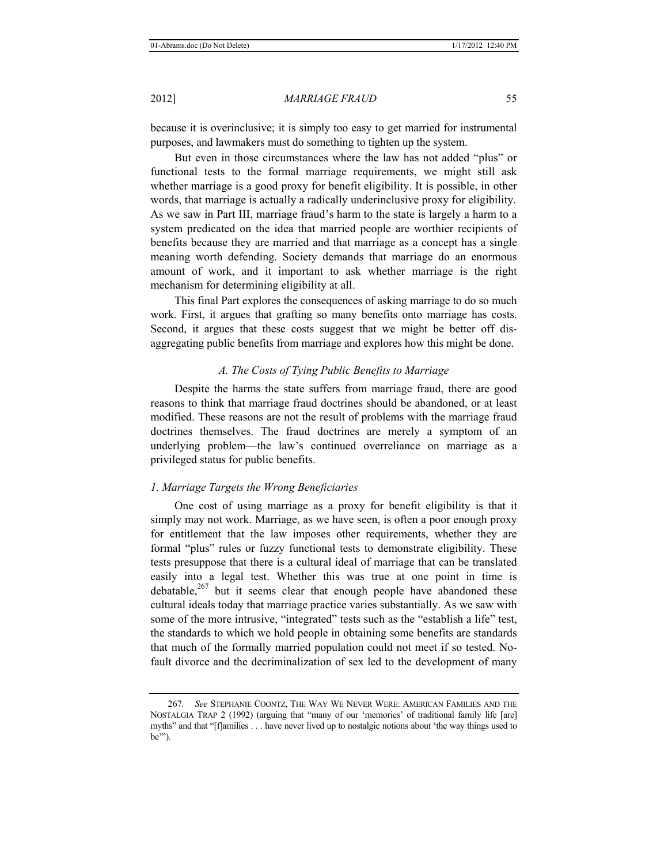because it is overinclusive; it is simply too easy to get married for instrumental purposes, and lawmakers must do something to tighten up the system.

But even in those circumstances where the law has not added "plus" or functional tests to the formal marriage requirements, we might still ask whether marriage is a good proxy for benefit eligibility. It is possible, in other words, that marriage is actually a radically underinclusive proxy for eligibility. As we saw in Part III, marriage fraud's harm to the state is largely a harm to a system predicated on the idea that married people are worthier recipients of benefits because they are married and that marriage as a concept has a single meaning worth defending. Society demands that marriage do an enormous amount of work, and it important to ask whether marriage is the right mechanism for determining eligibility at all.

This final Part explores the consequences of asking marriage to do so much work. First, it argues that grafting so many benefits onto marriage has costs. Second, it argues that these costs suggest that we might be better off disaggregating public benefits from marriage and explores how this might be done.

# *A. The Costs of Tying Public Benefits to Marriage*

Despite the harms the state suffers from marriage fraud, there are good reasons to think that marriage fraud doctrines should be abandoned, or at least modified. These reasons are not the result of problems with the marriage fraud doctrines themselves. The fraud doctrines are merely a symptom of an underlying problem—the law's continued overreliance on marriage as a privileged status for public benefits.

#### *1. Marriage Targets the Wrong Beneficiaries*

One cost of using marriage as a proxy for benefit eligibility is that it simply may not work. Marriage, as we have seen, is often a poor enough proxy for entitlement that the law imposes other requirements, whether they are formal "plus" rules or fuzzy functional tests to demonstrate eligibility. These tests presuppose that there is a cultural ideal of marriage that can be translated easily into a legal test. Whether this was true at one point in time is debatable, $267$  but it seems clear that enough people have abandoned these cultural ideals today that marriage practice varies substantially. As we saw with some of the more intrusive, "integrated" tests such as the "establish a life" test, the standards to which we hold people in obtaining some benefits are standards that much of the formally married population could not meet if so tested. Nofault divorce and the decriminalization of sex led to the development of many

<sup>267</sup>*. See* STEPHANIE COONTZ, THE WAY WE NEVER WERE: AMERICAN FAMILIES AND THE NOSTALGIA TRAP 2 (1992) (arguing that "many of our 'memories' of traditional family life [are] myths" and that "[f]amilies . . . have never lived up to nostalgic notions about 'the way things used to be'").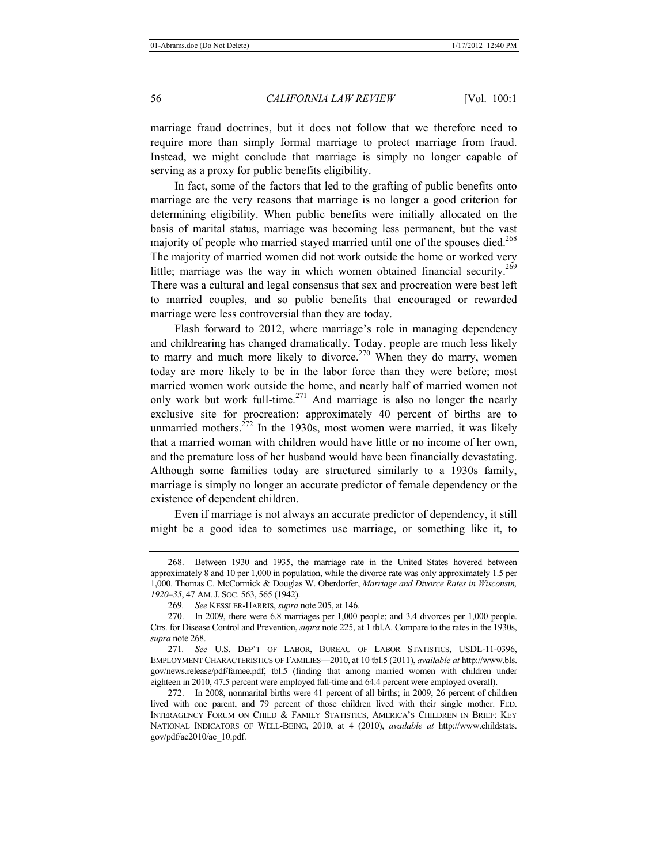marriage fraud doctrines, but it does not follow that we therefore need to require more than simply formal marriage to protect marriage from fraud. Instead, we might conclude that marriage is simply no longer capable of serving as a proxy for public benefits eligibility.

In fact, some of the factors that led to the grafting of public benefits onto marriage are the very reasons that marriage is no longer a good criterion for determining eligibility. When public benefits were initially allocated on the basis of marital status, marriage was becoming less permanent, but the vast majority of people who married stayed married until one of the spouses died.<sup>268</sup> The majority of married women did not work outside the home or worked very little; marriage was the way in which women obtained financial security.<sup>269</sup> There was a cultural and legal consensus that sex and procreation were best left to married couples, and so public benefits that encouraged or rewarded marriage were less controversial than they are today.

Flash forward to 2012, where marriage's role in managing dependency and childrearing has changed dramatically. Today, people are much less likely to marry and much more likely to divorce.<sup>270</sup> When they do marry, women today are more likely to be in the labor force than they were before; most married women work outside the home, and nearly half of married women not only work but work full-time.<sup>271</sup> And marriage is also no longer the nearly exclusive site for procreation: approximately 40 percent of births are to unmarried mothers. $272$  In the 1930s, most women were married, it was likely that a married woman with children would have little or no income of her own, and the premature loss of her husband would have been financially devastating. Although some families today are structured similarly to a 1930s family, marriage is simply no longer an accurate predictor of female dependency or the existence of dependent children.

Even if marriage is not always an accurate predictor of dependency, it still might be a good idea to sometimes use marriage, or something like it, to

<sup>268.</sup> Between 1930 and 1935, the marriage rate in the United States hovered between approximately 8 and 10 per 1,000 in population, while the divorce rate was only approximately 1.5 per 1,000. Thomas C. McCormick & Douglas W. Oberdorfer, *Marriage and Divorce Rates in Wisconsin, 1920–35*, 47 AM.J. SOC. 563, 565 (1942).

<sup>269</sup>*. See* KESSLER-HARRIS, *supra* note 205, at 146.

<sup>270.</sup> In 2009, there were 6.8 marriages per 1,000 people; and 3.4 divorces per 1,000 people. Ctrs. for Disease Control and Prevention, *supra* note 225, at 1 tbl.A. Compare to the rates in the 1930s, *supra* note 268.

<sup>271</sup>*. See* U.S. DEP'T OF LABOR, BUREAU OF LABOR STATISTICS, USDL-11-0396, EMPLOYMENT CHARACTERISTICS OF FAMILIES—2010, at 10 tbl.5 (2011), *available at* http://www.bls. gov/news.release/pdf/famee.pdf, tbl.5 (finding that among married women with children under eighteen in 2010, 47.5 percent were employed full-time and 64.4 percent were employed overall).

<sup>272.</sup> In 2008, nonmarital births were 41 percent of all births; in 2009, 26 percent of children lived with one parent, and 79 percent of those children lived with their single mother. FED. INTERAGENCY FORUM ON CHILD & FAMILY STATISTICS, AMERICA'S CHILDREN IN BRIEF: KEY NATIONAL INDICATORS OF WELL-BEING, 2010, at 4 (2010), *available at* http://www.childstats. gov/pdf/ac2010/ac\_10.pdf.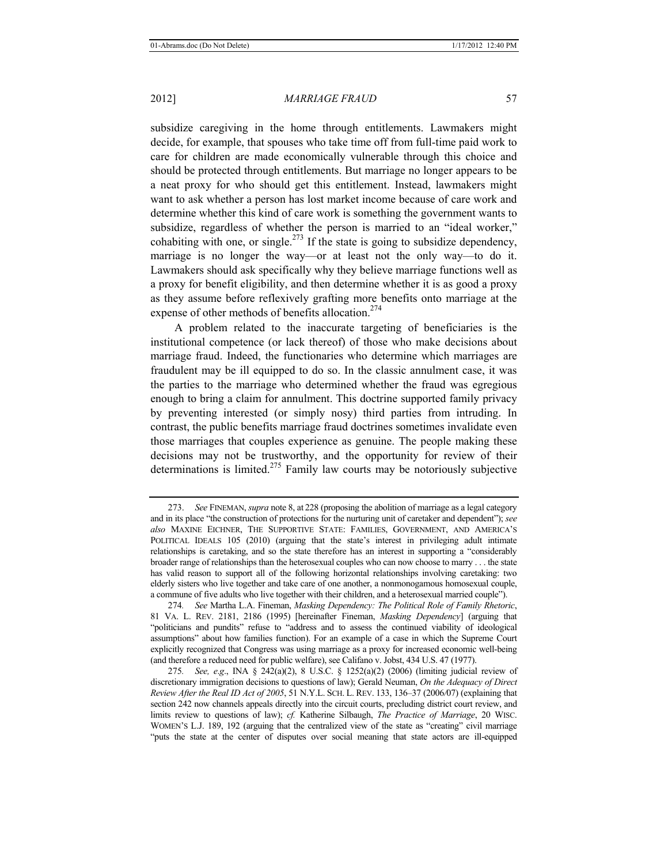subsidize caregiving in the home through entitlements. Lawmakers might decide, for example, that spouses who take time off from full-time paid work to care for children are made economically vulnerable through this choice and should be protected through entitlements. But marriage no longer appears to be a neat proxy for who should get this entitlement. Instead, lawmakers might want to ask whether a person has lost market income because of care work and determine whether this kind of care work is something the government wants to subsidize, regardless of whether the person is married to an "ideal worker," cohabiting with one, or single. $^{273}$  If the state is going to subsidize dependency, marriage is no longer the way—or at least not the only way—to do it. Lawmakers should ask specifically why they believe marriage functions well as a proxy for benefit eligibility, and then determine whether it is as good a proxy as they assume before reflexively grafting more benefits onto marriage at the expense of other methods of benefits allocation.<sup>274</sup>

A problem related to the inaccurate targeting of beneficiaries is the institutional competence (or lack thereof) of those who make decisions about marriage fraud. Indeed, the functionaries who determine which marriages are fraudulent may be ill equipped to do so. In the classic annulment case, it was the parties to the marriage who determined whether the fraud was egregious enough to bring a claim for annulment. This doctrine supported family privacy by preventing interested (or simply nosy) third parties from intruding. In contrast, the public benefits marriage fraud doctrines sometimes invalidate even those marriages that couples experience as genuine. The people making these decisions may not be trustworthy, and the opportunity for review of their determinations is limited.275 Family law courts may be notoriously subjective

<sup>273.</sup> *See* FINEMAN, *supra* note 8, at 228 (proposing the abolition of marriage as a legal category and in its place "the construction of protections for the nurturing unit of caretaker and dependent"); *see also* MAXINE EICHNER, THE SUPPORTIVE STATE: FAMILIES, GOVERNMENT, AND AMERICA'S POLITICAL IDEALS 105 (2010) (arguing that the state's interest in privileging adult intimate relationships is caretaking, and so the state therefore has an interest in supporting a "considerably broader range of relationships than the heterosexual couples who can now choose to marry . . . the state has valid reason to support all of the following horizontal relationships involving caretaking: two elderly sisters who live together and take care of one another, a nonmonogamous homosexual couple, a commune of five adults who live together with their children, and a heterosexual married couple").

<sup>274</sup>*. See* Martha L.A. Fineman, *Masking Dependency: The Political Role of Family Rhetoric*, 81 VA. L. REV. 2181, 2186 (1995) [hereinafter Fineman, *Masking Dependency*] (arguing that "politicians and pundits" refuse to "address and to assess the continued viability of ideological assumptions" about how families function). For an example of a case in which the Supreme Court explicitly recognized that Congress was using marriage as a proxy for increased economic well-being (and therefore a reduced need for public welfare), see Califano v. Jobst, 434 U.S. 47 (1977).

<sup>275</sup>*. See, e*.*g*., INA § 242(a)(2), 8 U.S.C. § 1252(a)(2) (2006) (limiting judicial review of discretionary immigration decisions to questions of law); Gerald Neuman, *On the Adequacy of Direct Review After the Real ID Act of 2005*, 51 N.Y.L. SCH. L. REV. 133, 136*–*37 (2006*/*07) (explaining that section 242 now channels appeals directly into the circuit courts, precluding district court review, and limits review to questions of law); *cf.* Katherine Silbaugh, *The Practice of Marriage*, 20 WISC. WOMEN'S L.J. 189, 192 (arguing that the centralized view of the state as "creating" civil marriage "puts the state at the center of disputes over social meaning that state actors are ill-equipped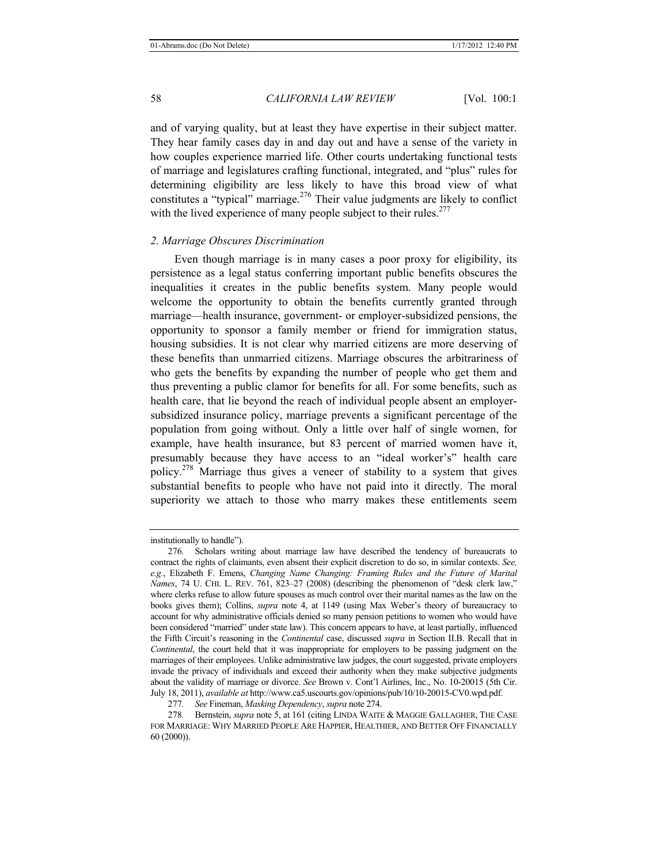and of varying quality, but at least they have expertise in their subject matter. They hear family cases day in and day out and have a sense of the variety in how couples experience married life. Other courts undertaking functional tests of marriage and legislatures crafting functional, integrated, and "plus" rules for determining eligibility are less likely to have this broad view of what constitutes a "typical" marriage.276 Their value judgments are likely to conflict with the lived experience of many people subject to their rules.<sup>277</sup>

#### *2. Marriage Obscures Discrimination*

Even though marriage is in many cases a poor proxy for eligibility, its persistence as a legal status conferring important public benefits obscures the inequalities it creates in the public benefits system. Many people would welcome the opportunity to obtain the benefits currently granted through marriage—health insurance, government- or employer-subsidized pensions, the opportunity to sponsor a family member or friend for immigration status, housing subsidies. It is not clear why married citizens are more deserving of these benefits than unmarried citizens. Marriage obscures the arbitrariness of who gets the benefits by expanding the number of people who get them and thus preventing a public clamor for benefits for all. For some benefits, such as health care, that lie beyond the reach of individual people absent an employersubsidized insurance policy, marriage prevents a significant percentage of the population from going without. Only a little over half of single women, for example, have health insurance, but 83 percent of married women have it, presumably because they have access to an "ideal worker's" health care policy.<sup>278</sup> Marriage thus gives a veneer of stability to a system that gives substantial benefits to people who have not paid into it directly. The moral superiority we attach to those who marry makes these entitlements seem

institutionally to handle").

<sup>276</sup>*.* Scholars writing about marriage law have described the tendency of bureaucrats to contract the rights of claimants, even absent their explicit discretion to do so, in similar contexts. *See, e.g.*, Elizabeth F. Emens, *Changing Name Changing: Framing Rules and the Future of Marital Names*, 74 U. CHI. L. REV. 761, 823*–*27 (2008) (describing the phenomenon of "desk clerk law," where clerks refuse to allow future spouses as much control over their marital names as the law on the books gives them); Collins, *supra* note 4, at 1149 (using Max Weber's theory of bureaucracy to account for why administrative officials denied so many pension petitions to women who would have been considered "married" under state law). This concern appears to have, at least partially, influenced the Fifth Circuit's reasoning in the *Continental* case, discussed *supra* in Section II.B. Recall that in *Continental*, the court held that it was inappropriate for employers to be passing judgment on the marriages of their employees. Unlike administrative law judges, the court suggested, private employers invade the privacy of individuals and exceed their authority when they make subjective judgments about the validity of marriage or divorce. *See* Brown v. Cont'l Airlines, Inc., No. 10-20015 (5th Cir. July 18, 2011), *available at* http://www.ca5.uscourts.gov/opinions/pub/10/10-20015-CV0.wpd.pdf.

<sup>277</sup>*. See* Fineman, *Masking Dependency*, *supra* note 274.

<sup>278</sup>*.* Bernstein, *supra* note 5, at 161 (citing LINDA WAITE & MAGGIE GALLAGHER, THE CASE FOR MARRIAGE: WHY MARRIED PEOPLE ARE HAPPIER, HEALTHIER, AND BETTER OFF FINANCIALLY 60 (2000)).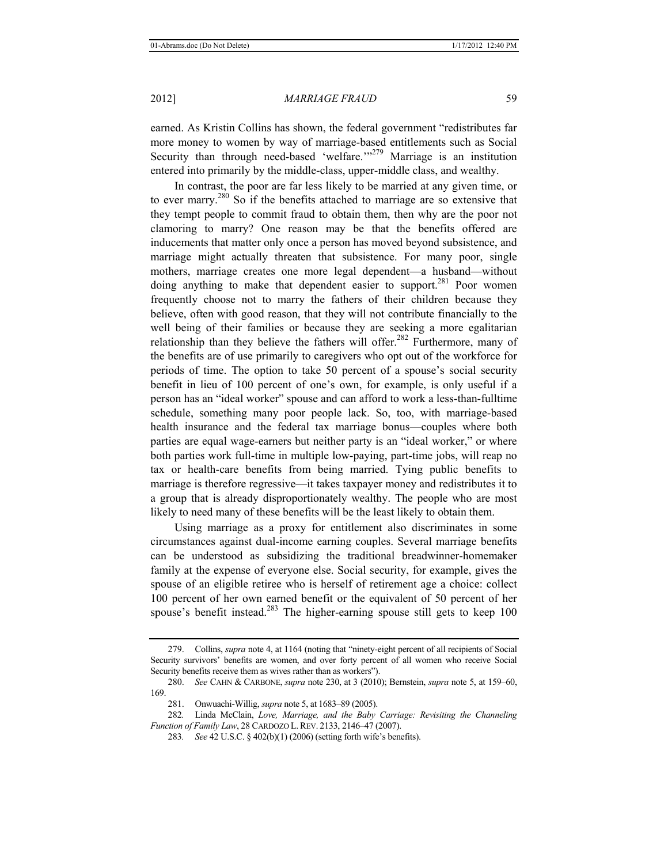earned. As Kristin Collins has shown, the federal government "redistributes far more money to women by way of marriage-based entitlements such as Social Security than through need-based 'welfare.'<sup>279</sup> Marriage is an institution entered into primarily by the middle-class, upper-middle class, and wealthy.

In contrast, the poor are far less likely to be married at any given time, or to ever marry.<sup>280</sup> So if the benefits attached to marriage are so extensive that they tempt people to commit fraud to obtain them, then why are the poor not clamoring to marry? One reason may be that the benefits offered are inducements that matter only once a person has moved beyond subsistence, and marriage might actually threaten that subsistence. For many poor, single mothers, marriage creates one more legal dependent—a husband—without doing anything to make that dependent easier to support.<sup>281</sup> Poor women frequently choose not to marry the fathers of their children because they believe, often with good reason, that they will not contribute financially to the well being of their families or because they are seeking a more egalitarian relationship than they believe the fathers will offer.<sup>282</sup> Furthermore, many of the benefits are of use primarily to caregivers who opt out of the workforce for periods of time. The option to take 50 percent of a spouse's social security benefit in lieu of 100 percent of one's own, for example, is only useful if a person has an "ideal worker" spouse and can afford to work a less-than-fulltime schedule, something many poor people lack. So, too, with marriage-based health insurance and the federal tax marriage bonus—couples where both parties are equal wage-earners but neither party is an "ideal worker," or where both parties work full-time in multiple low-paying, part-time jobs, will reap no tax or health-care benefits from being married. Tying public benefits to marriage is therefore regressive—it takes taxpayer money and redistributes it to a group that is already disproportionately wealthy. The people who are most likely to need many of these benefits will be the least likely to obtain them.

Using marriage as a proxy for entitlement also discriminates in some circumstances against dual-income earning couples. Several marriage benefits can be understood as subsidizing the traditional breadwinner-homemaker family at the expense of everyone else. Social security, for example, gives the spouse of an eligible retiree who is herself of retirement age a choice: collect 100 percent of her own earned benefit or the equivalent of 50 percent of her spouse's benefit instead.<sup>283</sup> The higher-earning spouse still gets to keep 100

<sup>279.</sup> Collins, *supra* note 4, at 1164 (noting that "ninety-eight percent of all recipients of Social Security survivors' benefits are women, and over forty percent of all women who receive Social Security benefits receive them as wives rather than as workers").

<sup>280.</sup> *See* CAHN & CARBONE, *supra* note 230, at 3 (2010); Bernstein, *supra* note 5, at 159*–*60, 169.

<sup>281.</sup> Onwuachi-Willig, *supra* note 5, at 1683–89 (2005).

<sup>282</sup>*.* Linda McClain, *Love, Marriage, and the Baby Carriage: Revisiting the Channeling Function of Family Law*, 28 CARDOZO L. REV. 2133, 2146*–*47 (2007).

<sup>283</sup>*. See* 42 U.S.C. § 402(b)(1) (2006) (setting forth wife's benefits).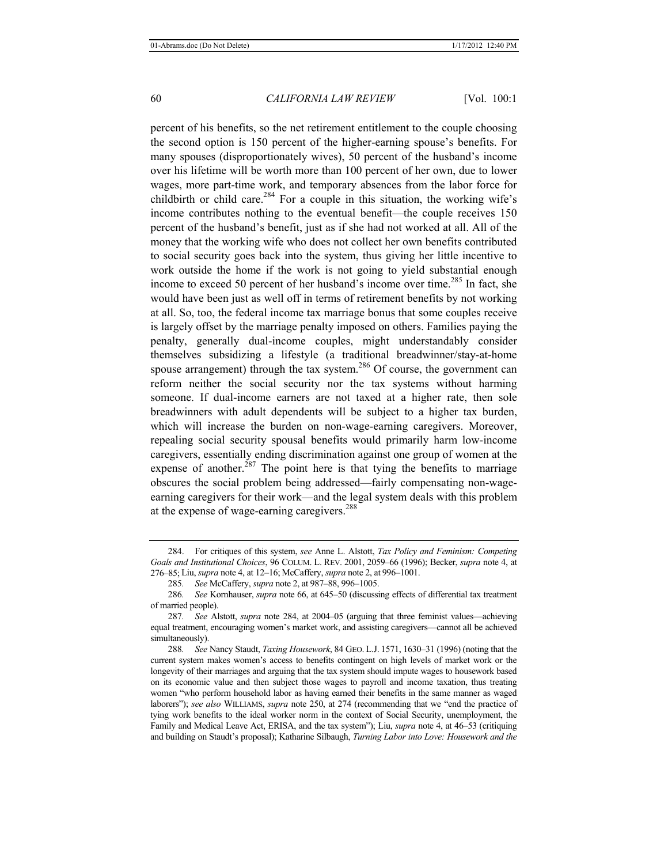percent of his benefits, so the net retirement entitlement to the couple choosing the second option is 150 percent of the higher-earning spouse's benefits. For many spouses (disproportionately wives), 50 percent of the husband's income over his lifetime will be worth more than 100 percent of her own, due to lower wages, more part-time work, and temporary absences from the labor force for childbirth or child care.<sup>284</sup> For a couple in this situation, the working wife's income contributes nothing to the eventual benefit—the couple receives 150 percent of the husband's benefit, just as if she had not worked at all. All of the money that the working wife who does not collect her own benefits contributed to social security goes back into the system, thus giving her little incentive to work outside the home if the work is not going to yield substantial enough income to exceed 50 percent of her husband's income over time.<sup>285</sup> In fact, she would have been just as well off in terms of retirement benefits by not working at all. So, too, the federal income tax marriage bonus that some couples receive is largely offset by the marriage penalty imposed on others. Families paying the penalty, generally dual-income couples, might understandably consider themselves subsidizing a lifestyle (a traditional breadwinner/stay-at-home spouse arrangement) through the tax system.<sup>286</sup> Of course, the government can reform neither the social security nor the tax systems without harming someone. If dual-income earners are not taxed at a higher rate, then sole breadwinners with adult dependents will be subject to a higher tax burden, which will increase the burden on non-wage-earning caregivers. Moreover, repealing social security spousal benefits would primarily harm low-income caregivers, essentially ending discrimination against one group of women at the expense of another.<sup>287</sup> The point here is that tying the benefits to marriage obscures the social problem being addressed—fairly compensating non-wageearning caregivers for their work—and the legal system deals with this problem at the expense of wage-earning caregivers.<sup>288</sup>

<sup>284.</sup> For critiques of this system, *see* Anne L. Alstott, *Tax Policy and Feminism: Competing Goals and Institutional Choices*, 96 COLUM. L. REV. 2001, 2059*–*66 (1996); Becker, *supra* note 4, at 276*–*85; Liu, *supra* note 4, at 12–16; McCaffery, *supra* note 2, at 996*–*1001.

<sup>285</sup>*. See* McCaffery, *supra* note 2, at 987*–*88, 996*–*1005.

<sup>286</sup>*. See* Kornhauser, *supra* note 66, at 645*–*50 (discussing effects of differential tax treatment of married people).

<sup>287</sup>*. See* Alstott, *supra* note 284, at 2004*–*05 (arguing that three feminist values—achieving equal treatment, encouraging women's market work, and assisting caregivers—cannot all be achieved simultaneously).

<sup>288</sup>*. See* Nancy Staudt, *Taxing Housework*, 84 GEO. L.J. 1571, 1630*–*31 (1996) (noting that the current system makes women's access to benefits contingent on high levels of market work or the longevity of their marriages and arguing that the tax system should impute wages to housework based on its economic value and then subject those wages to payroll and income taxation, thus treating women "who perform household labor as having earned their benefits in the same manner as waged laborers"); *see also* WILLIAMS, *supra* note 250, at 274 (recommending that we "end the practice of tying work benefits to the ideal worker norm in the context of Social Security, unemployment, the Family and Medical Leave Act, ERISA, and the tax system"); Liu, *supra* note 4, at 46*–*53 (critiquing and building on Staudt's proposal); Katharine Silbaugh, *Turning Labor into Love: Housework and the*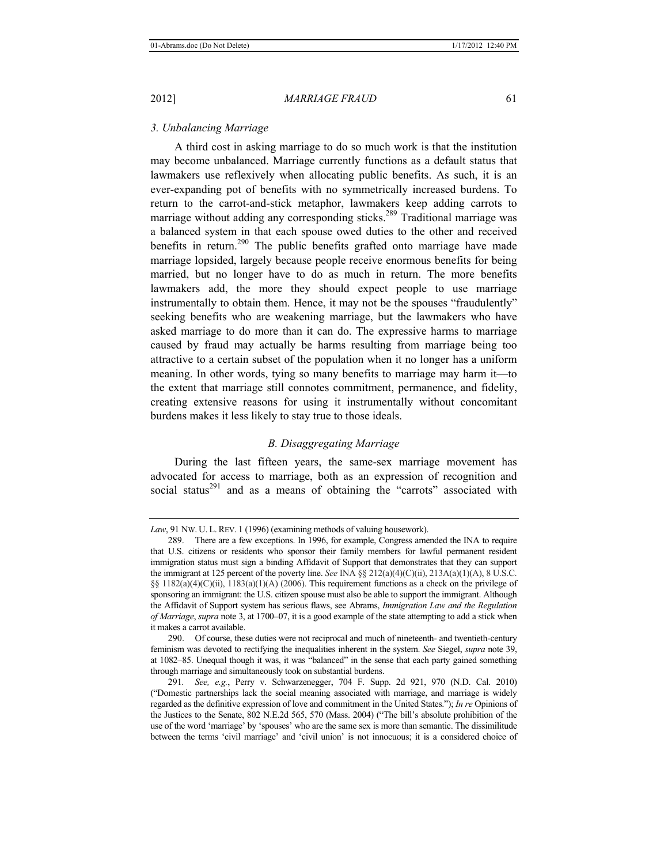### *3. Unbalancing Marriage*

A third cost in asking marriage to do so much work is that the institution may become unbalanced. Marriage currently functions as a default status that lawmakers use reflexively when allocating public benefits. As such, it is an ever-expanding pot of benefits with no symmetrically increased burdens. To return to the carrot-and-stick metaphor, lawmakers keep adding carrots to marriage without adding any corresponding sticks.<sup>289</sup> Traditional marriage was a balanced system in that each spouse owed duties to the other and received benefits in return.<sup>290</sup> The public benefits grafted onto marriage have made marriage lopsided, largely because people receive enormous benefits for being married, but no longer have to do as much in return. The more benefits lawmakers add, the more they should expect people to use marriage instrumentally to obtain them. Hence, it may not be the spouses "fraudulently" seeking benefits who are weakening marriage, but the lawmakers who have asked marriage to do more than it can do. The expressive harms to marriage caused by fraud may actually be harms resulting from marriage being too attractive to a certain subset of the population when it no longer has a uniform meaning. In other words, tying so many benefits to marriage may harm it—to the extent that marriage still connotes commitment, permanence, and fidelity, creating extensive reasons for using it instrumentally without concomitant burdens makes it less likely to stay true to those ideals.

# *B. Disaggregating Marriage*

During the last fifteen years, the same-sex marriage movement has advocated for access to marriage, both as an expression of recognition and social status<sup>291</sup> and as a means of obtaining the "carrots" associated with

*Law*, 91 NW. U. L. REV. 1 (1996) (examining methods of valuing housework).

<sup>289.</sup> There are a few exceptions. In 1996, for example, Congress amended the INA to require that U.S. citizens or residents who sponsor their family members for lawful permanent resident immigration status must sign a binding Affidavit of Support that demonstrates that they can support the immigrant at 125 percent of the poverty line. *See* INA §§ 212(a)(4)(C)(ii), 213A(a)(1)(A), 8 U.S.C.  $\S$ § 1182(a)(4)(C)(ii), 1183(a)(1)(A) (2006). This requirement functions as a check on the privilege of sponsoring an immigrant: the U.S. citizen spouse must also be able to support the immigrant. Although the Affidavit of Support system has serious flaws, see Abrams, *Immigration Law and the Regulation of Marriage*, *supra* note 3, at 1700–07, it is a good example of the state attempting to add a stick when it makes a carrot available.

<sup>290.</sup> Of course, these duties were not reciprocal and much of nineteenth- and twentieth-century feminism was devoted to rectifying the inequalities inherent in the system. *See* Siegel, *supra* note 39, at 1082–85. Unequal though it was, it was "balanced" in the sense that each party gained something through marriage and simultaneously took on substantial burdens.

<sup>291</sup>*. See, e.g.*, Perry v. Schwarzenegger, 704 F. Supp. 2d 921, 970 (N.D. Cal. 2010) ("Domestic partnerships lack the social meaning associated with marriage, and marriage is widely regarded as the definitive expression of love and commitment in the United States."); *In re* Opinions of the Justices to the Senate, 802 N.E.2d 565, 570 (Mass. 2004) ("The bill's absolute prohibition of the use of the word 'marriage' by 'spouses' who are the same sex is more than semantic. The dissimilitude between the terms 'civil marriage' and 'civil union' is not innocuous; it is a considered choice of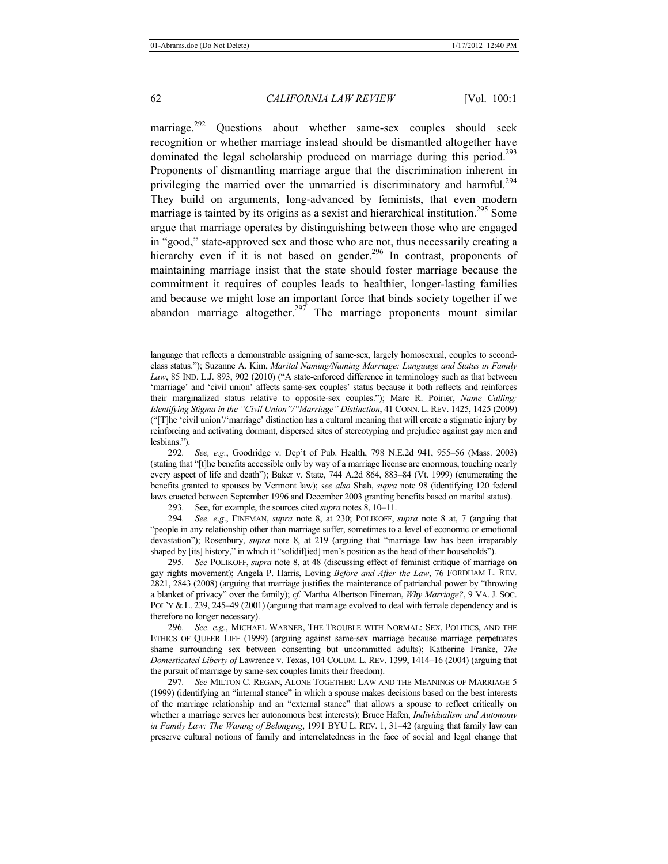marriage.<sup>292</sup> Questions about whether same-sex couples should seek recognition or whether marriage instead should be dismantled altogether have dominated the legal scholarship produced on marriage during this period.<sup>293</sup> Proponents of dismantling marriage argue that the discrimination inherent in privileging the married over the unmarried is discriminatory and harmful.<sup>294</sup> They build on arguments, long-advanced by feminists, that even modern marriage is tainted by its origins as a sexist and hierarchical institution.<sup>295</sup> Some argue that marriage operates by distinguishing between those who are engaged in "good," state-approved sex and those who are not, thus necessarily creating a hierarchy even if it is not based on gender.<sup>296</sup> In contrast, proponents of maintaining marriage insist that the state should foster marriage because the commitment it requires of couples leads to healthier, longer-lasting families and because we might lose an important force that binds society together if we abandon marriage altogether.<sup>297</sup> The marriage proponents mount similar

292*. See, e.g.*, Goodridge v. Dep't of Pub. Health, 798 N.E.2d 941, 955–56 (Mass. 2003) (stating that "[t]he benefits accessible only by way of a marriage license are enormous, touching nearly every aspect of life and death"); Baker v. State, 744 A.2d 864, 883–84 (Vt. 1999) (enumerating the benefits granted to spouses by Vermont law); *see also* Shah, *supra* note 98 (identifying 120 federal laws enacted between September 1996 and December 2003 granting benefits based on marital status).

293*.* See, for example, the sources cited *supra* notes 8, 10–11.

294*. See, e*.*g*., FINEMAN, *supra* note 8, at 230; POLIKOFF, *supra* note 8 at, 7 (arguing that "people in any relationship other than marriage suffer, sometimes to a level of economic or emotional devastation"); Rosenbury, *supra* note 8, at 219 (arguing that "marriage law has been irreparably shaped by [its] history," in which it "solidif[ied] men's position as the head of their households").

295*. See* POLIKOFF, *supra* note 8, at 48 (discussing effect of feminist critique of marriage on gay rights movement); Angela P. Harris, Loving *Before and After the Law*, 76 FORDHAM L. REV. 2821, 2843 (2008) (arguing that marriage justifies the maintenance of patriarchal power by "throwing a blanket of privacy" over the family); *cf.* Martha Albertson Fineman, *Why Marriage?*, 9 VA. J. SOC. POL'Y & L. 239, 245–49 (2001) (arguing that marriage evolved to deal with female dependency and is therefore no longer necessary).

296*. See, e.g.*, MICHAEL WARNER, THE TROUBLE WITH NORMAL: SEX, POLITICS, AND THE ETHICS OF QUEER LIFE (1999) (arguing against same-sex marriage because marriage perpetuates shame surrounding sex between consenting but uncommitted adults); Katherine Franke, *The Domesticated Liberty of* Lawrence v. Texas, 104 COLUM. L. REV. 1399, 1414–16 (2004) (arguing that the pursuit of marriage by same-sex couples limits their freedom).

297*. See* MILTON C. REGAN, ALONE TOGETHER: LAW AND THE MEANINGS OF MARRIAGE 5 (1999) (identifying an "internal stance" in which a spouse makes decisions based on the best interests of the marriage relationship and an "external stance" that allows a spouse to reflect critically on whether a marriage serves her autonomous best interests); Bruce Hafen, *Individualism and Autonomy in Family Law: The Waning of Belonging*, 1991 BYU L. REV. 1, 31–42 (arguing that family law can preserve cultural notions of family and interrelatedness in the face of social and legal change that

language that reflects a demonstrable assigning of same-sex, largely homosexual, couples to secondclass status."); Suzanne A. Kim, *Marital Naming/Naming Marriage: Language and Status in Family Law*, 85 IND. L.J. 893, 902 (2010) ("A state-enforced difference in terminology such as that between 'marriage' and 'civil union' affects same-sex couples' status because it both reflects and reinforces their marginalized status relative to opposite-sex couples."); Marc R. Poirier, *Name Calling: Identifying Stigma in the "Civil Union"/"Marriage" Distinction*, 41 CONN. L. REV. 1425, 1425 (2009) ("[T]he 'civil union'/'marriage' distinction has a cultural meaning that will create a stigmatic injury by reinforcing and activating dormant, dispersed sites of stereotyping and prejudice against gay men and lesbians.").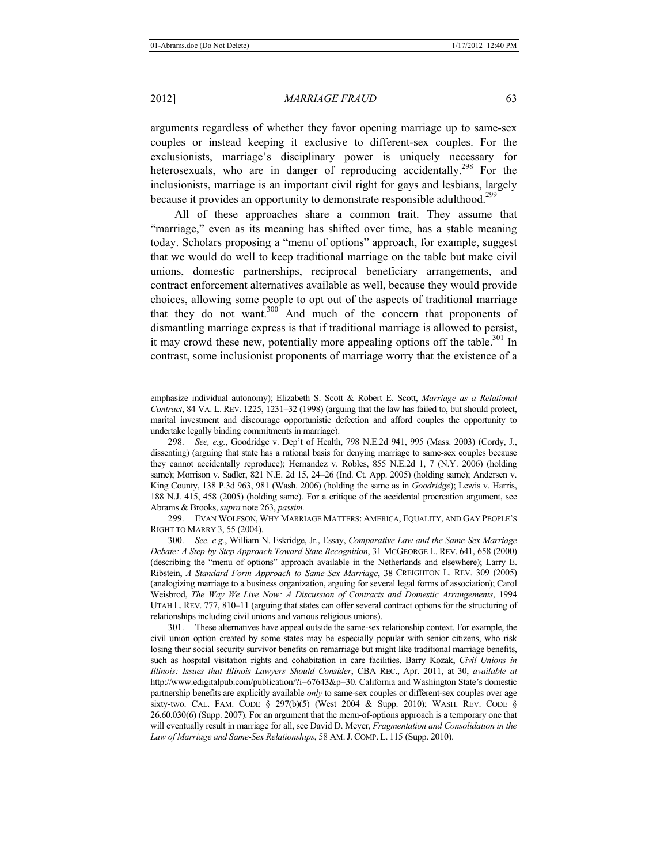arguments regardless of whether they favor opening marriage up to same-sex couples or instead keeping it exclusive to different-sex couples. For the exclusionists, marriage's disciplinary power is uniquely necessary for heterosexuals, who are in danger of reproducing accidentally.<sup>298</sup> For the inclusionists, marriage is an important civil right for gays and lesbians, largely because it provides an opportunity to demonstrate responsible adulthood.<sup>299</sup>

All of these approaches share a common trait. They assume that "marriage," even as its meaning has shifted over time, has a stable meaning today. Scholars proposing a "menu of options" approach, for example, suggest that we would do well to keep traditional marriage on the table but make civil unions, domestic partnerships, reciprocal beneficiary arrangements, and contract enforcement alternatives available as well, because they would provide choices, allowing some people to opt out of the aspects of traditional marriage that they do not want.300 And much of the concern that proponents of dismantling marriage express is that if traditional marriage is allowed to persist, it may crowd these new, potentially more appealing options off the table.<sup>301</sup> In contrast, some inclusionist proponents of marriage worry that the existence of a

emphasize individual autonomy); Elizabeth S. Scott & Robert E. Scott, *Marriage as a Relational Contract*, 84 VA. L. REV. 1225, 1231–32 (1998) (arguing that the law has failed to, but should protect, marital investment and discourage opportunistic defection and afford couples the opportunity to undertake legally binding commitments in marriage).

299. EVAN WOLFSON, WHY MARRIAGE MATTERS: AMERICA, EQUALITY, AND GAY PEOPLE'S RIGHT TO MARRY 3, 55 (2004).

300. *See, e.g.*, William N. Eskridge, Jr., Essay, *Comparative Law and the Same-Sex Marriage Debate: A Step-by-Step Approach Toward State Recognition*, 31 MCGEORGE L. REV. 641, 658 (2000) (describing the "menu of options" approach available in the Netherlands and elsewhere); Larry E. Ribstein, *A Standard Form Approach to Same-Sex Marriage*, 38 CREIGHTON L. REV. 309 (2005) (analogizing marriage to a business organization, arguing for several legal forms of association); Carol Weisbrod, *The Way We Live Now: A Discussion of Contracts and Domestic Arrangements*, 1994 UTAH L. REV. 777, 810–11 (arguing that states can offer several contract options for the structuring of relationships including civil unions and various religious unions).

301. These alternatives have appeal outside the same-sex relationship context. For example, the civil union option created by some states may be especially popular with senior citizens, who risk losing their social security survivor benefits on remarriage but might like traditional marriage benefits, such as hospital visitation rights and cohabitation in care facilities. Barry Kozak, *Civil Unions in Illinois: Issues that Illinois Lawyers Should Consider*, CBA REC., Apr. 2011, at 30, *available at*  http://www.edigitalpub.com/publication/?i=67643&p=30. California and Washington State's domestic partnership benefits are explicitly available *only* to same-sex couples or different-sex couples over age sixty-two. CAL. FAM. CODE § 297(b)(5) (West 2004 & Supp. 2010); WASH. REV. CODE § 26.60.030(6) (Supp. 2007). For an argument that the menu-of-options approach is a temporary one that will eventually result in marriage for all, see David D. Meyer, *Fragmentation and Consolidation in the Law of Marriage and Same-Sex Relationships*, 58 AM.J. COMP. L. 115 (Supp. 2010).

<sup>298.</sup> *See, e.g.*, Goodridge v. Dep't of Health, 798 N.E.2d 941, 995 (Mass. 2003) (Cordy, J., dissenting) (arguing that state has a rational basis for denying marriage to same-sex couples because they cannot accidentally reproduce); Hernandez v. Robles, 855 N.E.2d 1, 7 (N.Y. 2006) (holding same); Morrison v. Sadler, 821 N.E. 2d 15, 24–26 (Ind. Ct. App. 2005) (holding same); Andersen v. King County, 138 P.3d 963, 981 (Wash. 2006) (holding the same as in *Goodridge*); Lewis v. Harris, 188 N.J. 415, 458 (2005) (holding same). For a critique of the accidental procreation argument, see Abrams & Brooks, *supra* note 263, *passim.*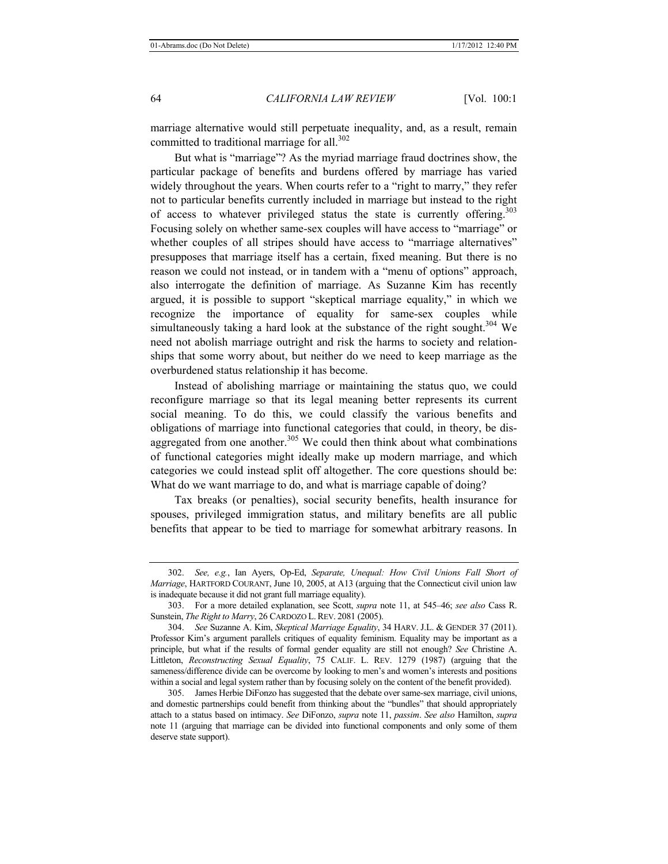marriage alternative would still perpetuate inequality, and, as a result, remain committed to traditional marriage for all.<sup>302</sup>

But what is "marriage"? As the myriad marriage fraud doctrines show, the particular package of benefits and burdens offered by marriage has varied widely throughout the years. When courts refer to a "right to marry," they refer not to particular benefits currently included in marriage but instead to the right of access to whatever privileged status the state is currently offering.<sup>303</sup> Focusing solely on whether same-sex couples will have access to "marriage" or whether couples of all stripes should have access to "marriage alternatives" presupposes that marriage itself has a certain, fixed meaning. But there is no reason we could not instead, or in tandem with a "menu of options" approach, also interrogate the definition of marriage. As Suzanne Kim has recently argued, it is possible to support "skeptical marriage equality," in which we recognize the importance of equality for same-sex couples while simultaneously taking a hard look at the substance of the right sought.<sup>304</sup> We need not abolish marriage outright and risk the harms to society and relationships that some worry about, but neither do we need to keep marriage as the overburdened status relationship it has become.

Instead of abolishing marriage or maintaining the status quo, we could reconfigure marriage so that its legal meaning better represents its current social meaning. To do this, we could classify the various benefits and obligations of marriage into functional categories that could, in theory, be disaggregated from one another. $305$  We could then think about what combinations of functional categories might ideally make up modern marriage, and which categories we could instead split off altogether. The core questions should be: What do we want marriage to do, and what is marriage capable of doing?

Tax breaks (or penalties), social security benefits, health insurance for spouses, privileged immigration status, and military benefits are all public benefits that appear to be tied to marriage for somewhat arbitrary reasons. In

<sup>302.</sup> *See, e.g.*, Ian Ayers, Op-Ed, *Separate, Unequal: How Civil Unions Fall Short of Marriage*, HARTFORD COURANT, June 10, 2005, at A13 (arguing that the Connecticut civil union law is inadequate because it did not grant full marriage equality).

<sup>303.</sup> For a more detailed explanation, see Scott, *supra* note 11, at 545–46; *see also* Cass R. Sunstein, *The Right to Marry*, 26 CARDOZO L. REV. 2081 (2005).

<sup>304.</sup> *See* Suzanne A. Kim, *Skeptical Marriage Equality*, 34 HARV. J.L. & GENDER 37 (2011). Professor Kim's argument parallels critiques of equality feminism. Equality may be important as a principle, but what if the results of formal gender equality are still not enough? *See* Christine A. Littleton, *Reconstructing Sexual Equality*, 75 CALIF. L. REV. 1279 (1987) (arguing that the sameness/difference divide can be overcome by looking to men's and women's interests and positions within a social and legal system rather than by focusing solely on the content of the benefit provided).

<sup>305.</sup> James Herbie DiFonzo has suggested that the debate over same-sex marriage, civil unions, and domestic partnerships could benefit from thinking about the "bundles" that should appropriately attach to a status based on intimacy. *See* DiFonzo, *supra* note 11, *passim*. *See also* Hamilton, *supra*  note 11 (arguing that marriage can be divided into functional components and only some of them deserve state support).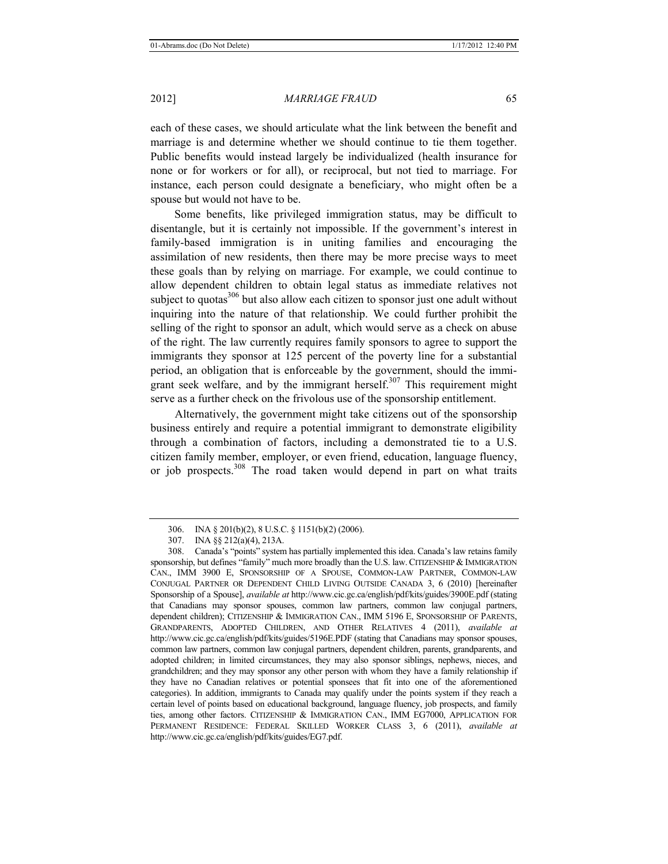each of these cases, we should articulate what the link between the benefit and marriage is and determine whether we should continue to tie them together. Public benefits would instead largely be individualized (health insurance for none or for workers or for all), or reciprocal, but not tied to marriage. For instance, each person could designate a beneficiary, who might often be a spouse but would not have to be.

Some benefits, like privileged immigration status, may be difficult to disentangle, but it is certainly not impossible. If the government's interest in family-based immigration is in uniting families and encouraging the assimilation of new residents, then there may be more precise ways to meet these goals than by relying on marriage. For example, we could continue to allow dependent children to obtain legal status as immediate relatives not subject to quotas $306$  but also allow each citizen to sponsor just one adult without inquiring into the nature of that relationship. We could further prohibit the selling of the right to sponsor an adult, which would serve as a check on abuse of the right. The law currently requires family sponsors to agree to support the immigrants they sponsor at 125 percent of the poverty line for a substantial period, an obligation that is enforceable by the government, should the immigrant seek welfare, and by the immigrant herself. $307$  This requirement might serve as a further check on the frivolous use of the sponsorship entitlement.

Alternatively, the government might take citizens out of the sponsorship business entirely and require a potential immigrant to demonstrate eligibility through a combination of factors, including a demonstrated tie to a U.S. citizen family member, employer, or even friend, education, language fluency, or job prospects.308 The road taken would depend in part on what traits

<sup>306.</sup> INA § 201(b)(2), 8 U.S.C. § 1151(b)(2) (2006).

<sup>307.</sup> INA §§ 212(a)(4), 213A.

<sup>308.</sup> Canada's "points" system has partially implemented this idea. Canada's law retains family sponsorship, but defines "family" much more broadly than the U.S. law.CITIZENSHIP & IMMIGRATION CAN., IMM 3900 E, SPONSORSHIP OF A SPOUSE, COMMON-LAW PARTNER, COMMON-LAW CONJUGAL PARTNER OR DEPENDENT CHILD LIVING OUTSIDE CANADA 3, 6 (2010) [hereinafter Sponsorship of a Spouse], *available at* http://www.cic.gc.ca/english/pdf/kits/guides/3900E.pdf (stating that Canadians may sponsor spouses, common law partners, common law conjugal partners, dependent children); CITIZENSHIP & IMMIGRATION CAN., IMM 5196 E, SPONSORSHIP OF PARENTS, GRANDPARENTS, ADOPTED CHILDREN, AND OTHER RELATIVES 4 (2011), *available at* http://www.cic.gc.ca/english/pdf/kits/guides/5196E.PDF (stating that Canadians may sponsor spouses, common law partners, common law conjugal partners, dependent children, parents, grandparents, and adopted children; in limited circumstances, they may also sponsor siblings, nephews, nieces, and grandchildren; and they may sponsor any other person with whom they have a family relationship if they have no Canadian relatives or potential sponsees that fit into one of the aforementioned categories). In addition, immigrants to Canada may qualify under the points system if they reach a certain level of points based on educational background, language fluency, job prospects, and family ties, among other factors. CITIZENSHIP & IMMIGRATION CAN., IMM EG7000, APPLICATION FOR PERMANENT RESIDENCE: FEDERAL SKILLED WORKER CLASS 3, 6 (2011), *available at* http://www.cic.gc.ca/english/pdf/kits/guides/EG7.pdf.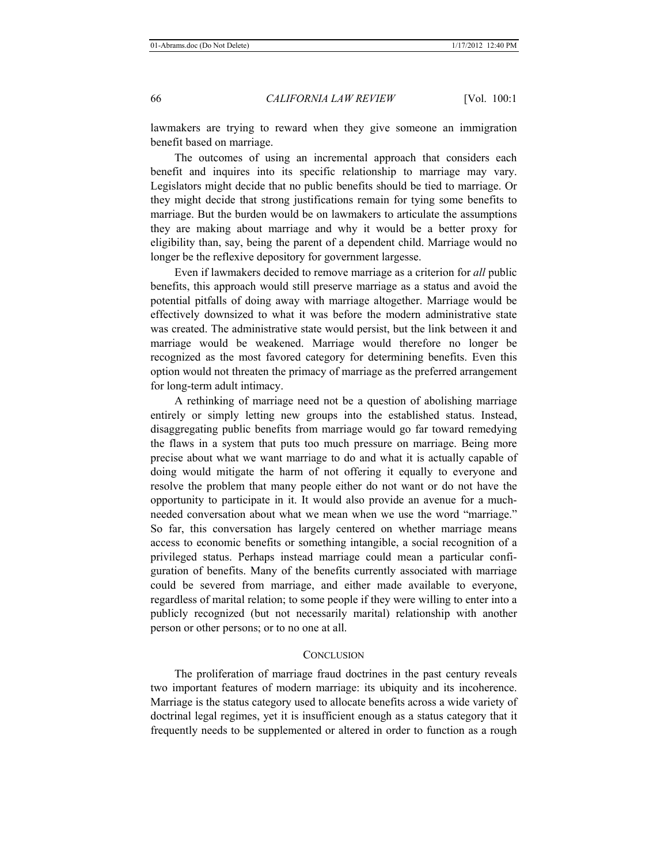lawmakers are trying to reward when they give someone an immigration benefit based on marriage.

The outcomes of using an incremental approach that considers each benefit and inquires into its specific relationship to marriage may vary. Legislators might decide that no public benefits should be tied to marriage. Or they might decide that strong justifications remain for tying some benefits to marriage. But the burden would be on lawmakers to articulate the assumptions they are making about marriage and why it would be a better proxy for eligibility than, say, being the parent of a dependent child. Marriage would no longer be the reflexive depository for government largesse.

Even if lawmakers decided to remove marriage as a criterion for *all* public benefits, this approach would still preserve marriage as a status and avoid the potential pitfalls of doing away with marriage altogether. Marriage would be effectively downsized to what it was before the modern administrative state was created. The administrative state would persist, but the link between it and marriage would be weakened. Marriage would therefore no longer be recognized as the most favored category for determining benefits. Even this option would not threaten the primacy of marriage as the preferred arrangement for long-term adult intimacy.

A rethinking of marriage need not be a question of abolishing marriage entirely or simply letting new groups into the established status. Instead, disaggregating public benefits from marriage would go far toward remedying the flaws in a system that puts too much pressure on marriage. Being more precise about what we want marriage to do and what it is actually capable of doing would mitigate the harm of not offering it equally to everyone and resolve the problem that many people either do not want or do not have the opportunity to participate in it. It would also provide an avenue for a muchneeded conversation about what we mean when we use the word "marriage." So far, this conversation has largely centered on whether marriage means access to economic benefits or something intangible, a social recognition of a privileged status. Perhaps instead marriage could mean a particular configuration of benefits. Many of the benefits currently associated with marriage could be severed from marriage, and either made available to everyone, regardless of marital relation; to some people if they were willing to enter into a publicly recognized (but not necessarily marital) relationship with another person or other persons; or to no one at all.

#### **CONCLUSION**

The proliferation of marriage fraud doctrines in the past century reveals two important features of modern marriage: its ubiquity and its incoherence. Marriage is the status category used to allocate benefits across a wide variety of doctrinal legal regimes, yet it is insufficient enough as a status category that it frequently needs to be supplemented or altered in order to function as a rough